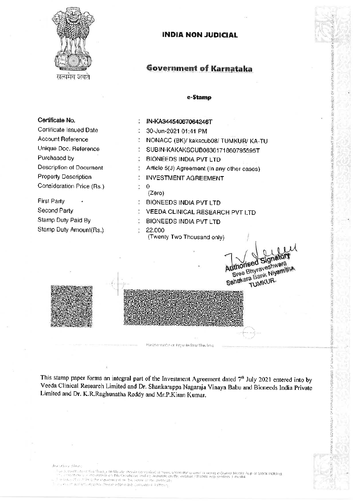

सत्यमेव जवत

Certificate No.

Purchased by

**First Party** 

Second Party

Certificate Issued Date

Unique Doc. Reference

Description of Document

Consideration Price (Rs.)

**Property Description** 

Stamp Duty Paid By

Stamp Duty Amount(Rs.)

**Account Reference** 

# **INDIA NON JUDICIAL**

# **Government of Karnataka**

#### e-Stamp

5

1954

š

s,

AFAILA GOVERNAMEN

# IN-KA34454067064246T

- $\overline{a}$ 30-Jun-2021 01:41 PM
- X. NONACC (BK)/ kakscub08/ TUMKUR/ KA-TU
- SUBIN-KAKAKSCUB0836171860795595T ž.
- ÷ **BIONEEDS INDIA PVT LTD**
- ÷, Article 5(J) Agreement (In any other cases)
- **INVESTMENT AGREEMENT**
- $\mathbf 0$ ò.  $(Zero)$

 $\ddot{ }$ 

- ÷ **BIONEEDS INDIA PVT LTD**
- VEEDA CLINICAL RESEARCH PVT LTD

Sial

Sree Bhyraveshwara Sahakara Bank Niyamitha TUMKUR.

dthorised

- $\tilde{\mathcal{L}}$ **BIONEEDS INDIA PVT LTD**
- 22,000  $\ddot{\cdot}$
- (Twenty Two Thousand only)

This stamp paper forms an integral part of the Investment Agreement dated 7<sup>th</sup> July 2021 entered into by Veeda Clinical Research Limited and Dr. Shankarappa Nagaraja Vinaya Babu and Bioneeds India Private Limited and Dr. K.R.Raghunatha Reddy and Mr.P.Kiran Kumar.

Piease wate or type relow this line

diasaway niem:

l us a contrall is flex Stand be thould should be verified of twom 5 to leafar a contrar using e-Stand Moolle App of Stock Holding.<br>For this economy is the above set this Confliction and as available on the website / Mobil

funzioni in altra l'esse eforo di compagno apressi.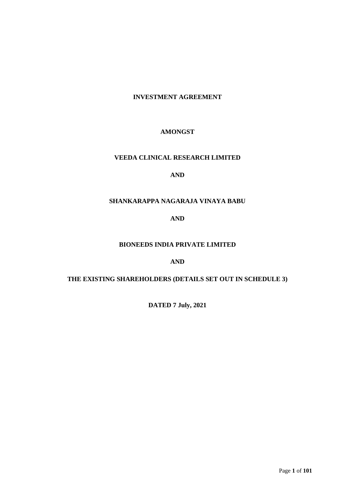# **INVESTMENT AGREEMENT**

# **AMONGST**

# **VEEDA CLINICAL RESEARCH LIMITED**

# **AND**

# **SHANKARAPPA NAGARAJA VINAYA BABU**

# **AND**

# **BIONEEDS INDIA PRIVATE LIMITED**

# **AND**

# **THE EXISTING SHAREHOLDERS (DETAILS SET OUT IN SCHEDULE 3)**

**DATED 7 July, 2021**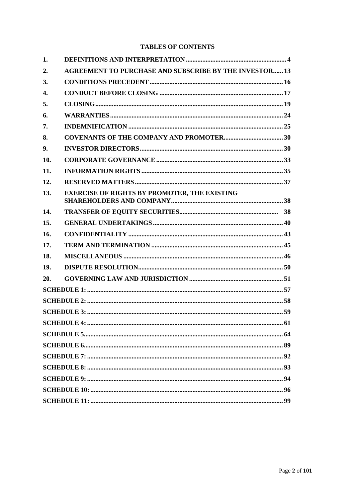# **TABLES OF CONTENTS**

| 1.                 |                                                               |  |
|--------------------|---------------------------------------------------------------|--|
| 2.                 | <b>AGREEMENT TO PURCHASE AND SUBSCRIBE BY THE INVESTOR 13</b> |  |
| 3.                 |                                                               |  |
| $\boldsymbol{4}$ . |                                                               |  |
| 5.                 |                                                               |  |
| 6.                 |                                                               |  |
| 7.                 |                                                               |  |
| 8.                 |                                                               |  |
| 9.                 |                                                               |  |
| 10.                |                                                               |  |
| 11.                |                                                               |  |
| 12.                |                                                               |  |
| 13.                | <b>EXERCISE OF RIGHTS BY PROMOTER, THE EXISTING</b>           |  |
| 14.                |                                                               |  |
| 15.                |                                                               |  |
| 16.                |                                                               |  |
| 17.                |                                                               |  |
| 18.                |                                                               |  |
| 19.                |                                                               |  |
| 20.                |                                                               |  |
|                    |                                                               |  |
|                    |                                                               |  |
|                    |                                                               |  |
|                    |                                                               |  |
|                    |                                                               |  |
|                    |                                                               |  |
|                    |                                                               |  |
|                    |                                                               |  |
|                    |                                                               |  |
|                    |                                                               |  |
|                    |                                                               |  |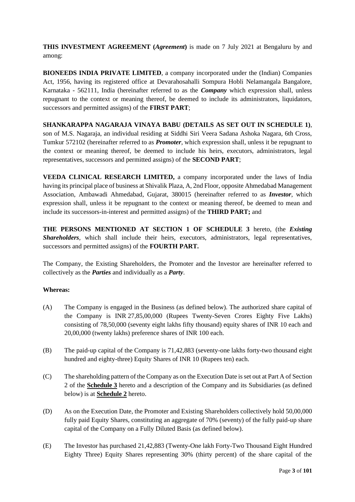**THIS INVESTMENT AGREEMENT (***Agreement***)** is made on 7 July 2021 at Bengaluru by and among:

**BIONEEDS INDIA PRIVATE LIMITED**, a company incorporated under the (Indian) Companies Act, 1956, having its registered office at Devarahosahalli Sompura Hobli Nelamangala Bangalore, Karnataka - 562111, India (hereinafter referred to as the *Company* which expression shall, unless repugnant to the context or meaning thereof, be deemed to include its administrators, liquidators, successors and permitted assigns) of the **FIRST PART**;

# **SHANKARAPPA NAGARAJA VINAYA BABU (DETAILS AS SET OUT IN SCHEDULE 1)**,

son of M.S. Nagaraja, an individual residing at Siddhi Siri Veera Sadana Ashoka Nagara, 6th Cross, Tumkur 572102 (hereinafter referred to as *Promoter*, which expression shall, unless it be repugnant to the context or meaning thereof, be deemed to include his heirs, executors, administrators, legal representatives, successors and permitted assigns) of the **SECOND PART**;

**VEEDA CLINICAL RESEARCH LIMITED,** a company incorporated under the laws of India having its principal place of business at Shivalik Plaza, A, 2nd Floor, opposite Ahmedabad Management Association, Ambawadi Ahmedabad, Gujarat, 380015 (hereinafter referred to as *Investor*, which expression shall, unless it be repugnant to the context or meaning thereof, be deemed to mean and include its successors-in-interest and permitted assigns) of the **THIRD PART;** and

**THE PERSONS MENTIONED AT SECTION 1 OF SCHEDULE 3** hereto, (the *Existing Shareholders*, which shall include their heirs, executors, administrators, legal representatives, successors and permitted assigns) of the **FOURTH PART.**

The Company, the Existing Shareholders, the Promoter and the Investor are hereinafter referred to collectively as the *Parties* and individually as a *Party*.

# **Whereas:**

- (A) The Company is engaged in the Business (as defined below). The authorized share capital of the Company is INR 27,85,00,000 (Rupees Twenty-Seven Crores Eighty Five Lakhs) consisting of 78,50,000 (seventy eight lakhs fifty thousand) equity shares of INR 10 each and 20,00,000 (twenty lakhs) preference shares of INR 100 each.
- (B) The paid-up capital of the Company is 71,42,883 (seventy-one lakhs forty-two thousand eight hundred and eighty-three) Equity Shares of INR 10 (Rupees ten) each.
- (C) The shareholding pattern of the Company as on the Execution Date is set out at Part A of Section 2 of the **Schedule 3** hereto and a description of the Company and its Subsidiaries (as defined below) is at **Schedule 2** hereto.
- (D) As on the Execution Date, the Promoter and Existing Shareholders collectively hold 50,00,000 fully paid Equity Shares, constituting an aggregate of 70% (seventy) of the fully paid-up share capital of the Company on a Fully Diluted Basis (as defined below).
- (E) The Investor has purchased 21,42,883 (Twenty-One lakh Forty-Two Thousand Eight Hundred Eighty Three) Equity Shares representing 30% (thirty percent) of the share capital of the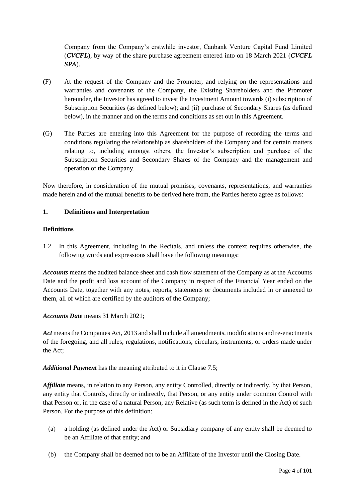Company from the Company's erstwhile investor, Canbank Venture Capital Fund Limited (*CVCFL*), by way of the share purchase agreement entered into on 18 March 2021 (*CVCFL SPA*).

- (F) At the request of the Company and the Promoter, and relying on the representations and warranties and covenants of the Company, the Existing Shareholders and the Promoter hereunder, the Investor has agreed to invest the Investment Amount towards (i) subscription of Subscription Securities (as defined below); and (ii) purchase of Secondary Shares (as defined below), in the manner and on the terms and conditions as set out in this Agreement.
- (G) The Parties are entering into this Agreement for the purpose of recording the terms and conditions regulating the relationship as shareholders of the Company and for certain matters relating to, including amongst others, the Investor's subscription and purchase of the Subscription Securities and Secondary Shares of the Company and the management and operation of the Company.

Now therefore, in consideration of the mutual promises, covenants, representations, and warranties made herein and of the mutual benefits to be derived here from, the Parties hereto agree as follows:

## **1. Definitions and Interpretation**

#### **Definitions**

1.2 In this Agreement, including in the Recitals, and unless the context requires otherwise, the following words and expressions shall have the following meanings:

*Accounts* means the audited balance sheet and cash flow statement of the Company as at the Accounts Date and the profit and loss account of the Company in respect of the Financial Year ended on the Accounts Date, together with any notes, reports, statements or documents included in or annexed to them, all of which are certified by the auditors of the Company;

*Accounts Date* means 31 March 2021;

Act means the Companies Act, 2013 and shall include all amendments, modifications and re-enactments of the foregoing, and all rules, regulations, notifications, circulars, instruments, or orders made under the Act;

*Additional Payment* has the meaning attributed to it in Clause [7.5;](#page-26-0)

*Affiliate* means, in relation to any Person, any entity Controlled, directly or indirectly, by that Person, any entity that Controls, directly or indirectly, that Person, or any entity under common Control with that Person or, in the case of a natural Person, any Relative (as such term is defined in the Act) of such Person. For the purpose of this definition:

- (a) a holding (as defined under the Act) or Subsidiary company of any entity shall be deemed to be an Affiliate of that entity; and
- (b) the Company shall be deemed not to be an Affiliate of the Investor until the Closing Date.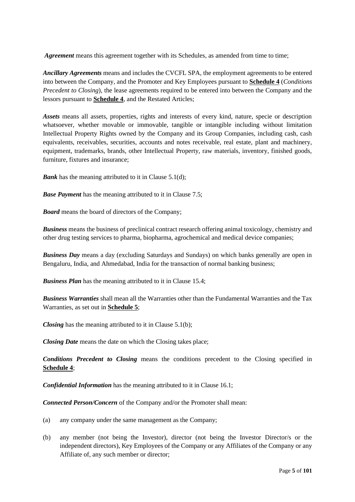*Agreement* means this agreement together with its Schedules, as amended from time to time;

*Ancillary Agreements* means and includes the CVCFL SPA, the employment agreements to be entered into between the Company, and the Promoter and Key Employees pursuant to **Schedule 4** (*Conditions Precedent to Closing*), the lease agreements required to be entered into between the Company and the lessors pursuant to **Schedule 4**, and the Restated Articles;

*Assets* means all assets, properties, rights and interests of every kind, nature, specie or description whatsoever, whether movable or immovable, tangible or intangible including without limitation Intellectual Property Rights owned by the Company and its Group Companies, including cash, cash equivalents, receivables, securities, accounts and notes receivable, real estate, plant and machinery, equipment, trademarks, brands, other Intellectual Property, raw materials, inventory, finished goods, furniture, fixtures and insurance;

*Bank* has the meaning attributed to it in Clause [5.1](#page-19-0)[\(d\);](#page-20-0)

*Base Payment* has the meaning attributed to it in Clause [7.5;](#page-26-0)

*Board* means the board of directors of the Company;

*Business* means the business of preclinical contract research offering animal toxicology, chemistry and other drug testing services to pharma, biopharma, agrochemical and medical device companies;

*Business Day* means a day (excluding Saturdays and Sundays) on which banks generally are open in Bengaluru, India, and Ahmedabad, India for the transaction of normal banking business;

*Business Plan* has the meaning attributed to it in Clause [15.4;](#page-42-0)

*Business Warranties* shall mean all the Warranties other than the Fundamental Warranties and the Tax Warranties, as set out in **Schedule 5**;

*Closing* has the meaning attributed to it in Clause [5.1](#page-19-0)[\(b\);](#page-20-1)

*Closing Date* means the date on which the Closing takes place;

*Conditions Precedent to Closing* means the conditions precedent to the Closing specified in **Schedule 4**;

*Confidential Information* has the meaning attributed to it in Clause [16.1;](#page-43-0)

*Connected Person/Concern* of the Company and/or the Promoter shall mean:

- (a) any company under the same management as the Company;
- (b) any member (not being the Investor), director (not being the Investor Director/s or the independent directors), Key Employees of the Company or any Affiliates of the Company or any Affiliate of, any such member or director;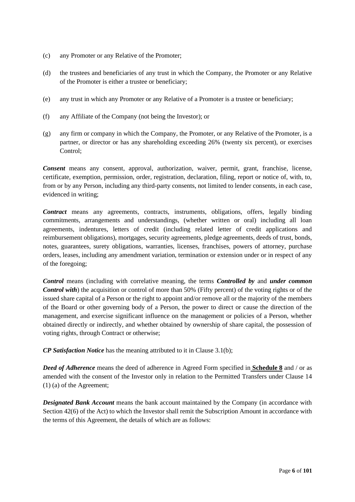- (c) any Promoter or any Relative of the Promoter;
- (d) the trustees and beneficiaries of any trust in which the Company, the Promoter or any Relative of the Promoter is either a trustee or beneficiary;
- (e) any trust in which any Promoter or any Relative of a Promoter is a trustee or beneficiary;
- (f) any Affiliate of the Company (not being the Investor); or
- (g) any firm or company in which the Company, the Promoter, or any Relative of the Promoter, is a partner, or director or has any shareholding exceeding 26% (twenty six percent), or exercises Control;

*Consent* means any consent, approval, authorization, waiver, permit, grant, franchise, license, certificate, exemption, permission, order, registration, declaration, filing, report or notice of, with, to, from or by any Person, including any third-party consents, not limited to lender consents, in each case, evidenced in writing;

*Contract* means any agreements, contracts, instruments, obligations, offers, legally binding commitments, arrangements and understandings, (whether written or oral) including all loan agreements, indentures, letters of credit (including related letter of credit applications and reimbursement obligations), mortgages, security agreements, pledge agreements, deeds of trust, bonds, notes, guarantees, surety obligations, warranties, licenses, franchises, powers of attorney, purchase orders, leases, including any amendment variation, termination or extension under or in respect of any of the foregoing;

*Control* means (including with correlative meaning, the terms *Controlled by* and *under common Control with*) the acquisition or control of more than 50% (Fifty percent) of the voting rights or of the issued share capital of a Person or the right to appoint and/or remove all or the majority of the members of the Board or other governing body of a Person, the power to direct or cause the direction of the management, and exercise significant influence on the management or policies of a Person, whether obtained directly or indirectly, and whether obtained by ownership of share capital, the possession of voting rights, through Contract or otherwise;

*CP Satisfaction Notice* has the meaning attributed to it in Claus[e 3.1](#page-16-0)[\(b\);](#page-16-1)

*Deed of Adherence* means the deed of adherence in Agreed Form specified in **Schedule 8** and / or as amended with the consent of the Investor only in relation to the Permitted Transfers under Clause 14 (1) (a) of the Agreement;

*Designated Bank Account* means the bank account maintained by the Company (in accordance with Section 42(6) of the Act) to which the Investor shall remit the Subscription Amount in accordance with the terms of this Agreement, the details of which are as follows: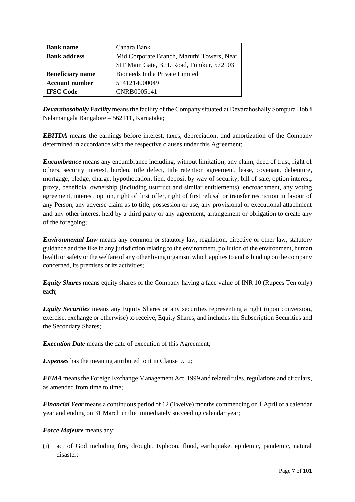| <b>Bank name</b>        | Canara Bank                                |
|-------------------------|--------------------------------------------|
| <b>Bank address</b>     | Mid Corporate Branch, Maruthi Towers, Near |
|                         | SIT Main Gate, B.H. Road, Tumkur, 572103   |
| <b>Beneficiary name</b> | Bioneeds India Private Limited             |
| <b>Account number</b>   | 5141214000049                              |
| <b>IFSC Code</b>        | CNRB0005141                                |

*Devarahosahally Facility* means the facility of the Company situated at Devarahoshally Sompura Hobli Nelamangala Bangalore – 562111, Karnataka;

*EBITDA* means the earnings before interest, taxes, depreciation, and amortization of the Company determined in accordance with the respective clauses under this Agreement;

*Encumbrance* means any encumbrance including, without limitation, any claim, deed of trust, right of others, security interest, burden, title defect, title retention agreement, lease, covenant, debenture, mortgage, pledge, charge, hypothecation, lien, deposit by way of security, bill of sale, option interest, proxy, beneficial ownership (including usufruct and similar entitlements), encroachment, any voting agreement, interest, option, right of first offer, right of first refusal or transfer restriction in favour of any Person, any adverse claim as to title, possession or use, any provisional or executional attachment and any other interest held by a third party or any agreement, arrangement or obligation to create any of the foregoing;

*Environmental Law* means any common or statutory law, regulation, directive or other law, statutory guidance and the like in any jurisdiction relating to the environment, pollution of the environment, human health or safety or the welfare of any other living organism which applies to and is binding on the company concerned, its premises or its activities;

*Equity Shares* means equity shares of the Company having a face value of INR 10 (Rupees Ten only) each;

*Equity Securities* means any Equity Shares or any securities representing a right (upon conversion, exercise, exchange or otherwise) to receive, Equity Shares, and includes the Subscription Securities and the Secondary Shares;

*Execution Date* means the date of execution of this Agreement;

*Expenses* has the meaning attributed to it in Clause [9.12;](#page-32-0)

*FEMA* means the Foreign Exchange Management Act, 1999 and related rules, regulations and circulars, as amended from time to time;

*Financial Year* means a continuous period of 12 (Twelve) months commencing on 1 April of a calendar year and ending on 31 March in the immediately succeeding calendar year;

#### *Force Majeure* means any:

(i) act of God including fire, drought, typhoon, flood, earthquake, epidemic, pandemic, natural disaster;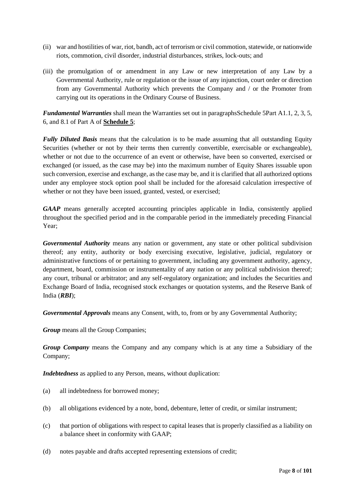- (ii) war and hostilities of war, riot, bandh, act of terrorism or civil commotion, statewide, or nationwide riots, commotion, civil disorder, industrial disturbances, strikes, lock-outs; and
- (iii) the promulgation of or amendment in any Law or new interpretation of any Law by a Governmental Authority, rule or regulation or the issue of any injunction, court order or direction from any Governmental Authority which prevents the Company and / or the Promoter from carrying out its operations in the Ordinary Course of Business.

*Fundamental Warranties* shall mean the Warranties set out in paragraphsSchedule 5Part A1.1, 2, 3, 5, 6, and 8.1 of Part A of **Schedule 5**;

*Fully Diluted Basis* means that the calculation is to be made assuming that all outstanding Equity Securities (whether or not by their terms then currently convertible, exercisable or exchangeable), whether or not due to the occurrence of an event or otherwise, have been so converted, exercised or exchanged (or issued, as the case may be) into the maximum number of Equity Shares issuable upon such conversion, exercise and exchange, as the case may be, and it is clarified that all authorized options under any employee stock option pool shall be included for the aforesaid calculation irrespective of whether or not they have been issued, granted, vested, or exercised;

*GAAP* means generally accepted accounting principles applicable in India, consistently applied throughout the specified period and in the comparable period in the immediately preceding Financial Year;

*Governmental Authority* means any nation or government, any state or other political subdivision thereof; any entity, authority or body exercising executive, legislative, judicial, regulatory or administrative functions of or pertaining to government, including any government authority, agency, department, board, commission or instrumentality of any nation or any political subdivision thereof; any court, tribunal or arbitrator; and any self-regulatory organization; and includes the Securities and Exchange Board of India, recognised stock exchanges or quotation systems, and the Reserve Bank of India (*RBI*);

*Governmental Approvals* means any Consent, with, to, from or by any Governmental Authority;

*Group* means all the Group Companies:

*Group Company* means the Company and any company which is at any time a Subsidiary of the Company;

*Indebtedness* as applied to any Person, means, without duplication:

- (a) all indebtedness for borrowed money;
- (b) all obligations evidenced by a note, bond, debenture, letter of credit, or similar instrument;
- (c) that portion of obligations with respect to capital leases that is properly classified as a liability on a balance sheet in conformity with GAAP;
- (d) notes payable and drafts accepted representing extensions of credit;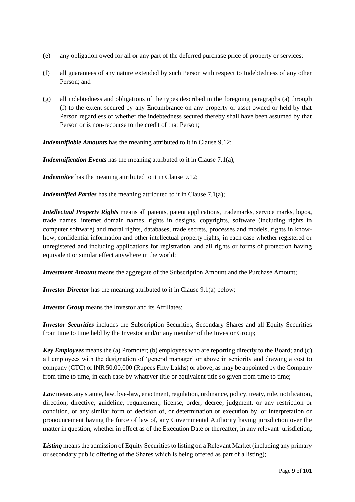- (e) any obligation owed for all or any part of the deferred purchase price of property or services;
- (f) all guarantees of any nature extended by such Person with respect to Indebtedness of any other Person; and
- (g) all indebtedness and obligations of the types described in the foregoing paragraphs (a) through (f) to the extent secured by any Encumbrance on any property or asset owned or held by that Person regardless of whether the indebtedness secured thereby shall have been assumed by that Person or is non-recourse to the credit of that Person;

*Indemnifiable Amounts* has the meaning attributed to it in Clause [9.12;](#page-32-0)

*Indemnification Events* has the meaning attributed to it in Claus[e 7.1](#page-25-0)[\(a\);](#page-25-1)

*Indemnitee* has the meaning attributed to it in Clause [9.12;](#page-32-0)

*Indemnified Parties* has the meaning attributed to it in Clause [7.1](#page-25-0)[\(a\);](#page-25-1)

*Intellectual Property Rights* means all patents, patent applications, trademarks, service marks, logos, trade names, internet domain names, rights in designs, copyrights, software (including rights in computer software) and moral rights, databases, trade secrets, processes and models, rights in knowhow, confidential information and other intellectual property rights, in each case whether registered or unregistered and including applications for registration, and all rights or forms of protection having equivalent or similar effect anywhere in the world;

*Investment Amount* means the aggregate of the Subscription Amount and the Purchase Amount;

*Investor Director* has the meaning attributed to it in Clause [9.1](#page-30-0)[\(a\)](#page-30-1) below;

*Investor Group* means the Investor and its Affiliates;

*Investor Securities* includes the Subscription Securities, Secondary Shares and all Equity Securities from time to time held by the Investor and/or any member of the Investor Group;

*Key Employees* means the (a) Promoter; (b) employees who are reporting directly to the Board; and (c) all employees with the designation of 'general manager' or above in seniority and drawing a cost to company (CTC) of INR 50,00,000 (Rupees Fifty Lakhs) or above, as may be appointed by the Company from time to time, in each case by whatever title or equivalent title so given from time to time;

*Law* means any statute, law, bye-law, enactment, regulation, ordinance, policy, treaty, rule, notification, direction, directive, guideline, requirement, license, order, decree, judgment, or any restriction or condition, or any similar form of decision of, or determination or execution by, or interpretation or pronouncement having the force of law of, any Governmental Authority having jurisdiction over the matter in question, whether in effect as of the Execution Date or thereafter, in any relevant jurisdiction;

*Listing* means the admission of Equity Securities to listing on a Relevant Market (including any primary or secondary public offering of the Shares which is being offered as part of a listing);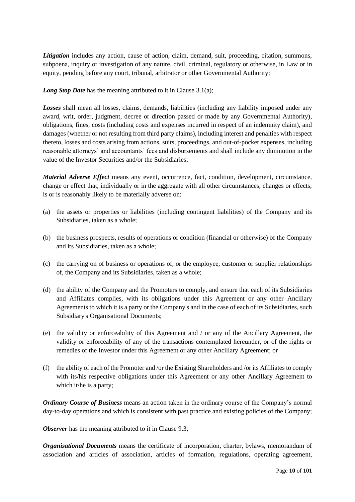*Litigation* includes any action, cause of action, claim, demand, suit, proceeding, citation, summons, subpoena, inquiry or investigation of any nature, civil, criminal, regulatory or otherwise, in Law or in equity, pending before any court, tribunal, arbitrator or other Governmental Authority;

*Long Stop Date* has the meaning attributed to it in Clause [3.1](#page-16-0)[\(a\);](#page-16-2)

*Losses* shall mean all losses, claims, demands, liabilities (including any liability imposed under any award, writ, order, judgment, decree or direction passed or made by any Governmental Authority), obligations, fines, costs (including costs and expenses incurred in respect of an indemnity claim), and damages (whether or not resulting from third party claims), including interest and penalties with respect thereto, losses and costs arising from actions, suits, proceedings, and out-of-pocket expenses, including reasonable attorneys' and accountants' fees and disbursements and shall include any diminution in the value of the Investor Securities and/or the Subsidiaries;

*Material Adverse Effect* means any event, occurrence, fact, condition, development, circumstance, change or effect that, individually or in the aggregate with all other circumstances, changes or effects, is or is reasonably likely to be materially adverse on:

- (a) the assets or properties or liabilities (including contingent liabilities) of the Company and its Subsidiaries, taken as a whole;
- (b) the business prospects, results of operations or condition (financial or otherwise) of the Company and its Subsidiaries, taken as a whole;
- (c) the carrying on of business or operations of, or the employee, customer or supplier relationships of, the Company and its Subsidiaries, taken as a whole;
- (d) the ability of the Company and the Promoters to comply, and ensure that each of its Subsidiaries and Affiliates complies, with its obligations under this Agreement or any other Ancillary Agreements to which it is a party or the Company's and in the case of each of its Subsidiaries, such Subsidiary's Organisational Documents;
- (e) the validity or enforceability of this Agreement and / or any of the Ancillary Agreement, the validity or enforceability of any of the transactions contemplated hereunder, or of the rights or remedies of the Investor under this Agreement or any other Ancillary Agreement; or
- (f) the ability of each of the Promoter and /or the Existing Shareholders and /or its Affiliates to comply with its/his respective obligations under this Agreement or any other Ancillary Agreement to which it/he is a party;

*Ordinary Course of Business* means an action taken in the ordinary course of the Company's normal day-to-day operations and which is consistent with past practice and existing policies of the Company;

*Observer* has the meaning attributed to it in Clause [9.3;](#page-31-0)

*Organisational Documents* means the certificate of incorporation, charter, bylaws, memorandum of association and articles of association, articles of formation, regulations, operating agreement,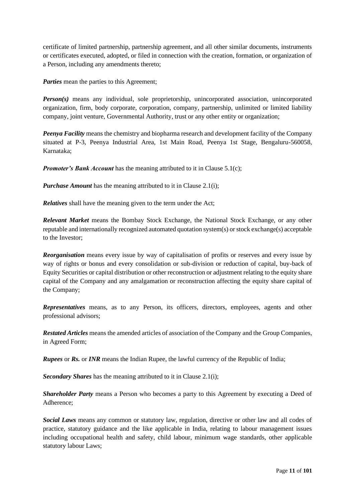certificate of limited partnership, partnership agreement, and all other similar documents, instruments or certificates executed, adopted, or filed in connection with the creation, formation, or organization of a Person, including any amendments thereto;

*Parties* mean the parties to this Agreement;

*Person(s)* means any individual, sole proprietorship, unincorporated association, unincorporated organization, firm, body corporate, corporation, company, partnership, unlimited or limited liability company, joint venture, Governmental Authority, trust or any other entity or organization;

*Peenya Facility* means the chemistry and biopharma research and development facility of the Company situated at P-3, Peenya Industrial Area, 1st Main Road, Peenya 1st Stage, Bengaluru-560058, Karnataka;

*Promoter's Bank Account* has the meaning attributed to it in Clause [5.1](#page-19-0)[\(c\);](#page-20-2)

*Purchase Amount* has the meaning attributed to it in Clause [2.1](#page-13-0)[\(i\);](#page-13-1)

*Relatives* shall have the meaning given to the term under the Act;

*Relevant Market* means the Bombay Stock Exchange, the National Stock Exchange, or any other reputable and internationally recognized automated quotation system(s) or stock exchange(s) acceptable to the Investor;

*Reorganisation* means every issue by way of capitalisation of profits or reserves and every issue by way of rights or bonus and every consolidation or sub-division or reduction of capital, buy-back of Equity Securities or capital distribution or other reconstruction or adjustment relating to the equity share capital of the Company and any amalgamation or reconstruction affecting the equity share capital of the Company;

*Representatives* means, as to any Person, its officers, directors, employees, agents and other professional advisors;

*Restated Articles* means the amended articles of association of the Company and the Group Companies, in Agreed Form;

*Rupees* or *Rs.* or *INR* means the Indian Rupee, the lawful currency of the Republic of India;

*Secondary Shares* has the meaning attributed to it in Claus[e 2.1](#page-13-0)[\(i\);](#page-13-1)

*Shareholder Party* means a Person who becomes a party to this Agreement by executing a Deed of Adherence;

*Social Laws* means any common or statutory law, regulation, directive or other law and all codes of practice, statutory guidance and the like applicable in India, relating to labour management issues including occupational health and safety, child labour, minimum wage standards, other applicable statutory labour Laws;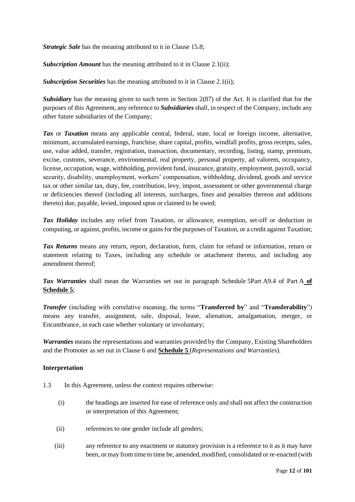*Strategic Sale* has the meaning attributed to it in Clause [15.8;](#page-43-1)

*Subscription Amount* has the meaning attributed to it in Clause [2.1](#page-13-0)[\(ii\);](#page-14-0)

*Subscription Securities* has the meaning attributed to it in Clause [2.1](#page-13-0)[\(ii\);](#page-14-0)

**Subsidiary** has the meaning given to such term in Section 2(87) of the Act. It is clarified that for the purposes of this Agreement, any reference to *Subsidiaries* shall, in respect of the Company, include any other future subsidiaries of the Company;

*Tax* or *Taxation* means any applicable central, federal, state, local or foreign income, alternative, minimum, accumulated earnings, franchise, share capital, profits, windfall profits, gross receipts, sales, use, value added, transfer, registration, transaction, documentary, recording, listing, stamp, premium, excise, customs, severance, environmental, real property, personal property, ad valorem, occupancy, license, occupation, wage, withholding, provident fund, insurance, gratuity, employment, payroll, social security, disability, unemployment, workers' compensation, withholding, dividend, goods and service tax or other similar tax, duty, fee, contribution, levy, impost, assessment or other governmental charge or deficiencies thereof (including all interests, surcharges, fines and penalties thereon and additions thereto) due, payable, levied, imposed upon or claimed to be owed;

*Tax Holiday* includes any relief from Taxation, or allowance, exemption, set-off or deduction in computing, or against, profits, income or gains for the purposes of Taxation, or a credit against Taxation;

*Tax Returns* means any return, report, declaration, form, claim for refund or information, return or statement relating to Taxes, including any schedule or attachment thereto, and including any amendment thereof;

*Tax Warranties* shall mean the Warranties set out in paragraph Schedule 5Part A9.4 of Part A **of Schedule 5**;

*Transfer* (including with correlative meaning, the terms "**Transferred by**" and "**Transferability**") means any transfer, assignment, sale, disposal, lease, alienation, amalgamation, merger, or Encumbrance, in each case whether voluntary or involuntary;

*Warranties* means the representations and warranties provided by the Company, Existing Shareholders and the Promoter as set out in Clause [6](#page-24-0) and **Schedule 5** (*Representations and Warranties*).

#### **Interpretation**

- 1.3 In this Agreement, unless the context requires otherwise:
	- (i) the headings are inserted for ease of reference only and shall not affect the construction or interpretation of this Agreement;
	- (ii) references to one gender include all genders;
	- (iii) any reference to any enactment or statutory provision is a reference to it as it may have been, or may from time to time be, amended, modified, consolidated or re-enacted (with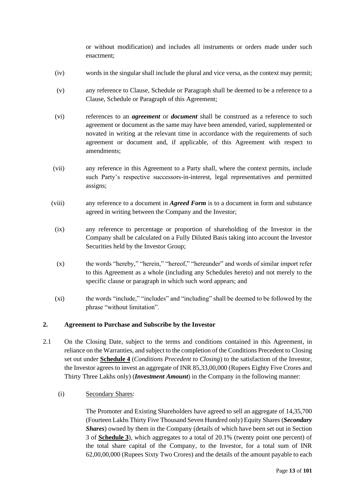or without modification) and includes all instruments or orders made under such enactment;

- (iv) words in the singular shall include the plural and vice versa, as the context may permit;
- (v) any reference to Clause, Schedule or Paragraph shall be deemed to be a reference to a Clause, Schedule or Paragraph of this Agreement;
- (vi) references to an *agreement* or *document* shall be construed as a reference to such agreement or document as the same may have been amended, varied, supplemented or novated in writing at the relevant time in accordance with the requirements of such agreement or document and, if applicable, of this Agreement with respect to amendments;
- (vii) any reference in this Agreement to a Party shall, where the context permits, include such Party's respective successors-in-interest, legal representatives and permitted assigns;
- (viii) any reference to a document in *Agreed Form* is to a document in form and substance agreed in writing between the Company and the Investor;
	- (ix) any reference to percentage or proportion of shareholding of the Investor in the Company shall be calculated on a Fully Diluted Basis taking into account the Investor Securities held by the Investor Group;
	- (x) the words "hereby," "herein," "hereof," "hereunder" and words of similar import refer to this Agreement as a whole (including any Schedules hereto) and not merely to the specific clause or paragraph in which such word appears; and
	- (xi) the words "include," "includes" and "including" shall be deemed to be followed by the phrase "without limitation".

#### **2. Agreement to Purchase and Subscribe by the Investor**

- <span id="page-13-0"></span>2.1 On the Closing Date, subject to the terms and conditions contained in this Agreement, in reliance on the Warranties, and subject to the completion of the Conditions Precedent to Closing set out under **Schedule 4** (*Conditions Precedent to Closing*) to the satisfaction of the Investor, the Investor agrees to invest an aggregate of INR 85,33,00,000 (Rupees Eighty Five Crores and Thirty Three Lakhs only) (*Investment Amount*) in the Company in the following manner:
	- (i) Secondary Shares:

<span id="page-13-1"></span>The Promoter and Existing Shareholders have agreed to sell an aggregate of 14,35,700 (Fourteen Lakhs Thirty Five Thousand Seven Hundred only) Equity Shares (*Secondary Shares*) owned by them in the Company (details of which have been set out in Section 3 of **Schedule 3**), which aggregates to a total of 20.1% (twenty point one percent) of the total share capital of the Company, to the Investor, for a total sum of INR 62,00,00,000 (Rupees Sixty Two Crores) and the details of the amount payable to each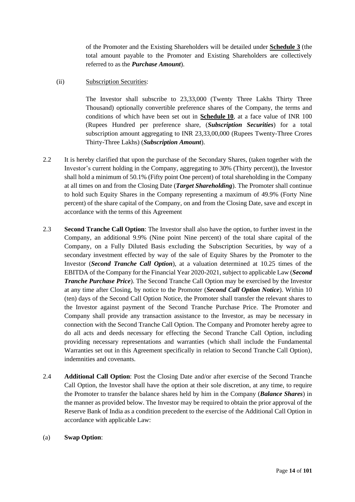of the Promoter and the Existing Shareholders will be detailed under **Schedule 3** (the total amount payable to the Promoter and Existing Shareholders are collectively referred to as the *Purchase Amount*).

<span id="page-14-0"></span>(ii) Subscription Securities:

The Investor shall subscribe to 23,33,000 (Twenty Three Lakhs Thirty Three Thousand) optionally convertible preference shares of the Company, the terms and conditions of which have been set out in **Schedule 10**, at a face value of INR 100 (Rupees Hundred per preference share, (*Subscription Securities*) for a total subscription amount aggregating to INR 23,33,00,000 (Rupees Twenty-Three Crores Thirty-Three Lakhs) (*Subscription Amount*).

- 2.2 It is hereby clarified that upon the purchase of the Secondary Shares, (taken together with the Investor's current holding in the Company, aggregating to 30% (Thirty percent)), the Investor shall hold a minimum of 50.1% (Fifty point One percent) of total shareholding in the Company at all times on and from the Closing Date (*Target Shareholding*). The Promoter shall continue to hold such Equity Shares in the Company representing a maximum of 49.9% (Forty Nine percent) of the share capital of the Company, on and from the Closing Date, save and except in accordance with the terms of this Agreement
- 2.3 **Second Tranche Call Option**: The Investor shall also have the option, to further invest in the Company, an additional 9.9% (Nine point Nine percent) of the total share capital of the Company, on a Fully Diluted Basis excluding the Subscription Securities, by way of a secondary investment effected by way of the sale of Equity Shares by the Promoter to the Investor (*Second Tranche Call Option*), at a valuation determined at 10.25 times of the EBITDA of the Company for the Financial Year 2020-2021, subject to applicable Law (*Second Tranche Purchase Price*). The Second Tranche Call Option may be exercised by the Investor at any time after Closing, by notice to the Promoter (*Second Call Option Notice*). Within 10 (ten) days of the Second Call Option Notice, the Promoter shall transfer the relevant shares to the Investor against payment of the Second Tranche Purchase Price. The Promoter and Company shall provide any transaction assistance to the Investor, as may be necessary in connection with the Second Tranche Call Option. The Company and Promoter hereby agree to do all acts and deeds necessary for effecting the Second Tranche Call Option, including providing necessary representations and warranties (which shall include the Fundamental Warranties set out in this Agreement specifically in relation to Second Tranche Call Option), indemnities and covenants.
- 2.4 **Additional Call Option**: Post the Closing Date and/or after exercise of the Second Tranche Call Option, the Investor shall have the option at their sole discretion, at any time, to require the Promoter to transfer the balance shares held by him in the Company (*Balance Shares*) in the manner as provided below. The Investor may be required to obtain the prior approval of the Reserve Bank of India as a condition precedent to the exercise of the Additional Call Option in accordance with applicable Law:
- (a) **Swap Option**: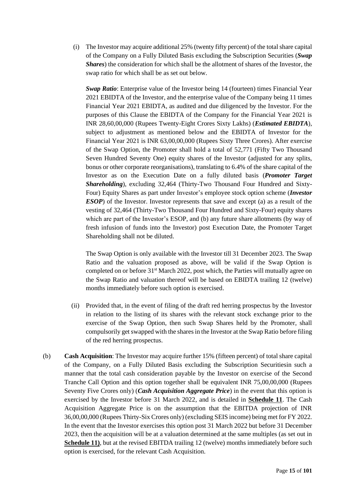(i) The Investor may acquire additional 25% (twenty fifty percent) of the total share capital of the Company on a Fully Diluted Basis excluding the Subscription Securities (*Swap Shares*) the consideration for which shall be the allotment of shares of the Investor, the swap ratio for which shall be as set out below.

*Swap Ratio*: Enterprise value of the Investor being 14 (fourteen) times Financial Year 2021 EBIDTA of the Investor, and the enterprise value of the Company being 11 times Financial Year 2021 EBIDTA, as audited and due diligenced by the Investor. For the purposes of this Clause the EBIDTA of the Company for the Financial Year 2021 is INR 28,60,00,000 (Rupees Twenty-Eight Crores Sixty Lakhs) (*Estimated EBIDTA*), subject to adjustment as mentioned below and the EBIDTA of Investor for the Financial Year 2021 is INR 63,00,00,000 (Rupees Sixty Three Crores). After exercise of the Swap Option, the Promoter shall hold a total of 52,771 (Fifty Two Thousand Seven Hundred Seventy One) equity shares of the Investor (adjusted for any splits, bonus or other corporate reorganisations), translating to 6.4% of the share capital of the Investor as on the Execution Date on a fully diluted basis (*Promoter Target Shareholding*), excluding 32,464 (Thirty-Two Thousand Four Hundred and Sixty-Four) Equity Shares as part under Investor's employee stock option scheme (*Investor ESOP*) of the Investor. Investor represents that save and except (a) as a result of the vesting of 32,464 (Thirty-Two Thousand Four Hundred and Sixty-Four) equity shares which are part of the Investor's ESOP, and (b) any future share allotments (by way of fresh infusion of funds into the Investor) post Execution Date, the Promoter Target Shareholding shall not be diluted.

The Swap Option is only available with the Investor till 31 December 2023. The Swap Ratio and the valuation proposed as above, will be valid if the Swap Option is completed on or before 31<sup>st</sup> March 2022, post which, the Parties will mutually agree on the Swap Ratio and valuation thereof will be based on EBIDTA trailing 12 (twelve) months immediately before such option is exercised.

- (ii) Provided that, in the event of filing of the draft red herring prospectus by the Investor in relation to the listing of its shares with the relevant stock exchange prior to the exercise of the Swap Option, then such Swap Shares held by the Promoter, shall compulsorily get swapped with the shares in the Investor at the Swap Ratio before filing of the red herring prospectus.
- (b) **Cash Acquisition**: The Investor may acquire further 15% (fifteen percent) of total share capital of the Company, on a Fully Diluted Basis excluding the Subscription Securitiesin such a manner that the total cash consideration payable by the Investor on exercise of the Second Tranche Call Option and this option together shall be equivalent INR 75,00,00,000 (Rupees Seventy Five Crores only) (*Cash Acquisition Aggregate Price*) in the event that this option is exercised by the Investor before 31 March 2022, and is detailed in **Schedule 11**. The Cash Acquisition Aggregate Price is on the assumption that the EBITDA projection of INR 36,00,00,000 (Rupees Thirty-Six Crores only) (excluding SEIS income) being met for FY 2022. In the event that the Investor exercises this option post 31 March 2022 but before 31 December 2023, then the acquisition will be at a valuation determined at the same multiples (as set out in **Schedule 11)**, but at the revised EBITDA trailing 12 (twelve) months immediately before such option is exercised, for the relevant Cash Acquisition.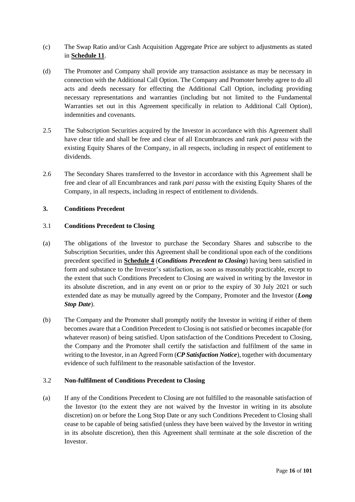- (c) The Swap Ratio and/or Cash Acquisition Aggregate Price are subject to adjustments as stated in **Schedule 11**.
- (d) The Promoter and Company shall provide any transaction assistance as may be necessary in connection with the Additional Call Option. The Company and Promoter hereby agree to do all acts and deeds necessary for effecting the Additional Call Option, including providing necessary representations and warranties (including but not limited to the Fundamental Warranties set out in this Agreement specifically in relation to Additional Call Option), indemnities and covenants.
- 2.5 The Subscription Securities acquired by the Investor in accordance with this Agreement shall have clear title and shall be free and clear of all Encumbrances and rank *pari passu* with the existing Equity Shares of the Company, in all respects, including in respect of entitlement to dividends.
- 2.6 The Secondary Shares transferred to the Investor in accordance with this Agreement shall be free and clear of all Encumbrances and rank *pari passu* with the existing Equity Shares of the Company, in all respects, including in respect of entitlement to dividends.

## **3. Conditions Precedent**

## <span id="page-16-0"></span>3.1 **Conditions Precedent to Closing**

- <span id="page-16-2"></span>(a) The obligations of the Investor to purchase the Secondary Shares and subscribe to the Subscription Securities, under this Agreement shall be conditional upon each of the conditions precedent specified in **Schedule 4** (*Conditions Precedent to Closing*) having been satisfied in form and substance to the Investor's satisfaction, as soon as reasonably practicable, except to the extent that such Conditions Precedent to Closing are waived in writing by the Investor in its absolute discretion, and in any event on or prior to the expiry of 30 July 2021 or such extended date as may be mutually agreed by the Company, Promoter and the Investor (*Long Stop Date*).
- <span id="page-16-1"></span>(b) The Company and the Promoter shall promptly notify the Investor in writing if either of them becomes aware that a Condition Precedent to Closing is not satisfied or becomes incapable (for whatever reason) of being satisfied. Upon satisfaction of the Conditions Precedent to Closing, the Company and the Promoter shall certify the satisfaction and fulfilment of the same in writing to the Investor, in an Agreed Form (*CP Satisfaction Notice*), together with documentary evidence of such fulfilment to the reasonable satisfaction of the Investor.

#### <span id="page-16-3"></span>3.2 **Non-fulfilment of Conditions Precedent to Closing**

(a) If any of the Conditions Precedent to Closing are not fulfilled to the reasonable satisfaction of the Investor (to the extent they are not waived by the Investor in writing in its absolute discretion) on or before the Long Stop Date or any such Conditions Precedent to Closing shall cease to be capable of being satisfied (unless they have been waived by the Investor in writing in its absolute discretion), then this Agreement shall terminate at the sole discretion of the Investor.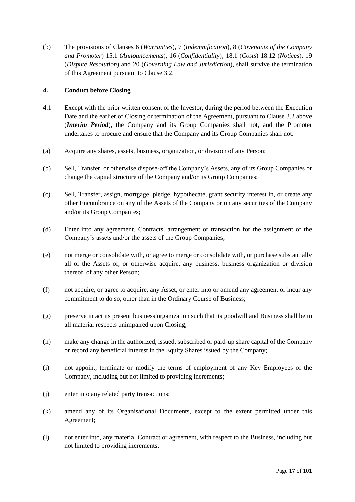(b) The provisions of Clauses [6](#page-24-0) (*Warranties*), [7](#page-25-2) (*Indemnification*), [8](#page-30-2) (*Covenants of the Company and Promoter*) [15.1](#page-40-0) (*Announcements*), [16](#page-43-2) (*Confidentiality*), [18.1](#page-46-0) (*Costs*) [18.12](#page-49-0) (*Notices*), [19](#page-50-0) (*Dispute Resolution*) and [20](#page-51-0) (*Governing Law and Jurisdiction*), shall survive the termination of this Agreement pursuant to Clause [3.2.](#page-16-3)

# **4. Conduct before Closing**

- <span id="page-17-0"></span>4.1 Except with the prior written consent of the Investor, during the period between the Execution Date and the earlier of Closing or termination of the Agreement, pursuant to Clause [3.2](#page-16-3) above (*Interim Period*), the Company and its Group Companies shall not, and the Promoter undertakes to procure and ensure that the Company and its Group Companies shall not:
- (a) Acquire any shares, assets, business, organization, or division of any Person;
- (b) Sell, Transfer, or otherwise dispose-off the Company's Assets, any of its Group Companies or change the capital structure of the Company and/or its Group Companies;
- (c) Sell, Transfer, assign, mortgage, pledge, hypothecate, grant security interest in, or create any other Encumbrance on any of the Assets of the Company or on any securities of the Company and/or its Group Companies;
- (d) Enter into any agreement, Contracts, arrangement or transaction for the assignment of the Company's assets and/or the assets of the Group Companies;
- (e) not merge or consolidate with, or agree to merge or consolidate with, or purchase substantially all of the Assets of, or otherwise acquire, any business, business organization or division thereof, of any other Person;
- (f) not acquire, or agree to acquire, any Asset, or enter into or amend any agreement or incur any commitment to do so, other than in the Ordinary Course of Business;
- (g) preserve intact its present business organization such that its goodwill and Business shall be in all material respects unimpaired upon Closing;
- (h) make any change in the authorized, issued, subscribed or paid-up share capital of the Company or record any beneficial interest in the Equity Shares issued by the Company;
- (i) not appoint, terminate or modify the terms of employment of any Key Employees of the Company, including but not limited to providing increments;
- (j) enter into any related party transactions;
- (k) amend any of its Organisational Documents, except to the extent permitted under this Agreement;
- (l) not enter into, any material Contract or agreement, with respect to the Business, including but not limited to providing increments;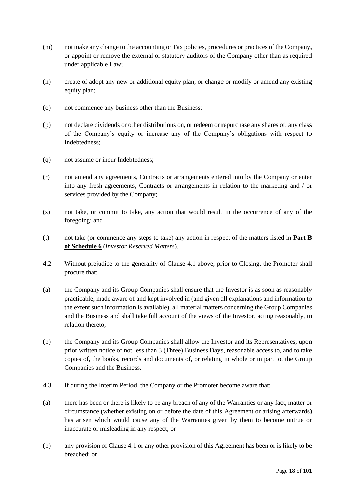- (m) not make any change to the accounting or Tax policies, procedures or practices of the Company, or appoint or remove the external or statutory auditors of the Company other than as required under applicable Law;
- (n) create of adopt any new or additional equity plan, or change or modify or amend any existing equity plan;
- (o) not commence any business other than the Business;
- (p) not declare dividends or other distributions on, or redeem or repurchase any shares of, any class of the Company's equity or increase any of the Company's obligations with respect to Indebtedness;
- (q) not assume or incur Indebtedness;
- (r) not amend any agreements, Contracts or arrangements entered into by the Company or enter into any fresh agreements, Contracts or arrangements in relation to the marketing and / or services provided by the Company;
- (s) not take, or commit to take, any action that would result in the occurrence of any of the foregoing; and
- (t) not take (or commence any steps to take) any action in respect of the matters listed in **Part B of Schedule 6** (*Investor Reserved Matters*).
- 4.2 Without prejudice to the generality of Clause [4.1](#page-17-0) above, prior to Closing, the Promoter shall procure that:
- (a) the Company and its Group Companies shall ensure that the Investor is as soon as reasonably practicable, made aware of and kept involved in (and given all explanations and information to the extent such information is available), all material matters concerning the Group Companies and the Business and shall take full account of the views of the Investor, acting reasonably, in relation thereto;
- (b) the Company and its Group Companies shall allow the Investor and its Representatives, upon prior written notice of not less than 3 (Three) Business Days, reasonable access to, and to take copies of, the books, records and documents of, or relating in whole or in part to, the Group Companies and the Business.
- 4.3 If during the Interim Period, the Company or the Promoter become aware that:
- (a) there has been or there is likely to be any breach of any of the Warranties or any fact, matter or circumstance (whether existing on or before the date of this Agreement or arising afterwards) has arisen which would cause any of the Warranties given by them to become untrue or inaccurate or misleading in any respect; or
- (b) any provision of Clause [4.1](#page-17-0) or any other provision of this Agreement has been or is likely to be breached; or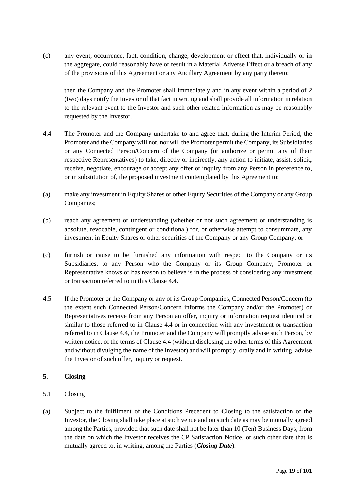(c) any event, occurrence, fact, condition, change, development or effect that, individually or in the aggregate, could reasonably have or result in a Material Adverse Effect or a breach of any of the provisions of this Agreement or any Ancillary Agreement by any party thereto;

then the Company and the Promoter shall immediately and in any event within a period of 2 (two) days notify the Investor of that fact in writing and shall provide all information in relation to the relevant event to the Investor and such other related information as may be reasonably requested by the Investor.

- <span id="page-19-1"></span>4.4 The Promoter and the Company undertake to and agree that, during the Interim Period, the Promoter and the Company will not, nor will the Promoter permit the Company, its Subsidiaries or any Connected Person/Concern of the Company (or authorize or permit any of their respective Representatives) to take, directly or indirectly, any action to initiate, assist, solicit, receive, negotiate, encourage or accept any offer or inquiry from any Person in preference to, or in substitution of, the proposed investment contemplated by this Agreement to:
- (a) make any investment in Equity Shares or other Equity Securities of the Company or any Group Companies;
- (b) reach any agreement or understanding (whether or not such agreement or understanding is absolute, revocable, contingent or conditional) for, or otherwise attempt to consummate, any investment in Equity Shares or other securities of the Company or any Group Company; or
- (c) furnish or cause to be furnished any information with respect to the Company or its Subsidiaries, to any Person who the Company or its Group Company, Promoter or Representative knows or has reason to believe is in the process of considering any investment or transaction referred to in this Clause [4.4.](#page-19-1)
- 4.5 If the Promoter or the Company or any of its Group Companies, Connected Person/Concern (to the extent such Connected Person/Concern informs the Company and/or the Promoter) or Representatives receive from any Person an offer, inquiry or information request identical or similar to those referred to in Clause [4.4](#page-19-1) or in connection with any investment or transaction referred to in Clause [4.4,](#page-19-1) the Promoter and the Company will promptly advise such Person, by written notice, of the terms of Clause [4.4](#page-19-1) (without disclosing the other terms of this Agreement and without divulging the name of the Investor) and will promptly, orally and in writing, advise the Investor of such offer, inquiry or request.

# **5. Closing**

- <span id="page-19-0"></span>5.1 Closing
- (a) Subject to the fulfilment of the Conditions Precedent to Closing to the satisfaction of the Investor, the Closing shall take place at such venue and on such date as may be mutually agreed among the Parties, provided that such date shall not be later than 10 (Ten) Business Days, from the date on which the Investor receives the CP Satisfaction Notice, or such other date that is mutually agreed to, in writing, among the Parties (*Closing Date*).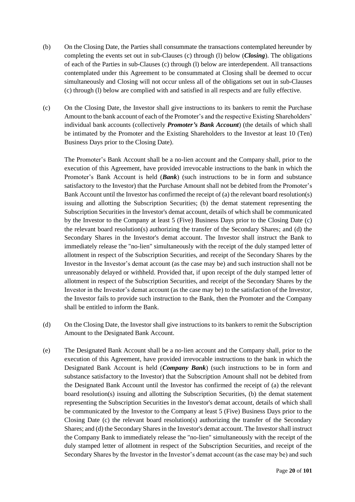- <span id="page-20-1"></span>(b) On the Closing Date, the Parties shall consummate the transactions contemplated hereunder by completing the events set out in sub-Clauses (c) through (l) below (*Closing*). The obligations of each of the Parties in sub-Clauses (c) through (l) below are interdependent. All transactions contemplated under this Agreement to be consummated at Closing shall be deemed to occur simultaneously and Closing will not occur unless all of the obligations set out in sub-Clauses (c) through (l) below are complied with and satisfied in all respects and are fully effective.
- <span id="page-20-2"></span>(c) On the Closing Date, the Investor shall give instructions to its bankers to remit the Purchase Amount to the bank account of each of the Promoter's and the respective Existing Shareholders' individual bank accounts (collectively *Promoter's Bank Account*) (the details of which shall be intimated by the Promoter and the Existing Shareholders to the Investor at least 10 (Ten) Business Days prior to the Closing Date).

The Promoter's Bank Account shall be a no-lien account and the Company shall, prior to the execution of this Agreement, have provided irrevocable instructions to the bank in which the Promoter's Bank Account is held (*Bank*) (such instructions to be in form and substance satisfactory to the Investor) that the Purchase Amount shall not be debited from the Promoter's Bank Account until the Investor has confirmed the receipt of (a) the relevant board resolution(s) issuing and allotting the Subscription Securities; (b) the demat statement representing the Subscription Securities in the Investor's demat account, details of which shall be communicated by the Investor to the Company at least 5 (Five) Business Days prior to the Closing Date (c) the relevant board resolution(s) authorizing the transfer of the Secondary Shares; and (d) the Secondary Shares in the Investor's demat account. The Investor shall instruct the Bank to immediately release the "no-lien" simultaneously with the receipt of the duly stamped letter of allotment in respect of the Subscription Securities, and receipt of the Secondary Shares by the Investor in the Investor's demat account (as the case may be) and such instruction shall not be unreasonably delayed or withheld. Provided that, if upon receipt of the duly stamped letter of allotment in respect of the Subscription Securities, and receipt of the Secondary Shares by the Investor in the Investor's demat account (as the case may be) to the satisfaction of the Investor, the Investor fails to provide such instruction to the Bank, then the Promoter and the Company shall be entitled to inform the Bank.

- <span id="page-20-0"></span>(d) On the Closing Date, the Investor shall give instructions to its bankers to remit the Subscription Amount to the Designated Bank Account.
- (e) The Designated Bank Account shall be a no-lien account and the Company shall, prior to the execution of this Agreement, have provided irrevocable instructions to the bank in which the Designated Bank Account is held (*Company Bank*) (such instructions to be in form and substance satisfactory to the Investor) that the Subscription Amount shall not be debited from the Designated Bank Account until the Investor has confirmed the receipt of (a) the relevant board resolution(s) issuing and allotting the Subscription Securities, (b) the demat statement representing the Subscription Securities in the Investor's demat account, details of which shall be communicated by the Investor to the Company at least 5 (Five) Business Days prior to the Closing Date (c) the relevant board resolution(s) authorizing the transfer of the Secondary Shares; and (d) the Secondary Shares in the Investor's demat account. The Investor shall instruct the Company Bank to immediately release the "no-lien" simultaneously with the receipt of the duly stamped letter of allotment in respect of the Subscription Securities, and receipt of the Secondary Shares by the Investor in the Investor's demat account (as the case may be) and such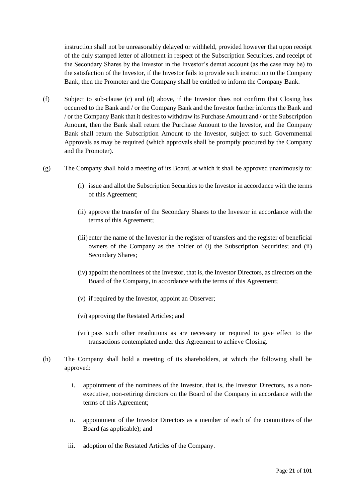instruction shall not be unreasonably delayed or withheld, provided however that upon receipt of the duly stamped letter of allotment in respect of the Subscription Securities, and receipt of the Secondary Shares by the Investor in the Investor's demat account (as the case may be) to the satisfaction of the Investor, if the Investor fails to provide such instruction to the Company Bank, then the Promoter and the Company shall be entitled to inform the Company Bank.

- (f) Subject to sub-clause [\(c\)](#page-20-2) and [\(d\)](#page-20-0) above, if the Investor does not confirm that Closing has occurred to the Bank and / or the Company Bank and the Investor further informs the Bank and / or the Company Bank that it desires to withdraw its Purchase Amount and / or the Subscription Amount, then the Bank shall return the Purchase Amount to the Investor, and the Company Bank shall return the Subscription Amount to the Investor, subject to such Governmental Approvals as may be required (which approvals shall be promptly procured by the Company and the Promoter).
- <span id="page-21-0"></span>(g) The Company shall hold a meeting of its Board, at which it shall be approved unanimously to:
	- (i) issue and allot the Subscription Securities to the Investor in accordance with the terms of this Agreement;
	- (ii) approve the transfer of the Secondary Shares to the Investor in accordance with the terms of this Agreement;
	- (iii) enter the name of the Investor in the register of transfers and the register of beneficial owners of the Company as the holder of (i) the Subscription Securities; and (ii) Secondary Shares;
	- (iv) appoint the nominees of the Investor, that is, the Investor Directors, as directors on the Board of the Company, in accordance with the terms of this Agreement;
	- (v) if required by the Investor, appoint an Observer;
	- (vi) approving the Restated Articles; and
	- (vii) pass such other resolutions as are necessary or required to give effect to the transactions contemplated under this Agreement to achieve Closing.
- <span id="page-21-1"></span>(h) The Company shall hold a meeting of its shareholders, at which the following shall be approved:
	- i. appointment of the nominees of the Investor, that is, the Investor Directors, as a nonexecutive, non-retiring directors on the Board of the Company in accordance with the terms of this Agreement;
	- ii. appointment of the Investor Directors as a member of each of the committees of the Board (as applicable); and
	- iii. adoption of the Restated Articles of the Company.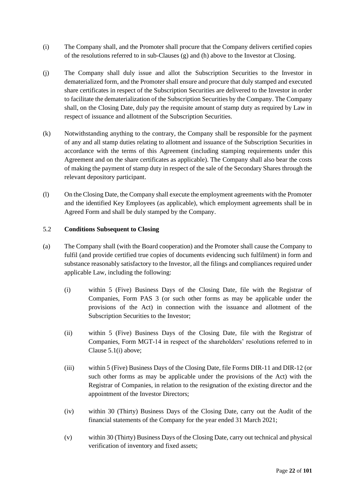- (i) The Company shall, and the Promoter shall procure that the Company delivers certified copies of the resolutions referred to in sub-Clauses [\(g\)](#page-21-0) and [\(h\)](#page-21-1) above to the Investor at Closing.
- (j) The Company shall duly issue and allot the Subscription Securities to the Investor in dematerialized form, and the Promoter shall ensure and procure that duly stamped and executed share certificates in respect of the Subscription Securities are delivered to the Investor in order to facilitate the dematerialization of the Subscription Securities by the Company. The Company shall, on the Closing Date, duly pay the requisite amount of stamp duty as required by Law in respect of issuance and allotment of the Subscription Securities.
- (k) Notwithstanding anything to the contrary, the Company shall be responsible for the payment of any and all stamp duties relating to allotment and issuance of the Subscription Securities in accordance with the terms of this Agreement (including stamping requirements under this Agreement and on the share certificates as applicable). The Company shall also bear the costs of making the payment of stamp duty in respect of the sale of the Secondary Shares through the relevant depository participant.
- (l) On the Closing Date, the Company shall execute the employment agreements with the Promoter and the identified Key Employees (as applicable), which employment agreements shall be in Agreed Form and shall be duly stamped by the Company.

## 5.2 **Conditions Subsequent to Closing**

- (a) The Company shall (with the Board cooperation) and the Promoter shall cause the Company to fulfil (and provide certified true copies of documents evidencing such fulfilment) in form and substance reasonably satisfactory to the Investor, all the filings and compliances required under applicable Law, including the following:
	- (i) within 5 (Five) Business Days of the Closing Date, file with the Registrar of Companies, Form PAS 3 (or such other forms as may be applicable under the provisions of the Act) in connection with the issuance and allotment of the Subscription Securities to the Investor;
	- (ii) within 5 (Five) Business Days of the Closing Date, file with the Registrar of Companies, Form MGT-14 in respect of the shareholders' resolutions referred to in Clause 5.1(i) above;
	- (iii) within 5 (Five) Business Days of the Closing Date, file Forms DIR-11 and DIR-12 (or such other forms as may be applicable under the provisions of the Act) with the Registrar of Companies, in relation to the resignation of the existing director and the appointment of the Investor Directors;
	- (iv) within 30 (Thirty) Business Days of the Closing Date, carry out the Audit of the financial statements of the Company for the year ended 31 March 2021;
	- (v) within 30 (Thirty) Business Days of the Closing Date, carry out technical and physical verification of inventory and fixed assets;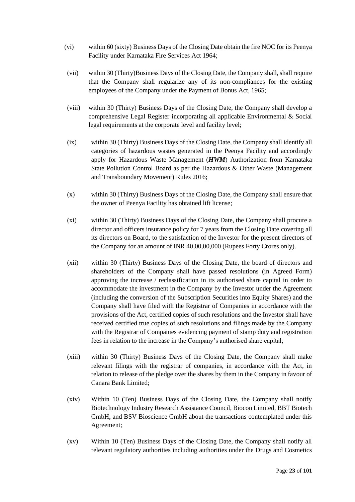- (vi) within 60 (sixty) Business Days of the Closing Date obtain the fire NOC for its Peenya Facility under Karnataka Fire Services Act 1964;
- (vii) within 30 (Thirty)Business Days of the Closing Date, the Company shall, shall require that the Company shall regularize any of its non-compliances for the existing employees of the Company under the Payment of Bonus Act, 1965;
- (viii) within 30 (Thirty) Business Days of the Closing Date, the Company shall develop a comprehensive Legal Register incorporating all applicable Environmental & Social legal requirements at the corporate level and facility level;
- (ix) within 30 (Thirty) Business Days of the Closing Date, the Company shall identify all categories of hazardous wastes generated in the Peenya Facility and accordingly apply for Hazardous Waste Management (*HWM*) Authorization from Karnataka State Pollution Control Board as per the Hazardous & Other Waste (Management and Transboundary Movement) Rules 2016;
- (x) within 30 (Thirty) Business Days of the Closing Date, the Company shall ensure that the owner of Peenya Facility has obtained lift license;
- (xi) within 30 (Thirty) Business Days of the Closing Date, the Company shall procure a director and officers insurance policy for 7 years from the Closing Date covering all its directors on Board, to the satisfaction of the Investor for the present directors of the Company for an amount of INR 40,00,00,000 (Rupees Forty Crores only).
- (xii) within 30 (Thirty) Business Days of the Closing Date, the board of directors and shareholders of the Company shall have passed resolutions (in Agreed Form) approving the increase / reclassification in its authorised share capital in order to accommodate the investment in the Company by the Investor under the Agreement (including the conversion of the Subscription Securities into Equity Shares) and the Company shall have filed with the Registrar of Companies in accordance with the provisions of the Act, certified copies of such resolutions and the Investor shall have received certified true copies of such resolutions and filings made by the Company with the Registrar of Companies evidencing payment of stamp duty and registration fees in relation to the increase in the Company's authorised share capital;
- (xiii) within 30 (Thirty) Business Days of the Closing Date, the Company shall make relevant filings with the registrar of companies, in accordance with the Act, in relation to release of the pledge over the shares by them in the Company in favour of Canara Bank Limited;
- (xiv) Within 10 (Ten) Business Days of the Closing Date, the Company shall notify Biotechnology Industry Research Assistance Council, Biocon Limited, BBT Biotech GmbH, and BSV Bioscience GmbH about the transactions contemplated under this Agreement;
- (xv) Within 10 (Ten) Business Days of the Closing Date, the Company shall notify all relevant regulatory authorities including authorities under the Drugs and Cosmetics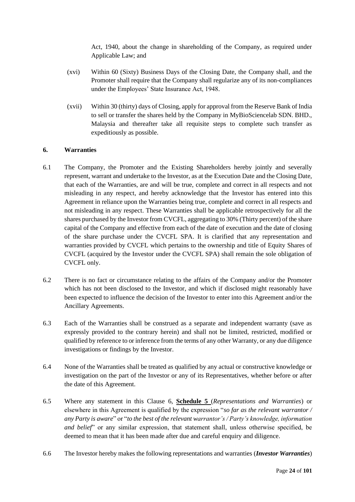Act, 1940, about the change in shareholding of the Company, as required under Applicable Law; and

- (xvi) Within 60 (Sixty) Business Days of the Closing Date, the Company shall, and the Promoter shall require that the Company shall regularize any of its non-compliances under the Employees' State Insurance Act, 1948.
- (xvii) Within 30 (thirty) days of Closing, apply for approval from the Reserve Bank of India to sell or transfer the shares held by the Company in MyBioSciencelab SDN. BHD., Malaysia and thereafter take all requisite steps to complete such transfer as expeditiously as possible.

## <span id="page-24-0"></span>**6. Warranties**

- 6.1 The Company, the Promoter and the Existing Shareholders hereby jointly and severally represent, warrant and undertake to the Investor, as at the Execution Date and the Closing Date, that each of the Warranties, are and will be true, complete and correct in all respects and not misleading in any respect, and hereby acknowledge that the Investor has entered into this Agreement in reliance upon the Warranties being true, complete and correct in all respects and not misleading in any respect. These Warranties shall be applicable retrospectively for all the shares purchased by the Investor from CVCFL, aggregating to 30% (Thirty percent) of the share capital of the Company and effective from each of the date of execution and the date of closing of the share purchase under the CVCFL SPA. It is clarified that any representation and warranties provided by CVCFL which pertains to the ownership and title of Equity Shares of CVCFL (acquired by the Investor under the CVCFL SPA) shall remain the sole obligation of CVCFL only.
- 6.2 There is no fact or circumstance relating to the affairs of the Company and/or the Promoter which has not been disclosed to the Investor, and which if disclosed might reasonably have been expected to influence the decision of the Investor to enter into this Agreement and/or the Ancillary Agreements.
- 6.3 Each of the Warranties shall be construed as a separate and independent warranty (save as expressly provided to the contrary herein) and shall not be limited, restricted, modified or qualified by reference to or inference from the terms of any other Warranty, or any due diligence investigations or findings by the Investor.
- 6.4 None of the Warranties shall be treated as qualified by any actual or constructive knowledge or investigation on the part of the Investor or any of its Representatives, whether before or after the date of this Agreement.
- 6.5 Where any statement in this Clause [6,](#page-24-0) **Schedule 5** (*Representations and Warranties*) or elsewhere in this Agreement is qualified by the expression "*so far as the relevant warrantor / any Party is aware*" or "*to the best of the relevant warrantor's / Party's knowledge, information and belief*" or any similar expression, that statement shall, unless otherwise specified, be deemed to mean that it has been made after due and careful enquiry and diligence.
- 6.6 The Investor hereby makes the following representations and warranties (*Investor Warranties*)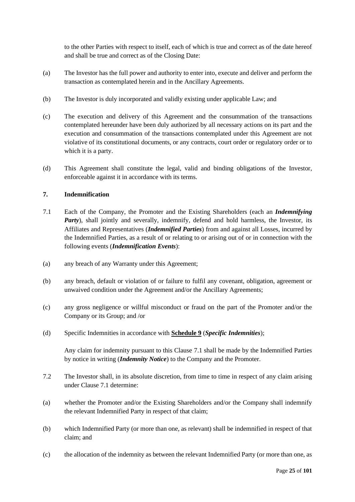to the other Parties with respect to itself, each of which is true and correct as of the date hereof and shall be true and correct as of the Closing Date:

- (a) The Investor has the full power and authority to enter into, execute and deliver and perform the transaction as contemplated herein and in the Ancillary Agreements.
- (b) The Investor is duly incorporated and validly existing under applicable Law; and
- (c) The execution and delivery of this Agreement and the consummation of the transactions contemplated hereunder have been duly authorized by all necessary actions on its part and the execution and consummation of the transactions contemplated under this Agreement are not violative of its constitutional documents, or any contracts, court order or regulatory order or to which it is a party.
- (d) This Agreement shall constitute the legal, valid and binding obligations of the Investor, enforceable against it in accordance with its terms.

# <span id="page-25-2"></span>**7. Indemnification**

- <span id="page-25-0"></span>7.1 Each of the Company, the Promoter and the Existing Shareholders (each an *Indemnifying Party*), shall jointly and severally, indemnify, defend and hold harmless, the Investor, its Affiliates and Representatives (*Indemnified Parties*) from and against all Losses, incurred by the Indemnified Parties, as a result of or relating to or arising out of or in connection with the following events (*Indemnification Events*):
- <span id="page-25-1"></span>(a) any breach of any Warranty under this Agreement;
- (b) any breach, default or violation of or failure to fulfil any covenant, obligation, agreement or unwaived condition under the Agreement and/or the Ancillary Agreements;
- (c) any gross negligence or willful misconduct or fraud on the part of the Promoter and/or the Company or its Group; and /or
- (d) Specific Indemnities in accordance with **Schedule 9** (*Specific Indemnities*);

Any claim for indemnity pursuant to this Clause [7.1](#page-25-0) shall be made by the Indemnified Parties by notice in writing (*Indemnity Notice*) to the Company and the Promoter.

- 7.2 The Investor shall, in its absolute discretion, from time to time in respect of any claim arising under Clause [7.1](#page-25-0) determine:
- (a) whether the Promoter and/or the Existing Shareholders and/or the Company shall indemnify the relevant Indemnified Party in respect of that claim;
- (b) which Indemnified Party (or more than one, as relevant) shall be indemnified in respect of that claim; and
- (c) the allocation of the indemnity as between the relevant Indemnified Party (or more than one, as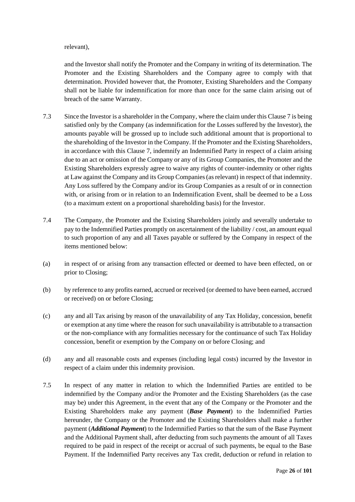#### relevant),

and the Investor shall notify the Promoter and the Company in writing of its determination. The Promoter and the Existing Shareholders and the Company agree to comply with that determination. Provided however that, the Promoter, Existing Shareholders and the Company shall not be liable for indemnification for more than once for the same claim arising out of breach of the same Warranty.

- 7.3 Since the Investor is a shareholder in the Company, where the claim under this Claus[e 7](#page-25-2) is being satisfied only by the Company (as indemnification for the Losses suffered by the Investor), the amounts payable will be grossed up to include such additional amount that is proportional to the shareholding of the Investor in the Company. If the Promoter and the Existing Shareholders, in accordance with this Claus[e 7,](#page-25-2) indemnify an Indemnified Party in respect of a claim arising due to an act or omission of the Company or any of its Group Companies, the Promoter and the Existing Shareholders expressly agree to waive any rights of counter-indemnity or other rights at Law against the Company and its Group Companies (as relevant) in respect of that indemnity. Any Loss suffered by the Company and/or its Group Companies as a result of or in connection with, or arising from or in relation to an Indemnification Event, shall be deemed to be a Loss (to a maximum extent on a proportional shareholding basis) for the Investor.
- 7.4 The Company, the Promoter and the Existing Shareholders jointly and severally undertake to pay to the Indemnified Parties promptly on ascertainment of the liability / cost, an amount equal to such proportion of any and all Taxes payable or suffered by the Company in respect of the items mentioned below:
- (a) in respect of or arising from any transaction effected or deemed to have been effected, on or prior to Closing;
- (b) by reference to any profits earned, accrued or received (or deemed to have been earned, accrued or received) on or before Closing;
- (c) any and all Tax arising by reason of the unavailability of any Tax Holiday, concession, benefit or exemption at any time where the reason for such unavailability is attributable to a transaction or the non-compliance with any formalities necessary for the continuance of such Tax Holiday concession, benefit or exemption by the Company on or before Closing; and
- (d) any and all reasonable costs and expenses (including legal costs) incurred by the Investor in respect of a claim under this indemnity provision.
- <span id="page-26-0"></span>7.5 In respect of any matter in relation to which the Indemnified Parties are entitled to be indemnified by the Company and/or the Promoter and the Existing Shareholders (as the case may be) under this Agreement, in the event that any of the Company or the Promoter and the Existing Shareholders make any payment (*Base Payment*) to the Indemnified Parties hereunder, the Company or the Promoter and the Existing Shareholders shall make a further payment (*Additional Payment*) to the Indemnified Parties so that the sum of the Base Payment and the Additional Payment shall, after deducting from such payments the amount of all Taxes required to be paid in respect of the receipt or accrual of such payments, be equal to the Base Payment. If the Indemnified Party receives any Tax credit, deduction or refund in relation to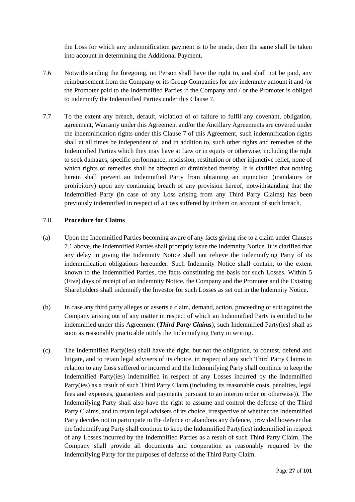the Loss for which any indemnification payment is to be made, then the same shall be taken into account in determining the Additional Payment.

- 7.6 Notwithstanding the foregoing, no Person shall have the right to, and shall not be paid, any reimbursement from the Company or its Group Companies for any indemnity amount it and /or the Promoter paid to the Indemnified Parties if the Company and / or the Promoter is obliged to indemnify the Indemnified Parties under this Clause [7.](#page-25-2)
- 7.7 To the extent any breach, default, violation of or failure to fulfil any covenant, obligation, agreement, Warranty under this Agreement and/or the Ancillary Agreements are covered under the indemnification rights under this Clause [7](#page-25-2) of this Agreement, such indemnification rights shall at all times be independent of, and in addition to, such other rights and remedies of the Indemnified Parties which they may have at Law or in equity or otherwise, including the right to seek damages, specific performance, rescission, restitution or other injunctive relief, none of which rights or remedies shall be affected or diminished thereby. It is clarified that nothing herein shall prevent an Indemnified Party from obtaining an injunction (mandatory or prohibitory) upon any continuing breach of any provision hereof, notwithstanding that the Indemnified Party (in case of any Loss arising from any Third Party Claims) has been previously indemnified in respect of a Loss suffered by it/them on account of such breach.

#### 7.8 **Procedure for Claims**

- (a) Upon the Indemnified Parties becoming aware of any facts giving rise to a claim under Clauses [7.1](#page-25-0) above, the Indemnified Parties shall promptly issue the Indemnity Notice. It is clarified that any delay in giving the Indemnity Notice shall not relieve the Indemnifying Party of its indemnification obligations hereunder. Such Indemnity Notice shall contain, to the extent known to the Indemnified Parties, the facts constituting the basis for such Losses. Within 5 (Five) days of receipt of an Indemnity Notice, the Company and the Promoter and the Existing Shareholders shall indemnify the Investor for such Losses as set out in the Indemnity Notice.
- (b) In case any third party alleges or asserts a claim, demand, action, proceeding or suit against the Company arising out of any matter in respect of which an Indemnified Party is entitled to be indemnified under this Agreement (*Third Party Claims*), such Indemnified Party(ies) shall as soon as reasonably practicable notify the Indemnifying Party in writing.
- (c) The Indemnified Party(ies) shall have the right, but not the obligation, to contest, defend and litigate, and to retain legal advisers of its choice, in respect of any such Third Party Claims in relation to any Loss suffered or incurred and the Indemnifying Party shall continue to keep the Indemnified Party(ies) indemnified in respect of any Losses incurred by the Indemnified Party(ies) as a result of such Third Party Claim (including its reasonable costs, penalties, legal fees and expenses, guarantees and payments pursuant to an interim order or otherwise)). The Indemnifying Party shall also have the right to assume and control the defense of the Third Party Claims, and to retain legal advisers of its choice, irrespective of whether the Indemnified Party decides not to participate in the defence or abandons any defence, provided however that the Indemnifying Party shall continue to keep the Indemnified Party(ies) indemnified in respect of any Losses incurred by the Indemnified Parties as a result of such Third Party Claim. The Company shall provide all documents and cooperation as reasonably required by the Indemnifying Party for the purposes of defense of the Third Party Claim.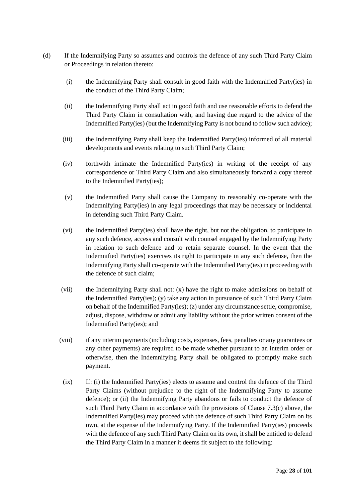- (d) If the Indemnifying Party so assumes and controls the defence of any such Third Party Claim or Proceedings in relation thereto:
	- (i) the Indemnifying Party shall consult in good faith with the Indemnified Party(ies) in the conduct of the Third Party Claim;
	- (ii) the Indemnifying Party shall act in good faith and use reasonable efforts to defend the Third Party Claim in consultation with, and having due regard to the advice of the Indemnified Party(ies) (but the Indemnifying Party is not bound to follow such advice);
	- (iii) the Indemnifying Party shall keep the Indemnified Party(ies) informed of all material developments and events relating to such Third Party Claim;
	- (iv) forthwith intimate the Indemnified Party(ies) in writing of the receipt of any correspondence or Third Party Claim and also simultaneously forward a copy thereof to the Indemnified Party(ies);
	- (v) the Indemnified Party shall cause the Company to reasonably co-operate with the Indemnifying Party(ies) in any legal proceedings that may be necessary or incidental in defending such Third Party Claim.
	- (vi) the Indemnified Party(ies) shall have the right, but not the obligation, to participate in any such defence, access and consult with counsel engaged by the Indemnifying Party in relation to such defence and to retain separate counsel. In the event that the Indemnified Party(ies) exercises its right to participate in any such defense, then the Indemnifying Party shall co-operate with the Indemnified Party(ies) in proceeding with the defence of such claim;
	- (vii) the Indemnifying Party shall not: (x) have the right to make admissions on behalf of the Indemnified Party(ies); (y) take any action in pursuance of such Third Party Claim on behalf of the Indemnified Party(ies); (z) under any circumstance settle, compromise, adjust, dispose, withdraw or admit any liability without the prior written consent of the Indemnified Party(ies); and
	- (viii) if any interim payments (including costs, expenses, fees, penalties or any guarantees or any other payments) are required to be made whether pursuant to an interim order or otherwise, then the Indemnifying Party shall be obligated to promptly make such payment.
		- (ix) If: (i) the Indemnified Party(ies) elects to assume and control the defence of the Third Party Claims (without prejudice to the right of the Indemnifying Party to assume defence); or (ii) the Indemnifying Party abandons or fails to conduct the defence of such Third Party Claim in accordance with the provisions of Clause 7.3(c) above, the Indemnified Party(ies) may proceed with the defence of such Third Party Claim on its own, at the expense of the Indemnifying Party. If the Indemnified Party(ies) proceeds with the defence of any such Third Party Claim on its own, it shall be entitled to defend the Third Party Claim in a manner it deems fit subject to the following: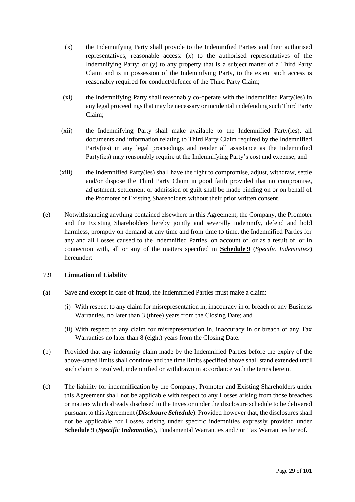- (x) the Indemnifying Party shall provide to the Indemnified Parties and their authorised representatives, reasonable access: (x) to the authorised representatives of the Indemnifying Party; or (y) to any property that is a subject matter of a Third Party Claim and is in possession of the Indemnifying Party, to the extent such access is reasonably required for conduct/defence of the Third Party Claim;
- (xi) the Indemnifying Party shall reasonably co-operate with the Indemnified Party(ies) in any legal proceedings that may be necessary or incidental in defending such Third Party Claim;
- (xii) the Indemnifying Party shall make available to the Indemnified Party(ies), all documents and information relating to Third Party Claim required by the Indemnified Party(ies) in any legal proceedings and render all assistance as the Indemnified Party(ies) may reasonably require at the Indemnifying Party's cost and expense; and
- (xiii) the Indemnified Party(ies) shall have the right to compromise, adjust, withdraw, settle and/or dispose the Third Party Claim in good faith provided that no compromise, adjustment, settlement or admission of guilt shall be made binding on or on behalf of the Promoter or Existing Shareholders without their prior written consent.
- (e) Notwithstanding anything contained elsewhere in this Agreement, the Company, the Promoter and the Existing Shareholders hereby jointly and severally indemnify, defend and hold harmless, promptly on demand at any time and from time to time, the Indemnified Parties for any and all Losses caused to the Indemnified Parties, on account of, or as a result of, or in connection with, all or any of the matters specified in **Schedule 9** (*Specific Indemnities*) hereunder:

#### 7.9 **Limitation of Liability**

- (a) Save and except in case of fraud, the Indemnified Parties must make a claim:
	- (i) With respect to any claim for misrepresentation in, inaccuracy in or breach of any Business Warranties, no later than 3 (three) years from the Closing Date; and
	- (ii) With respect to any claim for misrepresentation in, inaccuracy in or breach of any Tax Warranties no later than 8 (eight) years from the Closing Date.
- (b) Provided that any indemnity claim made by the Indemnified Parties before the expiry of the above-stated limits shall continue and the time limits specified above shall stand extended until such claim is resolved, indemnified or withdrawn in accordance with the terms herein.
- (c) The liability for indemnification by the Company, Promoter and Existing Shareholders under this Agreement shall not be applicable with respect to any Losses arising from those breaches or matters which already disclosed to the Investor under the disclosure schedule to be delivered pursuant to this Agreement (*Disclosure Schedule*). Provided however that, the disclosures shall not be applicable for Losses arising under specific indemnities expressly provided under **Schedule 9** (*Specific Indemnities*), Fundamental Warranties and / or Tax Warranties hereof.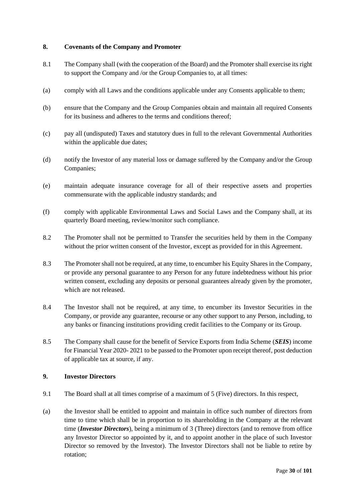## <span id="page-30-2"></span>**8. Covenants of the Company and Promoter**

- 8.1 The Company shall (with the cooperation of the Board) and the Promoter shall exercise its right to support the Company and /or the Group Companies to, at all times:
- (a) comply with all Laws and the conditions applicable under any Consents applicable to them;
- (b) ensure that the Company and the Group Companies obtain and maintain all required Consents for its business and adheres to the terms and conditions thereof;
- (c) pay all (undisputed) Taxes and statutory dues in full to the relevant Governmental Authorities within the applicable due dates;
- (d) notify the Investor of any material loss or damage suffered by the Company and/or the Group Companies;
- (e) maintain adequate insurance coverage for all of their respective assets and properties commensurate with the applicable industry standards; and
- (f) comply with applicable Environmental Laws and Social Laws and the Company shall, at its quarterly Board meeting, review/monitor such compliance.
- 8.2 The Promoter shall not be permitted to Transfer the securities held by them in the Company without the prior written consent of the Investor, except as provided for in this Agreement.
- 8.3 The Promoter shall not be required, at any time, to encumber his Equity Shares in the Company, or provide any personal guarantee to any Person for any future indebtedness without his prior written consent, excluding any deposits or personal guarantees already given by the promoter, which are not released.
- 8.4 The Investor shall not be required, at any time, to encumber its Investor Securities in the Company, or provide any guarantee, recourse or any other support to any Person, including, to any banks or financing institutions providing credit facilities to the Company or its Group.
- 8.5 The Company shall cause for the benefit of Service Exports from India Scheme (*SEIS*) income for Financial Year 2020- 2021 to be passed to the Promoter upon receipt thereof, post deduction of applicable tax at source, if any.

# <span id="page-30-3"></span>**9. Investor Directors**

- <span id="page-30-0"></span>9.1 The Board shall at all times comprise of a maximum of 5 (Five) directors. In this respect,
- <span id="page-30-1"></span>(a) the Investor shall be entitled to appoint and maintain in office such number of directors from time to time which shall be in proportion to its shareholding in the Company at the relevant time (*Investor Directors*), being a minimum of 3 (Three) directors (and to remove from office any Investor Director so appointed by it, and to appoint another in the place of such Investor Director so removed by the Investor). The Investor Directors shall not be liable to retire by rotation;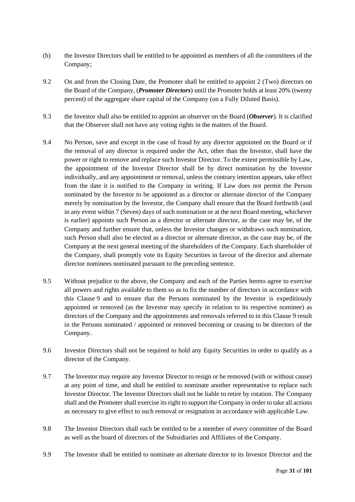- (b) the Investor Directors shall be entitled to be appointed as members of all the committees of the Company;
- 9.2 On and from the Closing Date, the Promoter shall be entitled to appoint 2 (Two) directors on the Board of the Company, (*Promoter Directors*) until the Promoter holds at least 20% (twenty percent) of the aggregate share capital of the Company (on a Fully Diluted Basis).
- <span id="page-31-0"></span>9.3 the Investor shall also be entitled to appoint an observer on the Board (*Observer*). It is clarified that the Observer shall not have any voting rights in the matters of the Board.
- 9.4 No Person, save and except in the case of fraud by any director appointed on the Board or if the removal of any director is required under the Act, other than the Investor, shall have the power or right to remove and replace such Investor Director. To the extent permissible by Law, the appointment of the Investor Director shall be by direct nomination by the Investor individually, and any appointment or removal, unless the contrary intention appears, take effect from the date it is notified to the Company in writing. If Law does not permit the Person nominated by the Investor to be appointed as a director or alternate director of the Company merely by nomination by the Investor, the Company shall ensure that the Board forthwith (and in any event within 7 (Seven) days of such nomination or at the next Board meeting, whichever is earlier) appoints such Person as a director or alternate director, as the case may be, of the Company and further ensure that, unless the Investor changes or withdraws such nomination, such Person shall also be elected as a director or alternate director, as the case may be, of the Company at the next general meeting of the shareholders of the Company. Each shareholder of the Company, shall promptly vote its Equity Securities in favour of the director and alternate director nominees nominated pursuant to the preceding sentence.
- 9.5 Without prejudice to the above, the Company and each of the Parties hereto agree to exercise all powers and rights available to them so as to fix the number of directors in accordance with this Clause [9](#page-30-3) and to ensure that the Persons nominated by the Investor is expeditiously appointed or removed (as the Investor may specify in relation to its respective nominee) as directors of the Company and the appointments and removals referred to in this Clause [9](#page-30-3) result in the Persons nominated / appointed or removed becoming or ceasing to be directors of the Company.
- 9.6 Investor Directors shall not be required to hold any Equity Securities in order to qualify as a director of the Company.
- 9.7 The Investor may require any Investor Director to resign or be removed (with or without cause) at any point of time, and shall be entitled to nominate another representative to replace such Investor Director. The Investor Directors shall not be liable to retire by rotation. The Company shall and the Promoter shall exercise its right to support the Company in order to take all actions as necessary to give effect to such removal or resignation in accordance with applicable Law.
- 9.8 The Investor Directors shall each be entitled to be a member of every committee of the Board as well as the board of directors of the Subsidiaries and Affiliates of the Company.
- 9.9 The Investor shall be entitled to nominate an alternate director to its Investor Director and the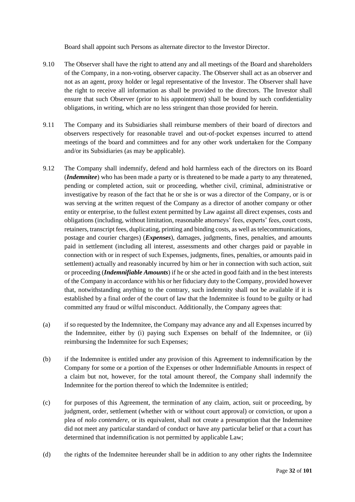Board shall appoint such Persons as alternate director to the Investor Director.

- 9.10 The Observer shall have the right to attend any and all meetings of the Board and shareholders of the Company, in a non-voting, observer capacity. The Observer shall act as an observer and not as an agent, proxy holder or legal representative of the Investor. The Observer shall have the right to receive all information as shall be provided to the directors. The Investor shall ensure that such Observer (prior to his appointment) shall be bound by such confidentiality obligations, in writing, which are no less stringent than those provided for herein.
- 9.11 The Company and its Subsidiaries shall reimburse members of their board of directors and observers respectively for reasonable travel and out-of-pocket expenses incurred to attend meetings of the board and committees and for any other work undertaken for the Company and/or its Subsidiaries (as may be applicable).
- <span id="page-32-0"></span>9.12 The Company shall indemnify, defend and hold harmless each of the directors on its Board (*Indemnitee*) who has been made a party or is threatened to be made a party to any threatened, pending or completed action, suit or proceeding, whether civil, criminal, administrative or investigative by reason of the fact that he or she is or was a director of the Company, or is or was serving at the written request of the Company as a director of another company or other entity or enterprise, to the fullest extent permitted by Law against all direct expenses, costs and obligations (including, without limitation, reasonable attorneys' fees, experts' fees, court costs, retainers, transcript fees, duplicating, printing and binding costs, as well as telecommunications, postage and courier charges) (*Expenses*), damages, judgments, fines, penalties, and amounts paid in settlement (including all interest, assessments and other charges paid or payable in connection with or in respect of such Expenses, judgments, fines, penalties, or amounts paid in settlement) actually and reasonably incurred by him or her in connection with such action, suit or proceeding (*Indemnifiable Amounts*) if he or she acted in good faith and in the best interests of the Company in accordance with his or her fiduciary duty to the Company, provided however that, notwithstanding anything to the contrary, such indemnity shall not be available if it is established by a final order of the court of law that the Indemnitee is found to be guilty or had committed any fraud or wilful misconduct. Additionally, the Company agrees that:
- (a) if so requested by the Indemnitee, the Company may advance any and all Expenses incurred by the Indemnitee, either by (i) paying such Expenses on behalf of the Indemnitee, or (ii) reimbursing the Indemnitee for such Expenses;
- (b) if the Indemnitee is entitled under any provision of this Agreement to indemnification by the Company for some or a portion of the Expenses or other Indemnifiable Amounts in respect of a claim but not, however, for the total amount thereof, the Company shall indemnify the Indemnitee for the portion thereof to which the Indemnitee is entitled;
- (c) for purposes of this Agreement, the termination of any claim, action, suit or proceeding, by judgment, order, settlement (whether with or without court approval) or conviction, or upon a plea of *nolo contendere*, or its equivalent, shall not create a presumption that the Indemnitee did not meet any particular standard of conduct or have any particular belief or that a court has determined that indemnification is not permitted by applicable Law;
- (d) the rights of the Indemnitee hereunder shall be in addition to any other rights the Indemnitee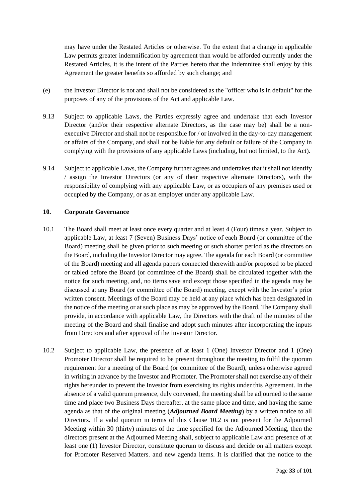may have under the Restated Articles or otherwise. To the extent that a change in applicable Law permits greater indemnification by agreement than would be afforded currently under the Restated Articles, it is the intent of the Parties hereto that the Indemnitee shall enjoy by this Agreement the greater benefits so afforded by such change; and

- (e) the Investor Director is not and shall not be considered as the "officer who is in default" for the purposes of any of the provisions of the Act and applicable Law.
- 9.13 Subject to applicable Laws, the Parties expressly agree and undertake that each Investor Director (and/or their respective alternate Directors, as the case may be) shall be a nonexecutive Director and shall not be responsible for / or involved in the day-to-day management or affairs of the Company, and shall not be liable for any default or failure of the Company in complying with the provisions of any applicable Laws (including, but not limited, to the Act).
- 9.14 Subject to applicable Laws, the Company further agrees and undertakes that it shall not identify / assign the Investor Directors (or any of their respective alternate Directors), with the responsibility of complying with any applicable Law, or as occupiers of any premises used or occupied by the Company, or as an employer under any applicable Law.

#### **10. Corporate Governance**

- 10.1 The Board shall meet at least once every quarter and at least 4 (Four) times a year. Subject to applicable Law, at least 7 (Seven) Business Days' notice of each Board (or committee of the Board) meeting shall be given prior to such meeting or such shorter period as the directors on the Board, including the Investor Director may agree. The agenda for each Board (or committee of the Board) meeting and all agenda papers connected therewith and/or proposed to be placed or tabled before the Board (or committee of the Board) shall be circulated together with the notice for such meeting, and, no items save and except those specified in the agenda may be discussed at any Board (or committee of the Board) meeting, except with the Investor's prior written consent. Meetings of the Board may be held at any place which has been designated in the notice of the meeting or at such place as may be approved by the Board. The Company shall provide, in accordance with applicable Law, the Directors with the draft of the minutes of the meeting of the Board and shall finalise and adopt such minutes after incorporating the inputs from Directors and after approval of the Investor Director.
- <span id="page-33-0"></span>10.2 Subject to applicable Law, the presence of at least 1 (One) Investor Director and 1 (One) Promoter Director shall be required to be present throughout the meeting to fulfil the quorum requirement for a meeting of the Board (or committee of the Board), unless otherwise agreed in writing in advance by the Investor and Promoter. The Promoter shall not exercise any of their rights hereunder to prevent the Investor from exercising its rights under this Agreement. In the absence of a valid quorum presence, duly convened, the meeting shall be adjourned to the same time and place two Business Days thereafter, at the same place and time, and having the same agenda as that of the original meeting (*Adjourned Board Meeting*) by a written notice to all Directors. If a valid quorum in terms of this Clause [10.2](#page-33-0) is not present for the Adjourned Meeting within 30 (thirty) minutes of the time specified for the Adjourned Meeting, then the directors present at the Adjourned Meeting shall, subject to applicable Law and presence of at least one (1) Investor Director, constitute quorum to discuss and decide on all matters except for Promoter Reserved Matters. and new agenda items. It is clarified that the notice to the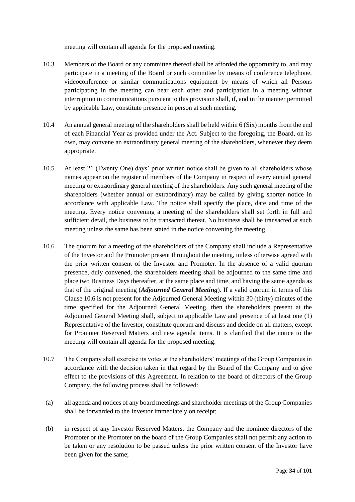meeting will contain all agenda for the proposed meeting.

- 10.3 Members of the Board or any committee thereof shall be afforded the opportunity to, and may participate in a meeting of the Board or such committee by means of conference telephone, videoconference or similar communications equipment by means of which all Persons participating in the meeting can hear each other and participation in a meeting without interruption in communications pursuant to this provision shall, if, and in the manner permitted by applicable Law, constitute presence in person at such meeting.
- 10.4 An annual general meeting of the shareholders shall be held within 6 (Six) months from the end of each Financial Year as provided under the Act. Subject to the foregoing, the Board, on its own, may convene an extraordinary general meeting of the shareholders, whenever they deem appropriate.
- 10.5 At least 21 (Twenty One) days' prior written notice shall be given to all shareholders whose names appear on the register of members of the Company in respect of every annual general meeting or extraordinary general meeting of the shareholders. Any such general meeting of the shareholders (whether annual or extraordinary) may be called by giving shorter notice in accordance with applicable Law. The notice shall specify the place, date and time of the meeting. Every notice convening a meeting of the shareholders shall set forth in full and sufficient detail, the business to be transacted thereat. No business shall be transacted at such meeting unless the same has been stated in the notice convening the meeting.
- <span id="page-34-0"></span>10.6 The quorum for a meeting of the shareholders of the Company shall include a Representative of the Investor and the Promoter present throughout the meeting, unless otherwise agreed with the prior written consent of the Investor and Promoter. In the absence of a valid quorum presence, duly convened, the shareholders meeting shall be adjourned to the same time and place two Business Days thereafter, at the same place and time, and having the same agenda as that of the original meeting (*Adjourned General Meeting*). If a valid quorum in terms of this Claus[e 10.6](#page-34-0) is not present for the Adjourned General Meeting within 30 (thirty) minutes of the time specified for the Adjourned General Meeting, then the shareholders present at the Adjourned General Meeting shall, subject to applicable Law and presence of at least one (1) Representative of the Investor, constitute quorum and discuss and decide on all matters, except for Promoter Reserved Matters and new agenda items. It is clarified that the notice to the meeting will contain all agenda for the proposed meeting.
- 10.7 The Company shall exercise its votes at the shareholders' meetings of the Group Companies in accordance with the decision taken in that regard by the Board of the Company and to give effect to the provisions of this Agreement. In relation to the board of directors of the Group Company, the following process shall be followed:
- (a) all agenda and notices of any board meetings and shareholder meetings of the Group Companies shall be forwarded to the Investor immediately on receipt;
- (b) in respect of any Investor Reserved Matters, the Company and the nominee directors of the Promoter or the Promoter on the board of the Group Companies shall not permit any action to be taken or any resolution to be passed unless the prior written consent of the Investor have been given for the same;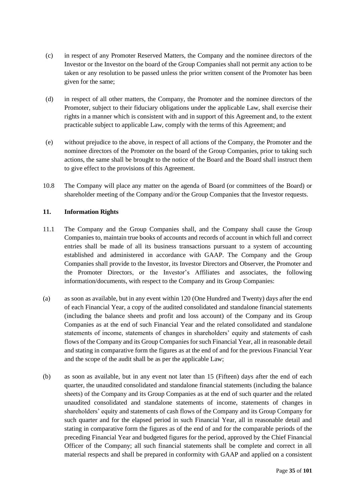- (c) in respect of any Promoter Reserved Matters, the Company and the nominee directors of the Investor or the Investor on the board of the Group Companies shall not permit any action to be taken or any resolution to be passed unless the prior written consent of the Promoter has been given for the same;
- (d) in respect of all other matters, the Company, the Promoter and the nominee directors of the Promoter, subject to their fiduciary obligations under the applicable Law, shall exercise their rights in a manner which is consistent with and in support of this Agreement and, to the extent practicable subject to applicable Law, comply with the terms of this Agreement; and
- (e) without prejudice to the above, in respect of all actions of the Company, the Promoter and the nominee directors of the Promoter on the board of the Group Companies, prior to taking such actions, the same shall be brought to the notice of the Board and the Board shall instruct them to give effect to the provisions of this Agreement.
- 10.8 The Company will place any matter on the agenda of Board (or committees of the Board) or shareholder meeting of the Company and/or the Group Companies that the Investor requests.

## **11. Information Rights**

- 11.1 The Company and the Group Companies shall, and the Company shall cause the Group Companies to, maintain true books of accounts and records of account in which full and correct entries shall be made of all its business transactions pursuant to a system of accounting established and administered in accordance with GAAP. The Company and the Group Companies shall provide to the Investor, its Investor Directors and Observer, the Promoter and the Promoter Directors, or the Investor's Affiliates and associates, the following information/documents, with respect to the Company and its Group Companies:
- (a) as soon as available, but in any event within 120 (One Hundred and Twenty) days after the end of each Financial Year, a copy of the audited consolidated and standalone financial statements (including the balance sheets and profit and loss account) of the Company and its Group Companies as at the end of such Financial Year and the related consolidated and standalone statements of income, statements of changes in shareholders' equity and statements of cash flows of the Company and its Group Companies for such Financial Year, all in reasonable detail and stating in comparative form the figures as at the end of and for the previous Financial Year and the scope of the audit shall be as per the applicable Law;
- (b) as soon as available, but in any event not later than 15 (Fifteen) days after the end of each quarter, the unaudited consolidated and standalone financial statements (including the balance sheets) of the Company and its Group Companies as at the end of such quarter and the related unaudited consolidated and standalone statements of income, statements of changes in shareholders' equity and statements of cash flows of the Company and its Group Company for such quarter and for the elapsed period in such Financial Year, all in reasonable detail and stating in comparative form the figures as of the end of and for the comparable periods of the preceding Financial Year and budgeted figures for the period, approved by the Chief Financial Officer of the Company; all such financial statements shall be complete and correct in all material respects and shall be prepared in conformity with GAAP and applied on a consistent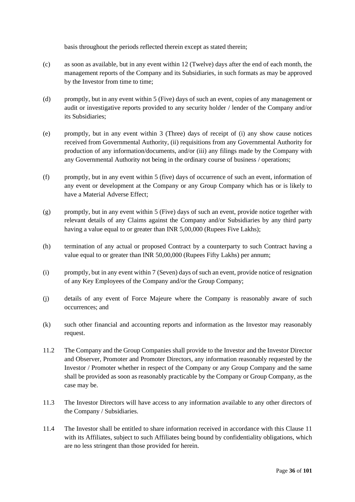basis throughout the periods reflected therein except as stated therein;

- (c) as soon as available, but in any event within 12 (Twelve) days after the end of each month, the management reports of the Company and its Subsidiaries, in such formats as may be approved by the Investor from time to time;
- (d) promptly, but in any event within 5 (Five) days of such an event, copies of any management or audit or investigative reports provided to any security holder / lender of the Company and/or its Subsidiaries;
- (e) promptly, but in any event within 3 (Three) days of receipt of (i) any show cause notices received from Governmental Authority, (ii) requisitions from any Governmental Authority for production of any information/documents, and/or (iii) any filings made by the Company with any Governmental Authority not being in the ordinary course of business / operations;
- (f) promptly, but in any event within 5 (five) days of occurrence of such an event, information of any event or development at the Company or any Group Company which has or is likely to have a Material Adverse Effect;
- (g) promptly, but in any event within 5 (Five) days of such an event, provide notice together with relevant details of any Claims against the Company and/or Subsidiaries by any third party having a value equal to or greater than INR 5,00,000 (Rupees Five Lakhs);
- (h) termination of any actual or proposed Contract by a counterparty to such Contract having a value equal to or greater than INR 50,00,000 (Rupees Fifty Lakhs) per annum;
- (i) promptly, but in any event within 7 (Seven) days of such an event, provide notice of resignation of any Key Employees of the Company and/or the Group Company;
- (j) details of any event of Force Majeure where the Company is reasonably aware of such occurrences; and
- (k) such other financial and accounting reports and information as the Investor may reasonably request.
- 11.2 The Company and the Group Companies shall provide to the Investor and the Investor Director and Observer, Promoter and Promoter Directors, any information reasonably requested by the Investor / Promoter whether in respect of the Company or any Group Company and the same shall be provided as soon as reasonably practicable by the Company or Group Company, as the case may be.
- 11.3 The Investor Directors will have access to any information available to any other directors of the Company / Subsidiaries.
- 11.4 The Investor shall be entitled to share information received in accordance with this Clause [11](#page-35-0) with its Affiliates, subject to such Affiliates being bound by confidentiality obligations, which are no less stringent than those provided for herein.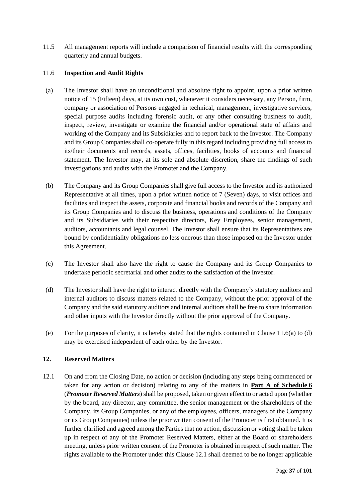11.5 All management reports will include a comparison of financial results with the corresponding quarterly and annual budgets.

# <span id="page-37-0"></span>11.6 **Inspection and Audit Rights**

- (a) The Investor shall have an unconditional and absolute right to appoint, upon a prior written notice of 15 (Fifteen) days, at its own cost, whenever it considers necessary, any Person, firm, company or association of Persons engaged in technical, management, investigative services, special purpose audits including forensic audit, or any other consulting business to audit, inspect, review, investigate or examine the financial and/or operational state of affairs and working of the Company and its Subsidiaries and to report back to the Investor. The Company and its Group Companies shall co-operate fully in this regard including providing full access to its/their documents and records, assets, offices, facilities, books of accounts and financial statement. The Investor may, at its sole and absolute discretion, share the findings of such investigations and audits with the Promoter and the Company.
- (b) The Company and its Group Companies shall give full access to the Investor and its authorized Representative at all times, upon a prior written notice of 7 (Seven) days, to visit offices and facilities and inspect the assets, corporate and financial books and records of the Company and its Group Companies and to discuss the business, operations and conditions of the Company and its Subsidiaries with their respective directors, Key Employees, senior management, auditors, accountants and legal counsel. The Investor shall ensure that its Representatives are bound by confidentiality obligations no less onerous than those imposed on the Investor under this Agreement.
- (c) The Investor shall also have the right to cause the Company and its Group Companies to undertake periodic secretarial and other audits to the satisfaction of the Investor.
- (d) The Investor shall have the right to interact directly with the Company's statutory auditors and internal auditors to discuss matters related to the Company, without the prior approval of the Company and the said statutory auditors and internal auditors shall be free to share information and other inputs with the Investor directly without the prior approval of the Company.
- (e) For the purposes of clarity, it is hereby stated that the rights contained in Clause [11.6\(](#page-37-0)a) to (d) may be exercised independent of each other by the Investor.

# <span id="page-37-2"></span>**12. Reserved Matters**

<span id="page-37-1"></span>12.1 On and from the Closing Date, no action or decision (including any steps being commenced or taken for any action or decision) relating to any of the matters in **Part A of Schedule 6** (*Promoter Reserved Matters*) shall be proposed, taken or given effect to or acted upon (whether by the board, any director, any committee, the senior management or the shareholders of the Company, its Group Companies, or any of the employees, officers, managers of the Company or its Group Companies) unless the prior written consent of the Promoter is first obtained. It is further clarified and agreed among the Parties that no action, discussion or voting shall be taken up in respect of any of the Promoter Reserved Matters, either at the Board or shareholders meeting, unless prior written consent of the Promoter is obtained in respect of such matter. The rights available to the Promoter under this Claus[e 12.1](#page-37-1) shall deemed to be no longer applicable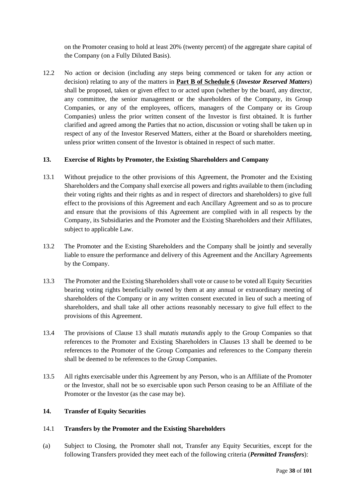on the Promoter ceasing to hold at least 20% (twenty percent) of the aggregate share capital of the Company (on a Fully Diluted Basis).

12.2 No action or decision (including any steps being commenced or taken for any action or decision) relating to any of the matters in **Part B of Schedule 6** (*Investor Reserved Matters*) shall be proposed, taken or given effect to or acted upon (whether by the board, any director, any committee, the senior management or the shareholders of the Company, its Group Companies, or any of the employees, officers, managers of the Company or its Group Companies) unless the prior written consent of the Investor is first obtained. It is further clarified and agreed among the Parties that no action, discussion or voting shall be taken up in respect of any of the Investor Reserved Matters, either at the Board or shareholders meeting, unless prior written consent of the Investor is obtained in respect of such matter.

# <span id="page-38-0"></span>**13. Exercise of Rights by Promoter, the Existing Shareholders and Company**

- 13.1 Without prejudice to the other provisions of this Agreement, the Promoter and the Existing Shareholders and the Company shall exercise all powers and rights available to them (including their voting rights and their rights as and in respect of directors and shareholders) to give full effect to the provisions of this Agreement and each Ancillary Agreement and so as to procure and ensure that the provisions of this Agreement are complied with in all respects by the Company, its Subsidiaries and the Promoter and the Existing Shareholders and their Affiliates, subject to applicable Law.
- 13.2 The Promoter and the Existing Shareholders and the Company shall be jointly and severally liable to ensure the performance and delivery of this Agreement and the Ancillary Agreements by the Company.
- 13.3 The Promoter and the Existing Shareholders shall vote or cause to be voted all Equity Securities bearing voting rights beneficially owned by them at any annual or extraordinary meeting of shareholders of the Company or in any written consent executed in lieu of such a meeting of shareholders, and shall take all other actions reasonably necessary to give full effect to the provisions of this Agreement.
- 13.4 The provisions of Clause [13](#page-38-0) shall *mutatis mutandis* apply to the Group Companies so that references to the Promoter and Existing Shareholders in Clauses [13](#page-38-0) shall be deemed to be references to the Promoter of the Group Companies and references to the Company therein shall be deemed to be references to the Group Companies.
- 13.5 All rights exercisable under this Agreement by any Person, who is an Affiliate of the Promoter or the Investor, shall not be so exercisable upon such Person ceasing to be an Affiliate of the Promoter or the Investor (as the case may be).

# **14. Transfer of Equity Securities**

# 14.1 **Transfers by the Promoter and the Existing Shareholders**

(a) Subject to Closing, the Promoter shall not, Transfer any Equity Securities, except for the following Transfers provided they meet each of the following criteria (*Permitted Transfers*):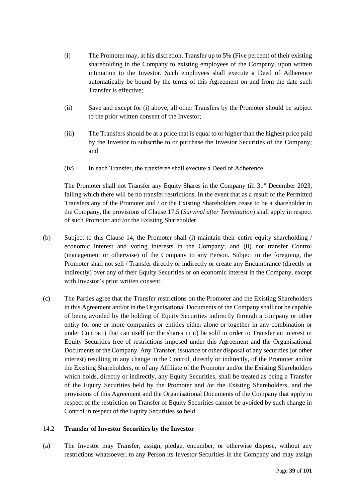- (i) The Promoter may, at his discretion, Transfer up to 5% (Five percent) of their existing shareholding in the Company to existing employees of the Company, upon written intimation to the Investor. Such employees shall execute a Deed of Adherence automatically be bound by the terms of this Agreement on and from the date such Transfer is effective;
- (ii) Save and except for (i) above, all other Transfers by the Promoter should be subject to the prior written consent of the Investor;
- (iii) The Transfers should be at a price that is equal to or higher than the highest price paid by the Investor to subscribe to or purchase the Investor Securities of the Company; and
- (iv) In each Transfer, the transferee shall execute a Deed of Adherence.

The Promoter shall not Transfer any Equity Shares in the Company till 31<sup>st</sup> December 2023, failing which there will be no transfer restrictions. In the event that as a result of the Permitted Transfers any of the Promoter and / or the Existing Shareholders cease to be a shareholder in the Company, the provisions of Clause [17.5](#page-46-0) (*Survival after Termination*) shall apply in respect of such Promoter and /or the Existing Shareholder.

- (b) Subject to this Clause 14, the Promoter shall (i) maintain their entire equity shareholding / economic interest and voting interests in the Company; and (ii) not transfer Control (management or otherwise) of the Company to any Person. Subject to the foregoing, the Promoter shall not sell / Transfer directly or indirectly or create any Encumbrance (directly or indirectly) over any of their Equity Securities or on economic interest in the Company, except with Investor's prior written consent.
- (c) The Parties agree that the Transfer restrictions on the Promoter and the Existing Shareholders in this Agreement and/or in the Organisational Documents of the Company shall not be capable of being avoided by the holding of Equity Securities indirectly through a company or other entity (or one or more companies or entities either alone or together in any combination or under Contract) that can itself (or the shares in it) be sold in order to Transfer an interest in Equity Securities free of restrictions imposed under this Agreement and the Organisational Documents of the Company. Any Transfer, issuance or other disposal of any securities (or other interest) resulting in any change in the Control, directly or indirectly, of the Promoter and/or the Existing Shareholders, or of any Affiliate of the Promoter and/or the Existing Shareholders which holds, directly or indirectly, any Equity Securities, shall be treated as being a Transfer of the Equity Securities held by the Promoter and /or the Existing Shareholders, and the provisions of this Agreement and the Organisational Documents of the Company that apply in respect of the restriction on Transfer of Equity Securities cannot be avoided by such change in Control in respect of the Equity Securities so held.

# 14.2 **Transfer of Investor Securities by the Investor**

(a) The Investor may Transfer, assign, pledge, encumber, or otherwise dispose, without any restrictions whatsoever, to any Person its Investor Securities in the Company and may assign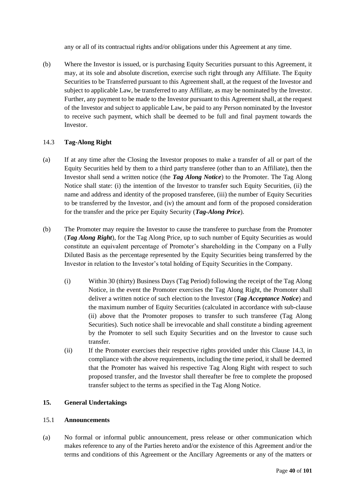any or all of its contractual rights and/or obligations under this Agreement at any time.

(b) Where the Investor is issued, or is purchasing Equity Securities pursuant to this Agreement, it may, at its sole and absolute discretion, exercise such right through any Affiliate. The Equity Securities to be Transferred pursuant to this Agreement shall, at the request of the Investor and subject to applicable Law, be transferred to any Affiliate, as may be nominated by the Investor. Further, any payment to be made to the Investor pursuant to this Agreement shall, at the request of the Investor and subject to applicable Law, be paid to any Person nominated by the Investor to receive such payment, which shall be deemed to be full and final payment towards the Investor.

# <span id="page-40-0"></span>14.3 **Tag-Along Right**

- (a) If at any time after the Closing the Investor proposes to make a transfer of all or part of the Equity Securities held by them to a third party transferee (other than to an Affiliate), then the Investor shall send a written notice (the *Tag Along Notice*) to the Promoter. The Tag Along Notice shall state: (i) the intention of the Investor to transfer such Equity Securities, (ii) the name and address and identity of the proposed transferee, (iii) the number of Equity Securities to be transferred by the Investor, and (iv) the amount and form of the proposed consideration for the transfer and the price per Equity Security (*Tag-Along Price*).
- (b) The Promoter may require the Investor to cause the transferee to purchase from the Promoter (*Tag Along Right*), for the Tag Along Price, up to such number of Equity Securities as would constitute an equivalent percentage of Promoter's shareholding in the Company on a Fully Diluted Basis as the percentage represented by the Equity Securities being transferred by the Investor in relation to the Investor's total holding of Equity Securities in the Company.
	- (i) Within 30 (thirty) Business Days (Tag Period) following the receipt of the Tag Along Notice, in the event the Promoter exercises the Tag Along Right, the Promoter shall deliver a written notice of such election to the Investor (*Tag Acceptance Notice*) and the maximum number of Equity Securities (calculated in accordance with sub-clause (ii) above that the Promoter proposes to transfer to such transferee (Tag Along Securities). Such notice shall be irrevocable and shall constitute a binding agreement by the Promoter to sell such Equity Securities and on the Investor to cause such transfer.
	- (ii) If the Promoter exercises their respective rights provided under this Clause [14.3,](#page-40-0) in compliance with the above requirements, including the time period, it shall be deemed that the Promoter has waived his respective Tag Along Right with respect to such proposed transfer, and the Investor shall thereafter be free to complete the proposed transfer subject to the terms as specified in the Tag Along Notice.

# **15. General Undertakings**

# <span id="page-40-1"></span>15.1 **Announcements**

(a) No formal or informal public announcement, press release or other communication which makes reference to any of the Parties hereto and/or the existence of this Agreement and/or the terms and conditions of this Agreement or the Ancillary Agreements or any of the matters or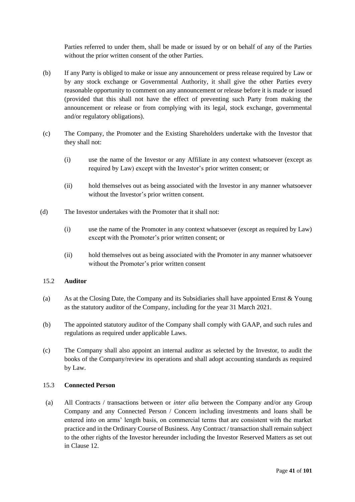Parties referred to under them, shall be made or issued by or on behalf of any of the Parties without the prior written consent of the other Parties.

- (b) If any Party is obliged to make or issue any announcement or press release required by Law or by any stock exchange or Governmental Authority, it shall give the other Parties every reasonable opportunity to comment on any announcement or release before it is made or issued (provided that this shall not have the effect of preventing such Party from making the announcement or release or from complying with its legal, stock exchange, governmental and/or regulatory obligations).
- (c) The Company, the Promoter and the Existing Shareholders undertake with the Investor that they shall not:
	- (i) use the name of the Investor or any Affiliate in any context whatsoever (except as required by Law) except with the Investor's prior written consent; or
	- (ii) hold themselves out as being associated with the Investor in any manner whatsoever without the Investor's prior written consent.
- (d) The Investor undertakes with the Promoter that it shall not:
	- (i) use the name of the Promoter in any context whatsoever (except as required by Law) except with the Promoter's prior written consent; or
	- (ii) hold themselves out as being associated with the Promoter in any manner whatsoever without the Promoter's prior written consent

# 15.2 **Auditor**

- (a) As at the Closing Date, the Company and its Subsidiaries shall have appointed Ernst & Young as the statutory auditor of the Company, including for the year 31 March 2021.
- (b) The appointed statutory auditor of the Company shall comply with GAAP, and such rules and regulations as required under applicable Laws.
- (c) The Company shall also appoint an internal auditor as selected by the Investor, to audit the books of the Company/review its operations and shall adopt accounting standards as required by Law.

# 15.3 **Connected Person**

(a) All Contracts / transactions between or *inter alia* between the Company and/or any Group Company and any Connected Person / Concern including investments and loans shall be entered into on arms' length basis, on commercial terms that are consistent with the market practice and in the Ordinary Course of Business. Any Contract / transaction shall remain subject to the other rights of the Investor hereunder including the Investor Reserved Matters as set out in Clause [12.](#page-37-2)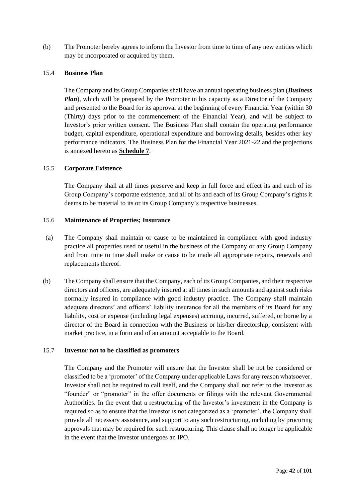(b) The Promoter hereby agrees to inform the Investor from time to time of any new entities which may be incorporated or acquired by them.

### 15.4 **Business Plan**

The Company and its Group Companies shall have an annual operating business plan (*Business Plan*), which will be prepared by the Promoter in his capacity as a Director of the Company and presented to the Board for its approval at the beginning of every Financial Year (within 30 (Thirty) days prior to the commencement of the Financial Year), and will be subject to Investor's prior written consent. The Business Plan shall contain the operating performance budget, capital expenditure, operational expenditure and borrowing details, besides other key performance indicators. The Business Plan for the Financial Year 2021-22 and the projections is annexed hereto as **Schedule 7**.

### 15.5 **Corporate Existence**

The Company shall at all times preserve and keep in full force and effect its and each of its Group Company's corporate existence, and all of its and each of its Group Company's rights it deems to be material to its or its Group Company's respective businesses.

# 15.6 **Maintenance of Properties; Insurance**

- (a) The Company shall maintain or cause to be maintained in compliance with good industry practice all properties used or useful in the business of the Company or any Group Company and from time to time shall make or cause to be made all appropriate repairs, renewals and replacements thereof.
- (b) The Company shall ensure that the Company, each of its Group Companies, and their respective directors and officers, are adequately insured at all times in such amounts and against such risks normally insured in compliance with good industry practice. The Company shall maintain adequate directors' and officers' liability insurance for all the members of its Board for any liability, cost or expense (including legal expenses) accruing, incurred, suffered, or borne by a director of the Board in connection with the Business or his/her directorship, consistent with market practice, in a form and of an amount acceptable to the Board.

#### 15.7 **Investor not to be classified as promoters**

The Company and the Promoter will ensure that the Investor shall be not be considered or classified to be a 'promoter' of the Company under applicable Laws for any reason whatsoever. Investor shall not be required to call itself, and the Company shall not refer to the Investor as "founder" or "promoter" in the offer documents or filings with the relevant Governmental Authorities. In the event that a restructuring of the Investor's investment in the Company is required so as to ensure that the Investor is not categorized as a 'promoter', the Company shall provide all necessary assistance, and support to any such restructuring, including by procuring approvals that may be required for such restructuring. This clause shall no longer be applicable in the event that the Investor undergoes an IPO.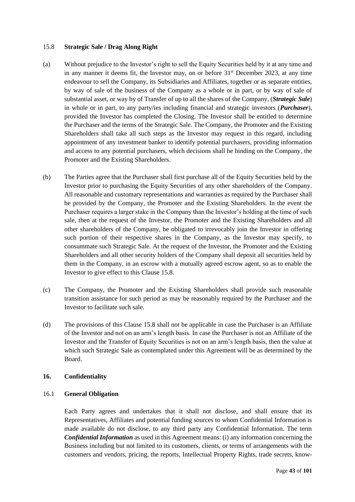#### <span id="page-43-0"></span>15.8 **Strategic Sale / Drag Along Right**

- (a) Without prejudice to the Investor's right to sell the Equity Securities held by it at any time and in any manner it deems fit, the Investor may, on or before  $31<sup>st</sup>$  December 2023, at any time endeavour to sell the Company, its Subsidiaries and Affiliates, together or as separate entities, by way of sale of the business of the Company as a whole or in part, or by way of sale of substantial asset, or way by of Transfer of up to all the shares of the Company, (*Strategic Sale*) in whole or in part, to any party/ies including financial and strategic investors (*Purchaser*), provided the Investor has completed the Closing. The Investor shall be entitled to determine the Purchaser and the terms of the Strategic Sale. The Company, the Promoter and the Existing Shareholders shall take all such steps as the Investor may request in this regard, including appointment of any investment banker to identify potential purchasers, providing information and access to any potential purchasers, which decisions shall be binding on the Company, the Promoter and the Existing Shareholders.
- (b) The Parties agree that the Purchaser shall first purchase all of the Equity Securities held by the Investor prior to purchasing the Equity Securities of any other shareholders of the Company. All reasonable and customary representations and warranties as required by the Purchaser shall be provided by the Company, the Promoter and the Existing Shareholders. In the event the Purchaser requires a larger stake in the Company than the Investor's holding at the time of such sale, then at the request of the Investor, the Promoter and the Existing Shareholders and all other shareholders of the Company, be obligated to irrevocably join the Investor in offering such portion of their respective shares in the Company, as the Investor may specify, to consummate such Strategic Sale. At the request of the Investor, the Promoter and the Existing Shareholders and all other security holders of the Company shall deposit all securities held by them in the Company, in an escrow with a mutually agreed escrow agent, so as to enable the Investor to give effect to this Clause [15.8.](#page-43-0)
- (c) The Company, the Promoter and the Existing Shareholders shall provide such reasonable transition assistance for such period as may be reasonably required by the Purchaser and the Investor to facilitate such sale.
- (d) The provisions of this Clause [15.8](#page-43-0) shall not be applicable in case the Purchaser is an Affiliate of the Investor and not on an arm's length basis. In case the Purchaser is not an Affiliate of the Investor and the Transfer of Equity Securities is not on an arm's length basis, then the value at which such Strategic Sale as contemplated under this Agreement will be as determined by the Board.

# <span id="page-43-2"></span>**16. Confidentiality**

#### <span id="page-43-1"></span>16.1 **General Obligation**

Each Party agrees and undertakes that it shall not disclose, and shall ensure that its Representatives, Affiliates and potential funding sources to whom Confidential Information is made available do not disclose, to any third party any Confidential Information. The term *Confidential Information* as used in this Agreement means: (i) any information concerning the Business including but not limited to its customers, clients, or terms of arrangements with the customers and vendors, pricing, the reports, Intellectual Property Rights, trade secrets, know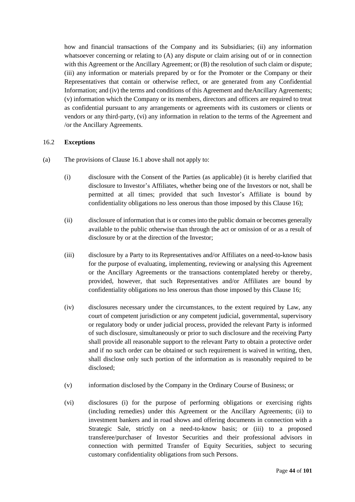how and financial transactions of the Company and its Subsidiaries; (ii) any information whatsoever concerning or relating to (A) any dispute or claim arising out of or in connection with this Agreement or the Ancillary Agreement; or (B) the resolution of such claim or dispute; (iii) any information or materials prepared by or for the Promoter or the Company or their Representatives that contain or otherwise reflect, or are generated from any Confidential Information; and (iv) the terms and conditions of this Agreement and theAncillary Agreements; (v) information which the Company or its members, directors and officers are required to treat as confidential pursuant to any arrangements or agreements with its customers or clients or vendors or any third-party, (vi) any information in relation to the terms of the Agreement and /or the Ancillary Agreements.

# 16.2 **Exceptions**

- (a) The provisions of Clause [16.1](#page-43-1) above shall not apply to:
	- (i) disclosure with the Consent of the Parties (as applicable) (it is hereby clarified that disclosure to Investor's Affiliates, whether being one of the Investors or not, shall be permitted at all times; provided that such Investor's Affiliate is bound by confidentiality obligations no less onerous than those imposed by this Clause [16\)](#page-43-2);
	- (ii) disclosure of information that is or comes into the public domain or becomes generally available to the public otherwise than through the act or omission of or as a result of disclosure by or at the direction of the Investor;
	- (iii) disclosure by a Party to its Representatives and/or Affiliates on a need-to-know basis for the purpose of evaluating, implementing, reviewing or analysing this Agreement or the Ancillary Agreements or the transactions contemplated hereby or thereby, provided, however, that such Representatives and/or Affiliates are bound by confidentiality obligations no less onerous than those imposed by this Clause [16;](#page-43-2)
	- (iv) disclosures necessary under the circumstances, to the extent required by Law, any court of competent jurisdiction or any competent judicial, governmental, supervisory or regulatory body or under judicial process, provided the relevant Party is informed of such disclosure, simultaneously or prior to such disclosure and the receiving Party shall provide all reasonable support to the relevant Party to obtain a protective order and if no such order can be obtained or such requirement is waived in writing, then, shall disclose only such portion of the information as is reasonably required to be disclosed;
	- (v) information disclosed by the Company in the Ordinary Course of Business; or
	- (vi) disclosures (i) for the purpose of performing obligations or exercising rights (including remedies) under this Agreement or the Ancillary Agreements; (ii) to investment bankers and in road shows and offering documents in connection with a Strategic Sale, strictly on a need-to-know basis; or (iii) to a proposed transferee/purchaser of Investor Securities and their professional advisors in connection with permitted Transfer of Equity Securities, subject to securing customary confidentiality obligations from such Persons.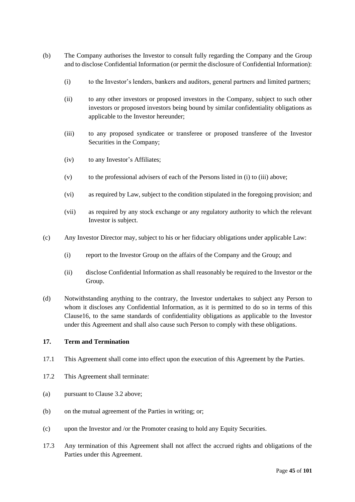- (b) The Company authorises the Investor to consult fully regarding the Company and the Group and to disclose Confidential Information (or permit the disclosure of Confidential Information):
	- (i) to the Investor's lenders, bankers and auditors, general partners and limited partners;
	- (ii) to any other investors or proposed investors in the Company, subject to such other investors or proposed investors being bound by similar confidentiality obligations as applicable to the Investor hereunder;
	- (iii) to any proposed syndicatee or transferee or proposed transferee of the Investor Securities in the Company;
	- (iv) to any Investor's Affiliates;
	- (v) to the professional advisers of each of the Persons listed in (i) to (iii) above;
	- (vi) as required by Law, subject to the condition stipulated in the foregoing provision; and
	- (vii) as required by any stock exchange or any regulatory authority to which the relevant Investor is subject.
- (c) Any Investor Director may, subject to his or her fiduciary obligations under applicable Law:
	- (i) report to the Investor Group on the affairs of the Company and the Group; and
	- (ii) disclose Confidential Information as shall reasonably be required to the Investor or the Group.
- (d) Notwithstanding anything to the contrary, the Investor undertakes to subject any Person to whom it discloses any Confidential Information, as it is permitted to do so in terms of this Claus[e16,](#page-43-2) to the same standards of confidentiality obligations as applicable to the Investor under this Agreement and shall also cause such Person to comply with these obligations.

# **17. Term and Termination**

- 17.1 This Agreement shall come into effect upon the execution of this Agreement by the Parties.
- <span id="page-45-0"></span>17.2 This Agreement shall terminate:
- <span id="page-45-1"></span>(a) pursuant to Clause [3.2](#page-16-0) above;
- (b) on the mutual agreement of the Parties in writing; or;
- (c) upon the Investor and /or the Promoter ceasing to hold any Equity Securities.
- 17.3 Any termination of this Agreement shall not affect the accrued rights and obligations of the Parties under this Agreement.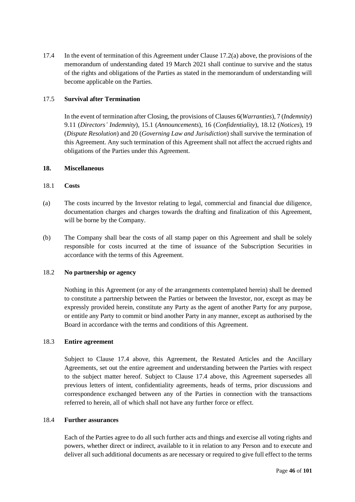<span id="page-46-1"></span>17.4 In the event of termination of this Agreement under Claus[e 17.2](#page-45-0)[\(a\)](#page-45-1) above, the provisions of the memorandum of understanding dated 19 March 2021 shall continue to survive and the status of the rights and obligations of the Parties as stated in the memorandum of understanding will become applicable on the Parties.

# <span id="page-46-0"></span>17.5 **Survival after Termination**

In the event of termination after Closing, the provisions of Clause[s 6\(](#page-24-0)*Warranties*), [7](#page-25-0) (*Indemnity*) [9.11](#page-32-0) (*Directors' Indemnity*), [15.1](#page-40-1) (*Announcements*), [16](#page-43-2) (*Confidentiality*), [18.12](#page-49-0) (*Notices*), [19](#page-50-0) (*Dispute Resolution*) and [20](#page-51-0) (*Governing Law and Jurisdiction*) shall survive the termination of this Agreement. Any such termination of this Agreement shall not affect the accrued rights and obligations of the Parties under this Agreement.

# **18. Miscellaneous**

# 18.1 **Costs**

- (a) The costs incurred by the Investor relating to legal, commercial and financial due diligence, documentation charges and charges towards the drafting and finalization of this Agreement, will be borne by the Company.
- (b) The Company shall bear the costs of all stamp paper on this Agreement and shall be solely responsible for costs incurred at the time of issuance of the Subscription Securities in accordance with the terms of this Agreement.

# 18.2 **No partnership or agency**

Nothing in this Agreement (or any of the arrangements contemplated herein) shall be deemed to constitute a partnership between the Parties or between the Investor, nor, except as may be expressly provided herein, constitute any Party as the agent of another Party for any purpose, or entitle any Party to commit or bind another Party in any manner, except as authorised by the Board in accordance with the terms and conditions of this Agreement.

# 18.3 **Entire agreement**

Subject to Clause [17.4](#page-46-1) above, this Agreement, the Restated Articles and the Ancillary Agreements, set out the entire agreement and understanding between the Parties with respect to the subject matter hereof. Subject to Clause 17.4 above, this Agreement supersedes all previous letters of intent, confidentiality agreements, heads of terms, prior discussions and correspondence exchanged between any of the Parties in connection with the transactions referred to herein, all of which shall not have any further force or effect.

# 18.4 **Further assurances**

Each of the Parties agree to do all such further acts and things and exercise all voting rights and powers, whether direct or indirect, available to it in relation to any Person and to execute and deliver all such additional documents as are necessary or required to give full effect to the terms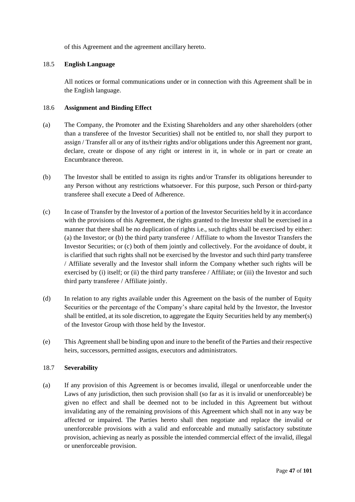of this Agreement and the agreement ancillary hereto.

# 18.5 **English Language**

All notices or formal communications under or in connection with this Agreement shall be in the English language.

# 18.6 **Assignment and Binding Effect**

- (a) The Company, the Promoter and the Existing Shareholders and any other shareholders (other than a transferee of the Investor Securities) shall not be entitled to, nor shall they purport to assign / Transfer all or any of its/their rights and/or obligations under this Agreement nor grant, declare, create or dispose of any right or interest in it, in whole or in part or create an Encumbrance thereon.
- (b) The Investor shall be entitled to assign its rights and/or Transfer its obligations hereunder to any Person without any restrictions whatsoever. For this purpose, such Person or third-party transferee shall execute a Deed of Adherence.
- (c) In case of Transfer by the Investor of a portion of the Investor Securities held by it in accordance with the provisions of this Agreement, the rights granted to the Investor shall be exercised in a manner that there shall be no duplication of rights i.e., such rights shall be exercised by either: (a) the Investor; or (b) the third party transferee / Affiliate to whom the Investor Transfers the Investor Securities; or (c) both of them jointly and collectively. For the avoidance of doubt, it is clarified that such rights shall not be exercised by the Investor and such third party transferee / Affiliate severally and the Investor shall inform the Company whether such rights will be exercised by (i) itself; or (ii) the third party transferee / Affiliate; or (iii) the Investor and such third party transferee / Affiliate jointly.
- (d) In relation to any rights available under this Agreement on the basis of the number of Equity Securities or the percentage of the Company's share capital held by the Investor, the Investor shall be entitled, at its sole discretion, to aggregate the Equity Securities held by any member(s) of the Investor Group with those held by the Investor.
- (e) This Agreement shall be binding upon and inure to the benefit of the Parties and their respective heirs, successors, permitted assigns, executors and administrators.

# 18.7 **Severability**

(a) If any provision of this Agreement is or becomes invalid, illegal or unenforceable under the Laws of any jurisdiction, then such provision shall (so far as it is invalid or unenforceable) be given no effect and shall be deemed not to be included in this Agreement but without invalidating any of the remaining provisions of this Agreement which shall not in any way be affected or impaired. The Parties hereto shall then negotiate and replace the invalid or unenforceable provisions with a valid and enforceable and mutually satisfactory substitute provision, achieving as nearly as possible the intended commercial effect of the invalid, illegal or unenforceable provision.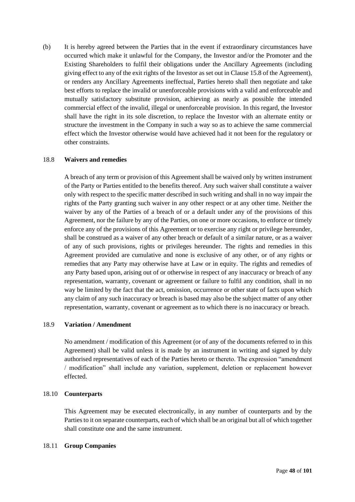(b) It is hereby agreed between the Parties that in the event if extraordinary circumstances have occurred which make it unlawful for the Company, the Investor and/or the Promoter and the Existing Shareholders to fulfil their obligations under the Ancillary Agreements (including giving effect to any of the exit rights of the Investor as set out in Claus[e 15.8](#page-43-0) of the Agreement), or renders any Ancillary Agreements ineffectual, Parties hereto shall then negotiate and take best efforts to replace the invalid or unenforceable provisions with a valid and enforceable and mutually satisfactory substitute provision, achieving as nearly as possible the intended commercial effect of the invalid, illegal or unenforceable provision. In this regard, the Investor shall have the right in its sole discretion, to replace the Investor with an alternate entity or structure the investment in the Company in such a way so as to achieve the same commercial effect which the Investor otherwise would have achieved had it not been for the regulatory or other constraints.

# 18.8 **Waivers and remedies**

A breach of any term or provision of this Agreement shall be waived only by written instrument of the Party or Parties entitled to the benefits thereof. Any such waiver shall constitute a waiver only with respect to the specific matter described in such writing and shall in no way impair the rights of the Party granting such waiver in any other respect or at any other time. Neither the waiver by any of the Parties of a breach of or a default under any of the provisions of this Agreement, nor the failure by any of the Parties, on one or more occasions, to enforce or timely enforce any of the provisions of this Agreement or to exercise any right or privilege hereunder, shall be construed as a waiver of any other breach or default of a similar nature, or as a waiver of any of such provisions, rights or privileges hereunder. The rights and remedies in this Agreement provided are cumulative and none is exclusive of any other, or of any rights or remedies that any Party may otherwise have at Law or in equity. The rights and remedies of any Party based upon, arising out of or otherwise in respect of any inaccuracy or breach of any representation, warranty, covenant or agreement or failure to fulfil any condition, shall in no way be limited by the fact that the act, omission, occurrence or other state of facts upon which any claim of any such inaccuracy or breach is based may also be the subject matter of any other representation, warranty, covenant or agreement as to which there is no inaccuracy or breach.

# 18.9 **Variation / Amendment**

No amendment / modification of this Agreement (or of any of the documents referred to in this Agreement) shall be valid unless it is made by an instrument in writing and signed by duly authorised representatives of each of the Parties hereto or thereto. The expression "amendment / modification" shall include any variation, supplement, deletion or replacement however effected.

# 18.10 **Counterparts**

This Agreement may be executed electronically, in any number of counterparts and by the Parties to it on separate counterparts, each of which shall be an original but all of which together shall constitute one and the same instrument.

# 18.11 **Group Companies**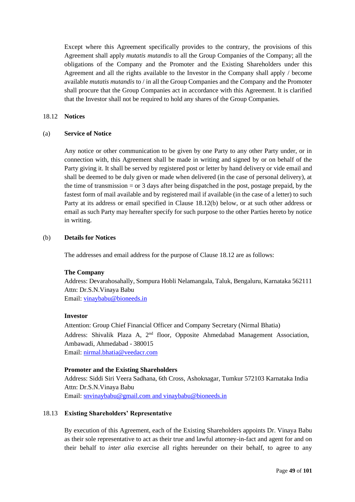Except where this Agreement specifically provides to the contrary, the provisions of this Agreement shall apply *mutatis mutandis* to all the Group Companies of the Company; all the obligations of the Company and the Promoter and the Existing Shareholders under this Agreement and all the rights available to the Investor in the Company shall apply / become available *mutatis mutandis* to / in all the Group Companies and the Company and the Promoter shall procure that the Group Companies act in accordance with this Agreement. It is clarified that the Investor shall not be required to hold any shares of the Group Companies.

#### <span id="page-49-0"></span>18.12 **Notices**

#### (a) **Service of Notice**

Any notice or other communication to be given by one Party to any other Party under, or in connection with, this Agreement shall be made in writing and signed by or on behalf of the Party giving it. It shall be served by registered post or letter by hand delivery or vide email and shall be deemed to be duly given or made when delivered (in the case of personal delivery), at the time of transmission  $=$  or 3 days after being dispatched in the post, postage prepaid, by the fastest form of mail available and by registered mail if available (in the case of a letter) to such Party at its address or email specified in Clause 18.12(b) below, or at such other address or email as such Party may hereafter specify for such purpose to the other Parties hereto by notice in writing.

# (b) **Details for Notices**

The addresses and email address for the purpose of Clause [18.12](#page-49-0) are as follows:

# **The Company**

Address: Devarahosahally, Sompura Hobli Nelamangala, Taluk, Bengaluru, Karnataka 562111 Attn: Dr.S.N.Vinaya Babu

Email: [vinaybabu@bioneeds.in](mailto:vinaybabu@bioneeds.in)

#### **Investor**

Attention: Group Chief Financial Officer and Company Secretary (Nirmal Bhatia) Address: Shivalik Plaza A, 2<sup>nd</sup> floor, Opposite Ahmedabad Management Association, Ambawadi, Ahmedabad - 380015 Email: [nirmal.bhatia@veedacr.com](mailto:nirmal.bhatia@veedacr.com)

# **Promoter and the Existing Shareholders**

Address: Siddi Siri Veera Sadhana, 6th Cross, Ashoknagar, Tumkur 572103 Karnataka India Attn: Dr.S.N.Vinaya Babu Email: [snvinaybabu@gmail.com](mailto:snvinaybabu@gmail.com) and [vinaybabu@bioneeds.in](mailto:vinaybabu@bioneeds.in)

# 18.13 **Existing Shareholders' Representative**

By execution of this Agreement, each of the Existing Shareholders appoints Dr. Vinaya Babu as their sole representative to act as their true and lawful attorney-in-fact and agent for and on their behalf to *inter alia* exercise all rights hereunder on their behalf, to agree to any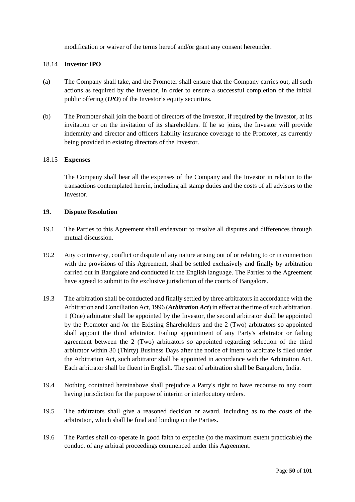modification or waiver of the terms hereof and/or grant any consent hereunder.

# 18.14 **Investor IPO**

- (a) The Company shall take, and the Promoter shall ensure that the Company carries out, all such actions as required by the Investor, in order to ensure a successful completion of the initial public offering (*IPO*) of the Investor's equity securities.
- (b) The Promoter shall join the board of directors of the Investor, if required by the Investor, at its invitation or on the invitation of its shareholders. If he so joins, the Investor will provide indemnity and director and officers liability insurance coverage to the Promoter, as currently being provided to existing directors of the Investor.

# 18.15 **Expenses**

The Company shall bear all the expenses of the Company and the Investor in relation to the transactions contemplated herein, including all stamp duties and the costs of all advisors to the **Investor** 

### <span id="page-50-0"></span>**19. Dispute Resolution**

- 19.1 The Parties to this Agreement shall endeavour to resolve all disputes and differences through mutual discussion.
- 19.2 Any controversy, conflict or dispute of any nature arising out of or relating to or in connection with the provisions of this Agreement, shall be settled exclusively and finally by arbitration carried out in Bangalore and conducted in the English language. The Parties to the Agreement have agreed to submit to the exclusive jurisdiction of the courts of Bangalore.
- 19.3 The arbitration shall be conducted and finally settled by three arbitrators in accordance with the Arbitration and Conciliation Act, 1996 (*Arbitration Act*) in effect at the time of such arbitration. 1 (One) arbitrator shall be appointed by the Investor, the second arbitrator shall be appointed by the Promoter and /or the Existing Shareholders and the 2 (Two) arbitrators so appointed shall appoint the third arbitrator. Failing appointment of any Party's arbitrator or failing agreement between the 2 (Two) arbitrators so appointed regarding selection of the third arbitrator within 30 (Thirty) Business Days after the notice of intent to arbitrate is filed under the Arbitration Act, such arbitrator shall be appointed in accordance with the Arbitration Act. Each arbitrator shall be fluent in English. The seat of arbitration shall be Bangalore, India.
- 19.4 Nothing contained hereinabove shall prejudice a Party's right to have recourse to any court having jurisdiction for the purpose of interim or interlocutory orders.
- 19.5 The arbitrators shall give a reasoned decision or award, including as to the costs of the arbitration, which shall be final and binding on the Parties.
- 19.6 The Parties shall co-operate in good faith to expedite (to the maximum extent practicable) the conduct of any arbitral proceedings commenced under this Agreement.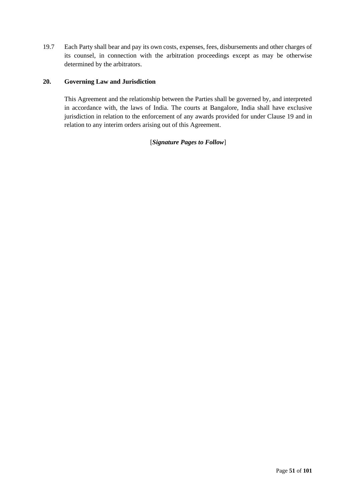19.7 Each Party shall bear and pay its own costs, expenses, fees, disbursements and other charges of its counsel, in connection with the arbitration proceedings except as may be otherwise determined by the arbitrators.

# <span id="page-51-0"></span>**20. Governing Law and Jurisdiction**

This Agreement and the relationship between the Parties shall be governed by, and interpreted in accordance with, the laws of India. The courts at Bangalore, India shall have exclusive jurisdiction in relation to the enforcement of any awards provided for under Clause [19](#page-50-0) and in relation to any interim orders arising out of this Agreement.

# [*Signature Pages to Follow*]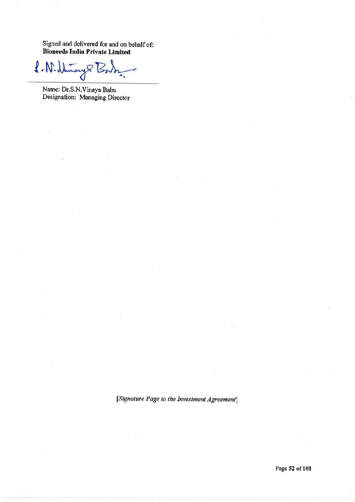Signed and delivered for and on behalf of: **Bioneeds India Private Limited** 

ay 8 B  $f-W. U$ 

Name: Dr.S.N.Vinaya Babu Designation: Managing Director

 $\overline{1}$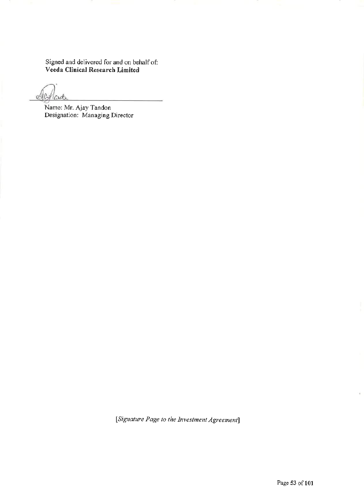Signed and delivered for and on behalf of:<br>Veeda Clinical Research Limited

olle Mard

Name: Mr. Ajay Tandon<br>Designation: Managing Director

[Signature Page to the Investment Agreement]

i.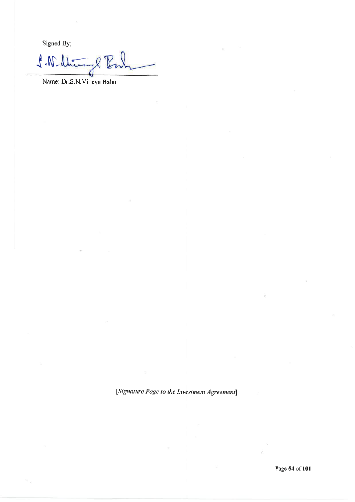Signed By:

ph Bul  $\sqrt{N}$ 

Name: Dr.S.N.Vinaya Babu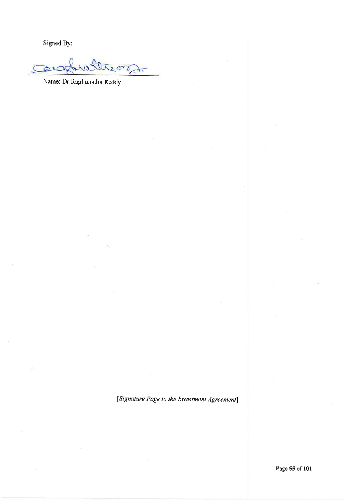Signed By:

rattream alac  $\overline{\phantom{0}}$ 

Name: Dr.Raghunatha Reddy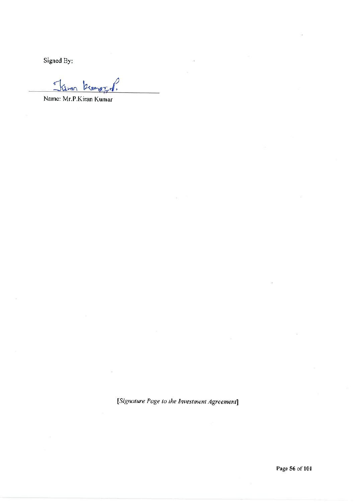Signed By:

 $\blacktriangledown$ 

Name: Mr.P.Kiran Kumar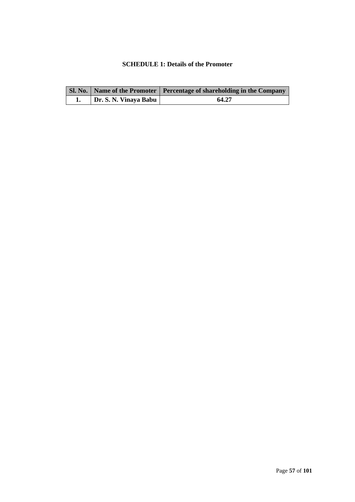# <span id="page-57-0"></span>**SCHEDULE 1: Details of the Promoter**

|                       | SI. No.   Name of the Promoter   Percentage of shareholding in the Company |
|-----------------------|----------------------------------------------------------------------------|
| Dr. S. N. Vinaya Babu | 64.27                                                                      |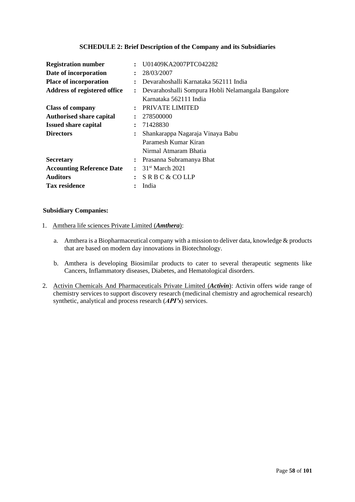# **SCHEDULE 2: Brief Description of the Company and its Subsidiaries**

| <b>Registration number</b>                         | U01409KA2007PTC042282                                                |
|----------------------------------------------------|----------------------------------------------------------------------|
| Date of incorporation                              | 28/03/2007                                                           |
| <b>Place of incorporation</b>                      | Devarahoshalli Karnataka 562111 India<br>$\ddot{\phantom{a}}$        |
| Address of registered office                       | Devarahoshalli Sompura Hobli Nelamangala Bangalore<br>$\ddot{\cdot}$ |
|                                                    | Karnataka 562111 India                                               |
| <b>Class of company</b>                            | PRIVATE LIMITED                                                      |
| <b>Authorised share capital</b><br>$\ddot{\cdot}$  | 278500000                                                            |
| <b>Issued share capital</b><br>$\ddot{\cdot}$      | 71428830                                                             |
| <b>Directors</b><br>$\ddot{\cdot}$                 | Shankarappa Nagaraja Vinaya Babu                                     |
|                                                    | Paramesh Kumar Kiran                                                 |
|                                                    | Nirmal Atmaram Bhatia                                                |
| <b>Secretary</b>                                   | Prasanna Subramanya Bhat                                             |
| <b>Accounting Reference Date</b><br>$\ddot{\cdot}$ | $31st$ March 2021                                                    |
| <b>Auditors</b>                                    | SRBC & COLLP                                                         |
| <b>Tax residence</b>                               | India                                                                |

### **Subsidiary Companies:**

- 1. Amthera life sciences Private Limited (*Amthera*):
	- a. Amthera is a Biopharmaceutical company with a mission to deliver data, knowledge & products that are based on modern day innovations in Biotechnology.
	- b. Amthera is developing Biosimilar products to cater to several therapeutic segments like Cancers, Inflammatory diseases, Diabetes, and Hematological disorders.
- 2. Activin Chemicals And Pharmaceuticals Private Limited (*Activin*): Activin offers wide range of chemistry services to support discovery research (medicinal chemistry and [agrochemical research\)](https://bioneeds.in/agrochemical-testing-services/) synthetic, analytical and process research (*API's*) services.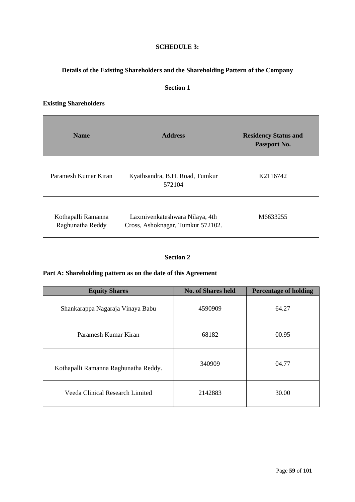# **SCHEDULE 3:**

# <span id="page-59-0"></span>**Details of the Existing Shareholders and the Shareholding Pattern of the Company**

# **Section 1**

# **Existing Shareholders**

| <b>Name</b>                            | <b>Address</b>                                                      | <b>Residency Status and</b><br>Passport No. |
|----------------------------------------|---------------------------------------------------------------------|---------------------------------------------|
| Paramesh Kumar Kiran                   | Kyathsandra, B.H. Road, Tumkur<br>572104                            | K2116742                                    |
| Kothapalli Ramanna<br>Raghunatha Reddy | Laxmivenkateshwara Nilaya, 4th<br>Cross, Ashoknagar, Tumkur 572102. | M6633255                                    |

# **Section 2**

# **Part A: Shareholding pattern as on the date of this Agreement**

| <b>Equity Shares</b>                 | <b>No. of Shares held</b> | <b>Percentage of holding</b> |
|--------------------------------------|---------------------------|------------------------------|
| Shankarappa Nagaraja Vinaya Babu     | 4590909                   | 64.27                        |
| Paramesh Kumar Kiran                 | 68182                     | 00.95                        |
| Kothapalli Ramanna Raghunatha Reddy. | 340909                    | 04.77                        |
| Veeda Clinical Research Limited      | 2142883                   | 30.00                        |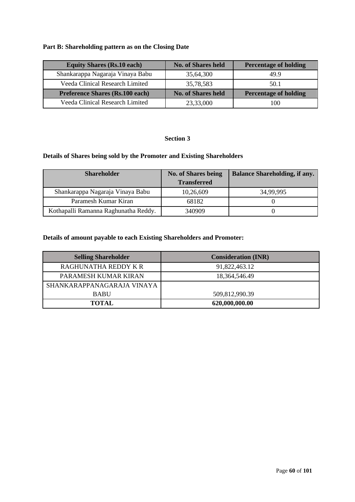# **Part B: Shareholding pattern as on the Closing Date**

| <b>Equity Shares (Rs.10 each)</b>      | <b>No. of Shares held</b> | <b>Percentage of holding</b> |
|----------------------------------------|---------------------------|------------------------------|
| Shankarappa Nagaraja Vinaya Babu       | 35,64,300                 | 499                          |
| Veeda Clinical Research Limited        | 35,78,583                 | 50.1                         |
| <b>Preference Shares (Rs.100 each)</b> | <b>No. of Shares held</b> | <b>Percentage of holding</b> |
| Veeda Clinical Research Limited        | 23,33,000                 | 100                          |

# **Section 3**

# **Details of Shares being sold by the Promoter and Existing Shareholders**

| <b>Shareholder</b>                   | <b>No. of Shares being</b> | <b>Balance Shareholding, if any.</b> |
|--------------------------------------|----------------------------|--------------------------------------|
|                                      | <b>Transferred</b>         |                                      |
| Shankarappa Nagaraja Vinaya Babu     | 10,26,609                  | 34,99,995                            |
| Paramesh Kumar Kiran                 | 68182                      |                                      |
| Kothapalli Ramanna Raghunatha Reddy. | 340909                     |                                      |

# **Details of amount payable to each Existing Shareholders and Promoter:**

| <b>Selling Shareholder</b> | <b>Consideration (INR)</b> |
|----------------------------|----------------------------|
| RAGHUNATHA REDDY K R       | 91,822,463.12              |
| PARAMESH KUMAR KIRAN       | 18, 364, 546. 49           |
| SHANKARAPPANAGARAJA VINAYA |                            |
| <b>BABU</b>                | 509,812,990.39             |
| <b>TOTAL</b>               | 620,000,000.00             |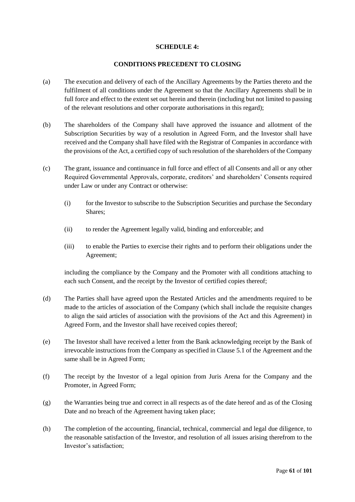### **SCHEDULE 4:**

### **CONDITIONS PRECEDENT TO CLOSING**

- (a) The execution and delivery of each of the Ancillary Agreements by the Parties thereto and the fulfilment of all conditions under the Agreement so that the Ancillary Agreements shall be in full force and effect to the extent set out herein and therein (including but not limited to passing of the relevant resolutions and other corporate authorisations in this regard);
- (b) The shareholders of the Company shall have approved the issuance and allotment of the Subscription Securities by way of a resolution in Agreed Form, and the Investor shall have received and the Company shall have filed with the Registrar of Companies in accordance with the provisions of the Act, a certified copy of such resolution of the shareholders of the Company
- (c) The grant, issuance and continuance in full force and effect of all Consents and all or any other Required Governmental Approvals, corporate, creditors' and shareholders' Consents required under Law or under any Contract or otherwise:
	- (i) for the Investor to subscribe to the Subscription Securities and purchase the Secondary Shares;
	- (ii) to render the Agreement legally valid, binding and enforceable; and
	- (iii) to enable the Parties to exercise their rights and to perform their obligations under the Agreement;

including the compliance by the Company and the Promoter with all conditions attaching to each such Consent, and the receipt by the Investor of certified copies thereof;

- (d) The Parties shall have agreed upon the Restated Articles and the amendments required to be made to the articles of association of the Company (which shall include the requisite changes to align the said articles of association with the provisions of the Act and this Agreement) in Agreed Form, and the Investor shall have received copies thereof;
- (e) The Investor shall have received a letter from the Bank acknowledging receipt by the Bank of irrevocable instructions from the Company as specified in Clause 5.1 of the Agreement and the same shall be in Agreed Form;
- (f) The receipt by the Investor of a legal opinion from Juris Arena for the Company and the Promoter, in Agreed Form;
- (g) the Warranties being true and correct in all respects as of the date hereof and as of the Closing Date and no breach of the Agreement having taken place;
- (h) The completion of the accounting, financial, technical, commercial and legal due diligence, to the reasonable satisfaction of the Investor, and resolution of all issues arising therefrom to the Investor's satisfaction;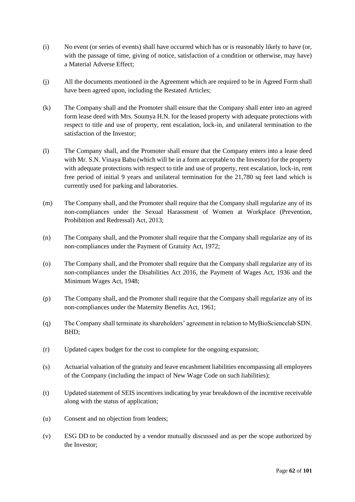- (i) No event (or series of events) shall have occurred which has or is reasonably likely to have (or, with the passage of time, giving of notice, satisfaction of a condition or otherwise, may have) a Material Adverse Effect;
- (j) All the documents mentioned in the Agreement which are required to be in Agreed Form shall have been agreed upon, including the Restated Articles;
- (k) The Company shall and the Promoter shall ensure that the Company shall enter into an agreed form lease deed with Mrs. Soumya H.N. for the leased property with adequate protections with respect to title and use of property, rent escalation, lock-in, and unilateral termination to the satisfaction of the Investor;
- (l) The Company shall, and the Promoter shall ensure that the Company enters into a lease deed with Mr. S.N. Vinaya Babu (which will be in a form acceptable to the Investor) for the property with adequate protections with respect to title and use of property, rent escalation, lock-in, rent free period of initial 9 years and unilateral termination for the 21,780 sq feet land which is currently used for parking and laboratories.
- (m) The Company shall, and the Promoter shall require that the Company shall regularize any of its non-compliances under the Sexual Harassment of Women at Workplace (Prevention, Prohibition and Redressal) Act, 2013;
- (n) The Company shall, and the Promoter shall require that the Company shall regularize any of its non-compliances under the Payment of Gratuity Act, 1972;
- (o) The Company shall, and the Promoter shall require that the Company shall regularize any of its non-compliances under the Disabilities Act 2016, the Payment of Wages Act, 1936 and the Minimum Wages Act, 1948;
- (p) The Company shall, and the Promoter shall require that the Company shall regularize any of its non-compliances under the Maternity Benefits Act, 1961;
- (q) The Company shall terminate its shareholders' agreement in relation to MyBioSciencelab SDN. BHD;
- (r) Updated capex budget for the cost to complete for the ongoing expansion;
- (s) Actuarial valuation of the gratuity and leave encashment liabilities encompassing all employees of the Company (including the impact of New Wage Code on such liabilities);
- (t) Updated statement of SEIS incentives indicating by year breakdown of the incentive receivable along with the status of application;
- (u) Consent and no objection from lenders;
- (v) ESG DD to be conducted by a vendor mutually discussed and as per the scope authorized by the Investor;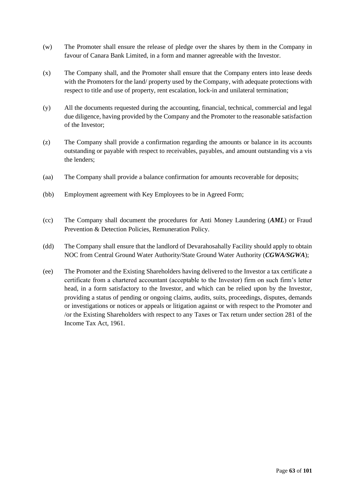- (w) The Promoter shall ensure the release of pledge over the shares by them in the Company in favour of Canara Bank Limited, in a form and manner agreeable with the Investor.
- (x) The Company shall, and the Promoter shall ensure that the Company enters into lease deeds with the Promoters for the land/ property used by the Company, with adequate protections with respect to title and use of property, rent escalation, lock-in and unilateral termination;
- (y) All the documents requested during the accounting, financial, technical, commercial and legal due diligence, having provided by the Company and the Promoter to the reasonable satisfaction of the Investor;
- (z) The Company shall provide a confirmation regarding the amounts or balance in its accounts outstanding or payable with respect to receivables, payables, and amount outstanding vis a vis the lenders;
- (aa) The Company shall provide a balance confirmation for amounts recoverable for deposits;
- (bb) Employment agreement with Key Employees to be in Agreed Form;
- (cc) The Company shall document the procedures for Anti Money Laundering (*AML*) or Fraud Prevention & Detection Policies, Remuneration Policy.
- (dd) The Company shall ensure that the landlord of Devarahosahally Facility should apply to obtain NOC from Central Ground Water Authority/State Ground Water Authority (*CGWA/SGWA*);
- (ee) The Promoter and the Existing Shareholders having delivered to the Investor a tax certificate a certificate from a chartered accountant (acceptable to the Investor) firm on such firm's letter head, in a form satisfactory to the Investor, and which can be relied upon by the Investor, providing a status of pending or ongoing claims, audits, suits, proceedings, disputes, demands or investigations or notices or appeals or litigation against or with respect to the Promoter and /or the Existing Shareholders with respect to any Taxes or Tax return under section 281 of the Income Tax Act, 1961.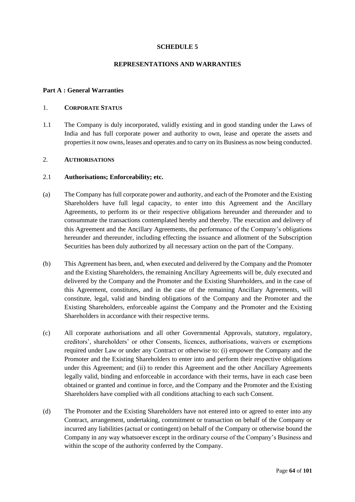# **SCHEDULE 5**

# **REPRESENTATIONS AND WARRANTIES**

# **Part A : General Warranties**

# 1. **CORPORATE STATUS**

1.1 The Company is duly incorporated, validly existing and in good standing under the Laws of India and has full corporate power and authority to own, lease and operate the assets and properties it now owns, leases and operates and to carry on its Business as now being conducted.

# 2. **AUTHORISATIONS**

# 2.1 **Authorisations; Enforceability; etc.**

- (a) The Company has full corporate power and authority, and each of the Promoter and the Existing Shareholders have full legal capacity, to enter into this Agreement and the Ancillary Agreements, to perform its or their respective obligations hereunder and thereunder and to consummate the transactions contemplated hereby and thereby. The execution and delivery of this Agreement and the Ancillary Agreements, the performance of the Company's obligations hereunder and thereunder, including effecting the issuance and allotment of the Subscription Securities has been duly authorized by all necessary action on the part of the Company.
- (b) This Agreement has been, and, when executed and delivered by the Company and the Promoter and the Existing Shareholders, the remaining Ancillary Agreements will be, duly executed and delivered by the Company and the Promoter and the Existing Shareholders, and in the case of this Agreement, constitutes, and in the case of the remaining Ancillary Agreements, will constitute, legal, valid and binding obligations of the Company and the Promoter and the Existing Shareholders, enforceable against the Company and the Promoter and the Existing Shareholders in accordance with their respective terms.
- (c) All corporate authorisations and all other Governmental Approvals, statutory, regulatory, creditors', shareholders' or other Consents, licences, authorisations, waivers or exemptions required under Law or under any Contract or otherwise to: (i) empower the Company and the Promoter and the Existing Shareholders to enter into and perform their respective obligations under this Agreement; and (ii) to render this Agreement and the other Ancillary Agreements legally valid, binding and enforceable in accordance with their terms, have in each case been obtained or granted and continue in force, and the Company and the Promoter and the Existing Shareholders have complied with all conditions attaching to each such Consent.
- (d) The Promoter and the Existing Shareholders have not entered into or agreed to enter into any Contract, arrangement, undertaking, commitment or transaction on behalf of the Company or incurred any liabilities (actual or contingent) on behalf of the Company or otherwise bound the Company in any way whatsoever except in the ordinary course of the Company's Business and within the scope of the authority conferred by the Company.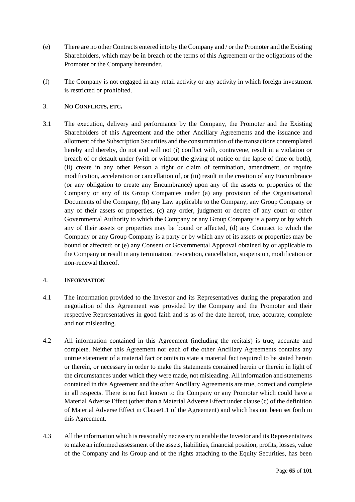- (e) There are no other Contracts entered into by the Company and / or the Promoter and the Existing Shareholders, which may be in breach of the terms of this Agreement or the obligations of the Promoter or the Company hereunder.
- (f) The Company is not engaged in any retail activity or any activity in which foreign investment is restricted or prohibited.

# 3. **NO CONFLICTS, ETC.**

3.1 The execution, delivery and performance by the Company, the Promoter and the Existing Shareholders of this Agreement and the other Ancillary Agreements and the issuance and allotment of the Subscription Securities and the consummation of the transactions contemplated hereby and thereby, do not and will not (i) conflict with, contravene, result in a violation or breach of or default under (with or without the giving of notice or the lapse of time or both), (ii) create in any other Person a right or claim of termination, amendment, or require modification, acceleration or cancellation of, or (iii) result in the creation of any Encumbrance (or any obligation to create any Encumbrance) upon any of the assets or properties of the Company or any of its Group Companies under (a) any provision of the Organisational Documents of the Company, (b) any Law applicable to the Company, any Group Company or any of their assets or properties, (c) any order, judgment or decree of any court or other Governmental Authority to which the Company or any Group Company is a party or by which any of their assets or properties may be bound or affected, (d) any Contract to which the Company or any Group Company is a party or by which any of its assets or properties may be bound or affected; or (e) any Consent or Governmental Approval obtained by or applicable to the Company or result in any termination, revocation, cancellation, suspension, modification or non-renewal thereof.

# 4. **INFORMATION**

- 4.1 The information provided to the Investor and its Representatives during the preparation and negotiation of this Agreement was provided by the Company and the Promoter and their respective Representatives in good faith and is as of the date hereof, true, accurate, complete and not misleading.
- 4.2 All information contained in this Agreement (including the recitals) is true, accurate and complete. Neither this Agreement nor each of the other Ancillary Agreements contains any untrue statement of a material fact or omits to state a material fact required to be stated herein or therein, or necessary in order to make the statements contained herein or therein in light of the circumstances under which they were made, not misleading. All information and statements contained in this Agreement and the other Ancillary Agreements are true, correct and complete in all respects. There is no fact known to the Company or any Promoter which could have a Material Adverse Effect (other than a Material Adverse Effect under clause (c) of the definition of Material Adverse Effect in Clause1.1 of the Agreement) and which has not been set forth in this Agreement.
- 4.3 All the information which is reasonably necessary to enable the Investor and its Representatives to make an informed assessment of the assets, liabilities, financial position, profits, losses, value of the Company and its Group and of the rights attaching to the Equity Securities, has been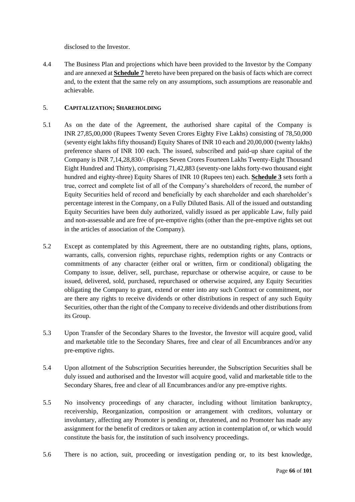disclosed to the Investor.

4.4 The Business Plan and projections which have been provided to the Investor by the Company and are annexed at **[Schedule](#page-92-0) 7** hereto have been prepared on the basis of facts which are correct and, to the extent that the same rely on any assumptions, such assumptions are reasonable and achievable.

# 5. **CAPITALIZATION; SHAREHOLDING**

- 5.1 As on the date of the Agreement, the authorised share capital of the Company is INR 27,85,00,000 (Rupees Twenty Seven Crores Eighty Five Lakhs) consisting of 78,50,000 (seventy eight lakhs fifty thousand) Equity Shares of INR 10 each and 20,00,000 (twenty lakhs) preference shares of INR 100 each. The issued, subscribed and paid-up share capital of the Company is INR 7,14,28,830/- (Rupees Seven Crores Fourteen Lakhs Twenty-Eight Thousand Eight Hundred and Thirty), comprising 71,42,883 (seventy-one lakhs forty-two thousand eight hundred and eighty-three) Equity Shares of INR 10 (Rupees ten) each. **[Schedule](#page-59-0) 3** sets forth a true, correct and complete list of all of the Company's shareholders of record, the number of Equity Securities held of record and beneficially by each shareholder and each shareholder's percentage interest in the Company, on a Fully Diluted Basis. All of the issued and outstanding Equity Securities have been duly authorized, validly issued as per applicable Law, fully paid and non-assessable and are free of pre-emptive rights (other than the pre-emptive rights set out in the articles of association of the Company).
- 5.2 Except as contemplated by this Agreement, there are no outstanding rights, plans, options, warrants, calls, conversion rights, repurchase rights, redemption rights or any Contracts or commitments of any character (either oral or written, firm or conditional) obligating the Company to issue, deliver, sell, purchase, repurchase or otherwise acquire, or cause to be issued, delivered, sold, purchased, repurchased or otherwise acquired, any Equity Securities obligating the Company to grant, extend or enter into any such Contract or commitment, nor are there any rights to receive dividends or other distributions in respect of any such Equity Securities, other than the right of the Company to receive dividends and other distributions from its Group.
- 5.3 Upon Transfer of the Secondary Shares to the Investor, the Investor will acquire good, valid and marketable title to the Secondary Shares, free and clear of all Encumbrances and/or any pre-emptive rights.
- 5.4 Upon allotment of the Subscription Securities hereunder, the Subscription Securities shall be duly issued and authorised and the Investor will acquire good, valid and marketable title to the Secondary Shares, free and clear of all Encumbrances and/or any pre-emptive rights.
- 5.5 No insolvency proceedings of any character, including without limitation bankruptcy, receivership, Reorganization, composition or arrangement with creditors, voluntary or involuntary, affecting any Promoter is pending or, threatened, and no Promoter has made any assignment for the benefit of creditors or taken any action in contemplation of, or which would constitute the basis for, the institution of such insolvency proceedings.
- 5.6 There is no action, suit, proceeding or investigation pending or, to its best knowledge,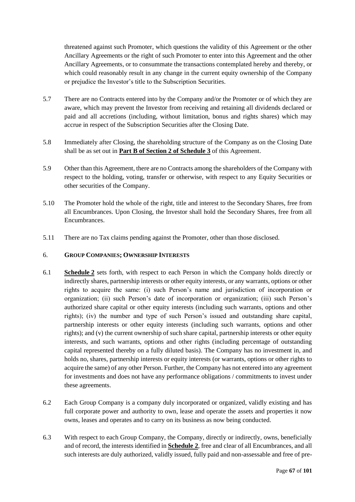threatened against such Promoter, which questions the validity of this Agreement or the other Ancillary Agreements or the right of such Promoter to enter into this Agreement and the other Ancillary Agreements, or to consummate the transactions contemplated hereby and thereby, or which could reasonably result in any change in the current equity ownership of the Company or prejudice the Investor's title to the Subscription Securities.

- 5.7 There are no Contracts entered into by the Company and/or the Promoter or of which they are aware, which may prevent the Investor from receiving and retaining all dividends declared or paid and all accretions (including, without limitation, bonus and rights shares) which may accrue in respect of the Subscription Securities after the Closing Date.
- 5.8 Immediately after Closing, the shareholding structure of the Company as on the Closing Date shall be as set out in **Part B of Section 2 of [Schedule](#page-59-0) 3** of this Agreement.
- 5.9 Other than this Agreement, there are no Contracts among the shareholders of the Company with respect to the holding, voting, transfer or otherwise, with respect to any Equity Securities or other securities of the Company.
- 5.10 The Promoter hold the whole of the right, title and interest to the Secondary Shares, free from all Encumbrances. Upon Closing, the Investor shall hold the Secondary Shares, free from all Encumbrances.
- 5.11 There are no Tax claims pending against the Promoter, other than those disclosed.

# 6. **GROUP COMPANIES; OWNERSHIP INTERESTS**

- 6.1 **[Schedule](#page-57-0) 2** sets forth, with respect to each Person in which the Company holds directly or indirectly shares, partnership interests or other equity interests, or any warrants, options or other rights to acquire the same: (i) such Person's name and jurisdiction of incorporation or organization; (ii) such Person's date of incorporation or organization; (iii) such Person's authorized share capital or other equity interests (including such warrants, options and other rights); (iv) the number and type of such Person's issued and outstanding share capital, partnership interests or other equity interests (including such warrants, options and other rights); and (v) the current ownership of such share capital, partnership interests or other equity interests, and such warrants, options and other rights (including percentage of outstanding capital represented thereby on a fully diluted basis). The Company has no investment in, and holds no, shares, partnership interests or equity interests (or warrants, options or other rights to acquire the same) of any other Person. Further, the Company has not entered into any agreement for investments and does not have any performance obligations / commitments to invest under these agreements.
- 6.2 Each Group Company is a company duly incorporated or organized, validly existing and has full corporate power and authority to own, lease and operate the assets and properties it now owns, leases and operates and to carry on its business as now being conducted.
- 6.3 With respect to each Group Company, the Company, directly or indirectly, owns, beneficially and of record, the interests identified in **[Schedule](#page-57-0) 2**, free and clear of all Encumbrances, and all such interests are duly authorized, validly issued, fully paid and non-assessable and free of pre-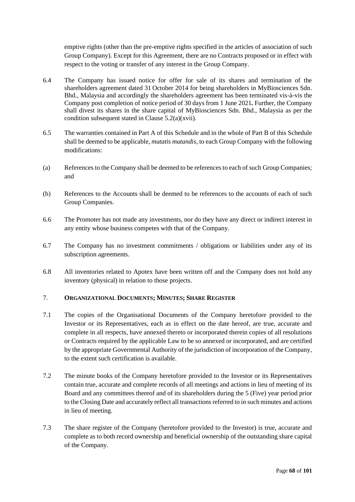emptive rights (other than the pre-emptive rights specified in the articles of association of such Group Company). Except for this Agreement, there are no Contracts proposed or in effect with respect to the voting or transfer of any interest in the Group Company.

- 6.4 The Company has issued notice for offer for sale of its shares and termination of the shareholders agreement dated 31 October 2014 for being shareholders in MyBiosciences Sdn. Bhd., Malaysia and accordingly the shareholders agreement has been terminated vis-à-vis the Company post completion of notice period of 30 days from 1 June 2021*.* Further, the Company shall divest its shares in the share capital of MyBiosciences Sdn. Bhd., Malaysia as per the condition subsequent stated in Clause 5.2(a)(xvii).
- 6.5 The warranties contained in Part A of this Schedule and in the whole of Part B of this Schedule shall be deemed to be applicable, *mutatis mutandis*, to each Group Company with the following modifications:
- (a) References to the Company shall be deemed to be references to each of such Group Companies; and
- (b) References to the Accounts shall be deemed to be references to the accounts of each of such Group Companies.
- 6.6 The Promoter has not made any investments, nor do they have any direct or indirect interest in any entity whose business competes with that of the Company.
- 6.7 The Company has no investment commitments / obligations or liabilities under any of its subscription agreements.
- 6.8 All inventories related to Apotex have been written off and the Company does not hold any inventory (physical) in relation to those projects.

# 7. **ORGANIZATIONAL DOCUMENTS; MINUTES; SHARE REGISTER**

- 7.1 The copies of the Organisational Documents of the Company heretofore provided to the Investor or its Representatives, each as in effect on the date hereof, are true, accurate and complete in all respects, have annexed thereto or incorporated therein copies of all resolutions or Contracts required by the applicable Law to be so annexed or incorporated, and are certified by the appropriate Governmental Authority of the jurisdiction of incorporation of the Company, to the extent such certification is available.
- 7.2 The minute books of the Company heretofore provided to the Investor or its Representatives contain true, accurate and complete records of all meetings and actions in lieu of meeting of its Board and any committees thereof and of its shareholders during the 5 (Five) year period prior to the Closing Date and accurately reflect all transactions referred to in such minutes and actions in lieu of meeting.
- 7.3 The share register of the Company (heretofore provided to the Investor) is true, accurate and complete as to both record ownership and beneficial ownership of the outstanding share capital of the Company.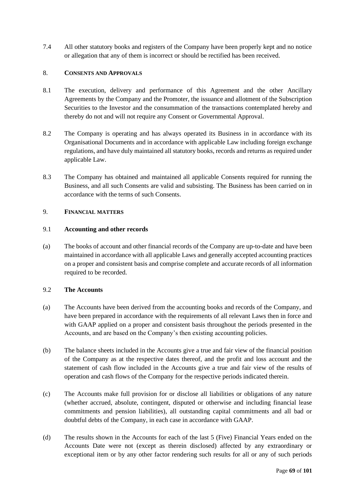7.4 All other statutory books and registers of the Company have been properly kept and no notice or allegation that any of them is incorrect or should be rectified has been received.

# 8. **CONSENTS AND APPROVALS**

- 8.1 The execution, delivery and performance of this Agreement and the other Ancillary Agreements by the Company and the Promoter, the issuance and allotment of the Subscription Securities to the Investor and the consummation of the transactions contemplated hereby and thereby do not and will not require any Consent or Governmental Approval.
- 8.2 The Company is operating and has always operated its Business in in accordance with its Organisational Documents and in accordance with applicable Law including foreign exchange regulations, and have duly maintained all statutory books, records and returns as required under applicable Law.
- 8.3 The Company has obtained and maintained all applicable Consents required for running the Business, and all such Consents are valid and subsisting. The Business has been carried on in accordance with the terms of such Consents.

# 9. **FINANCIAL MATTERS**

# 9.1 **Accounting and other records**

(a) The books of account and other financial records of the Company are up-to-date and have been maintained in accordance with all applicable Laws and generally accepted accounting practices on a proper and consistent basis and comprise complete and accurate records of all information required to be recorded.

# 9.2 **The Accounts**

- (a) The Accounts have been derived from the accounting books and records of the Company, and have been prepared in accordance with the requirements of all relevant Laws then in force and with GAAP applied on a proper and consistent basis throughout the periods presented in the Accounts, and are based on the Company's then existing accounting policies.
- (b) The balance sheets included in the Accounts give a true and fair view of the financial position of the Company as at the respective dates thereof, and the profit and loss account and the statement of cash flow included in the Accounts give a true and fair view of the results of operation and cash flows of the Company for the respective periods indicated therein.
- (c) The Accounts make full provision for or disclose all liabilities or obligations of any nature (whether accrued, absolute, contingent, disputed or otherwise and including financial lease commitments and pension liabilities), all outstanding capital commitments and all bad or doubtful debts of the Company, in each case in accordance with GAAP.
- (d) The results shown in the Accounts for each of the last 5 (Five) Financial Years ended on the Accounts Date were not (except as therein disclosed) affected by any extraordinary or exceptional item or by any other factor rendering such results for all or any of such periods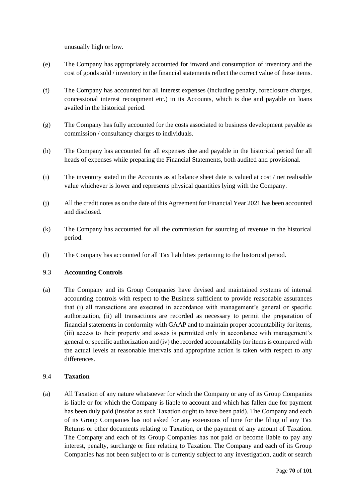unusually high or low.

- (e) The Company has appropriately accounted for inward and consumption of inventory and the cost of goods sold / inventory in the financial statements reflect the correct value of these items.
- (f) The Company has accounted for all interest expenses (including penalty, foreclosure charges, concessional interest recoupment etc.) in its Accounts, which is due and payable on loans availed in the historical period.
- (g) The Company has fully accounted for the costs associated to business development payable as commission / consultancy charges to individuals.
- (h) The Company has accounted for all expenses due and payable in the historical period for all heads of expenses while preparing the Financial Statements, both audited and provisional.
- (i) The inventory stated in the Accounts as at balance sheet date is valued at cost / net realisable value whichever is lower and represents physical quantities lying with the Company.
- (j) All the credit notes as on the date of this Agreement for Financial Year 2021 has been accounted and disclosed.
- (k) The Company has accounted for all the commission for sourcing of revenue in the historical period.
- (l) The Company has accounted for all Tax liabilities pertaining to the historical period.

# 9.3 **Accounting Controls**

(a) The Company and its Group Companies have devised and maintained systems of internal accounting controls with respect to the Business sufficient to provide reasonable assurances that (i) all transactions are executed in accordance with management's general or specific authorization, (ii) all transactions are recorded as necessary to permit the preparation of financial statements in conformity with GAAP and to maintain proper accountability for items, (iii) access to their property and assets is permitted only in accordance with management's general or specific authorization and (iv) the recorded accountability for items is compared with the actual levels at reasonable intervals and appropriate action is taken with respect to any differences.

# 9.4 **Taxation**

(a) All Taxation of any nature whatsoever for which the Company or any of its Group Companies is liable or for which the Company is liable to account and which has fallen due for payment has been duly paid (insofar as such Taxation ought to have been paid). The Company and each of its Group Companies has not asked for any extensions of time for the filing of any Tax Returns or other documents relating to Taxation, or the payment of any amount of Taxation. The Company and each of its Group Companies has not paid or become liable to pay any interest, penalty, surcharge or fine relating to Taxation. The Company and each of its Group Companies has not been subject to or is currently subject to any investigation, audit or search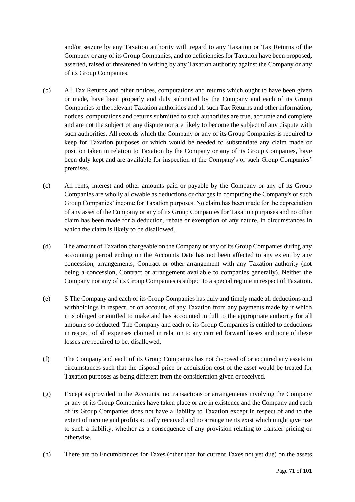and/or seizure by any Taxation authority with regard to any Taxation or Tax Returns of the Company or any of its Group Companies, and no deficiencies for Taxation have been proposed, asserted, raised or threatened in writing by any Taxation authority against the Company or any of its Group Companies.

- (b) All Tax Returns and other notices, computations and returns which ought to have been given or made, have been properly and duly submitted by the Company and each of its Group Companies to the relevant Taxation authorities and all such Tax Returns and other information, notices, computations and returns submitted to such authorities are true, accurate and complete and are not the subject of any dispute nor are likely to become the subject of any dispute with such authorities. All records which the Company or any of its Group Companies is required to keep for Taxation purposes or which would be needed to substantiate any claim made or position taken in relation to Taxation by the Company or any of its Group Companies, have been duly kept and are available for inspection at the Company's or such Group Companies' premises.
- (c) All rents, interest and other amounts paid or payable by the Company or any of its Group Companies are wholly allowable as deductions or charges in computing the Company's or such Group Companies' income for Taxation purposes. No claim has been made for the depreciation of any asset of the Company or any of its Group Companies for Taxation purposes and no other claim has been made for a deduction, rebate or exemption of any nature, in circumstances in which the claim is likely to be disallowed.
- (d) The amount of Taxation chargeable on the Company or any of its Group Companies during any accounting period ending on the Accounts Date has not been affected to any extent by any concession, arrangements, Contract or other arrangement with any Taxation authority (not being a concession, Contract or arrangement available to companies generally). Neither the Company nor any of its Group Companies is subject to a special regime in respect of Taxation.
- (e) S The Company and each of its Group Companies has duly and timely made all deductions and withholdings in respect, or on account, of any Taxation from any payments made by it which it is obliged or entitled to make and has accounted in full to the appropriate authority for all amounts so deducted. The Company and each of its Group Companies is entitled to deductions in respect of all expenses claimed in relation to any carried forward losses and none of these losses are required to be, disallowed.
- (f) The Company and each of its Group Companies has not disposed of or acquired any assets in circumstances such that the disposal price or acquisition cost of the asset would be treated for Taxation purposes as being different from the consideration given or received.
- (g) Except as provided in the Accounts, no transactions or arrangements involving the Company or any of its Group Companies have taken place or are in existence and the Company and each of its Group Companies does not have a liability to Taxation except in respect of and to the extent of income and profits actually received and no arrangements exist which might give rise to such a liability, whether as a consequence of any provision relating to transfer pricing or otherwise.
- (h) There are no Encumbrances for Taxes (other than for current Taxes not yet due) on the assets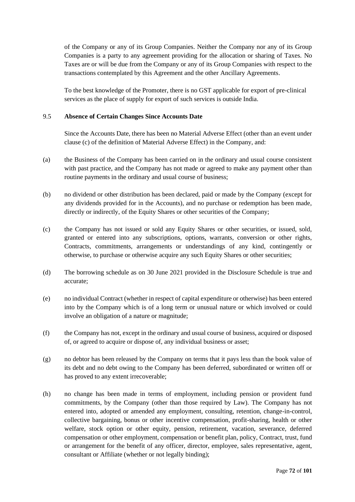of the Company or any of its Group Companies. Neither the Company nor any of its Group Companies is a party to any agreement providing for the allocation or sharing of Taxes. No Taxes are or will be due from the Company or any of its Group Companies with respect to the transactions contemplated by this Agreement and the other Ancillary Agreements.

To the best knowledge of the Promoter, there is no GST applicable for export of pre-clinical services as the place of supply for export of such services is outside India.

## 9.5 **Absence of Certain Changes Since Accounts Date**

Since the Accounts Date, there has been no Material Adverse Effect (other than an event under clause (c) of the definition of Material Adverse Effect) in the Company, and:

- (a) the Business of the Company has been carried on in the ordinary and usual course consistent with past practice, and the Company has not made or agreed to make any payment other than routine payments in the ordinary and usual course of business;
- (b) no dividend or other distribution has been declared, paid or made by the Company (except for any dividends provided for in the Accounts), and no purchase or redemption has been made, directly or indirectly, of the Equity Shares or other securities of the Company;
- (c) the Company has not issued or sold any Equity Shares or other securities, or issued, sold, granted or entered into any subscriptions, options, warrants, conversion or other rights, Contracts, commitments, arrangements or understandings of any kind, contingently or otherwise, to purchase or otherwise acquire any such Equity Shares or other securities;
- (d) The borrowing schedule as on 30 June 2021 provided in the Disclosure Schedule is true and accurate;
- (e) no individual Contract (whether in respect of capital expenditure or otherwise) has been entered into by the Company which is of a long term or unusual nature or which involved or could involve an obligation of a nature or magnitude;
- (f) the Company has not, except in the ordinary and usual course of business, acquired or disposed of, or agreed to acquire or dispose of, any individual business or asset;
- (g) no debtor has been released by the Company on terms that it pays less than the book value of its debt and no debt owing to the Company has been deferred, subordinated or written off or has proved to any extent irrecoverable;
- (h) no change has been made in terms of employment, including pension or provident fund commitments, by the Company (other than those required by Law). The Company has not entered into, adopted or amended any employment, consulting, retention, change-in-control, collective bargaining, bonus or other incentive compensation, profit-sharing, health or other welfare, stock option or other equity, pension, retirement, vacation, severance, deferred compensation or other employment, compensation or benefit plan, policy, Contract, trust, fund or arrangement for the benefit of any officer, director, employee, sales representative, agent, consultant or Affiliate (whether or not legally binding);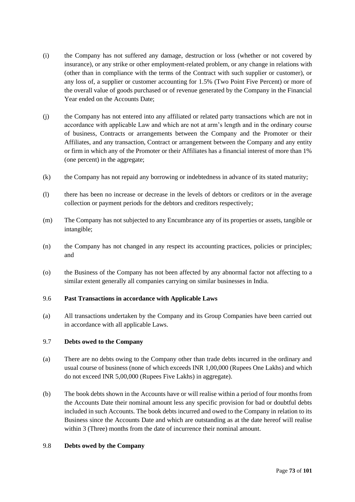- (i) the Company has not suffered any damage, destruction or loss (whether or not covered by insurance), or any strike or other employment-related problem, or any change in relations with (other than in compliance with the terms of the Contract with such supplier or customer), or any loss of, a supplier or customer accounting for 1.5% (Two Point Five Percent) or more of the overall value of goods purchased or of revenue generated by the Company in the Financial Year ended on the Accounts Date;
- (j) the Company has not entered into any affiliated or related party transactions which are not in accordance with applicable Law and which are not at arm's length and in the ordinary course of business, Contracts or arrangements between the Company and the Promoter or their Affiliates, and any transaction, Contract or arrangement between the Company and any entity or firm in which any of the Promoter or their Affiliates has a financial interest of more than 1% (one percent) in the aggregate;
- (k) the Company has not repaid any borrowing or indebtedness in advance of its stated maturity;
- (l) there has been no increase or decrease in the levels of debtors or creditors or in the average collection or payment periods for the debtors and creditors respectively;
- (m) The Company has not subjected to any Encumbrance any of its properties or assets, tangible or intangible;
- (n) the Company has not changed in any respect its accounting practices, policies or principles; and
- (o) the Business of the Company has not been affected by any abnormal factor not affecting to a similar extent generally all companies carrying on similar businesses in India.

## 9.6 **Past Transactions in accordance with Applicable Laws**

(a) All transactions undertaken by the Company and its Group Companies have been carried out in accordance with all applicable Laws.

## 9.7 **Debts owed to the Company**

- (a) There are no debts owing to the Company other than trade debts incurred in the ordinary and usual course of business (none of which exceeds INR 1,00,000 (Rupees One Lakhs) and which do not exceed INR 5,00,000 (Rupees Five Lakhs) in aggregate).
- (b) The book debts shown in the Accounts have or will realise within a period of four months from the Accounts Date their nominal amount less any specific provision for bad or doubtful debts included in such Accounts. The book debts incurred and owed to the Company in relation to its Business since the Accounts Date and which are outstanding as at the date hereof will realise within 3 (Three) months from the date of incurrence their nominal amount.

#### 9.8 **Debts owed by the Company**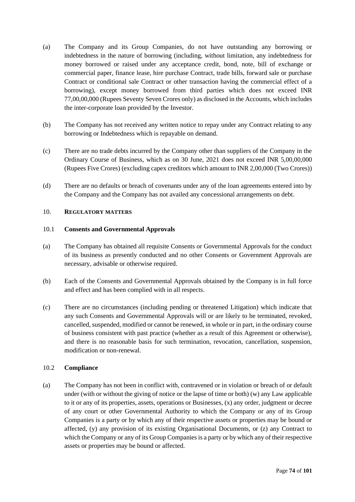- (a) The Company and its Group Companies, do not have outstanding any borrowing or indebtedness in the nature of borrowing (including, without limitation, any indebtedness for money borrowed or raised under any acceptance credit, bond, note, bill of exchange or commercial paper, finance lease, hire purchase Contract, trade bills, forward sale or purchase Contract or conditional sale Contract or other transaction having the commercial effect of a borrowing), except money borrowed from third parties which does not exceed INR 77,00,00,000 (Rupees Seventy Seven Crores only) as disclosed in the Accounts, which includes the inter-corporate loan provided by the Investor.
- (b) The Company has not received any written notice to repay under any Contract relating to any borrowing or Indebtedness which is repayable on demand.
- (c) There are no trade debts incurred by the Company other than suppliers of the Company in the Ordinary Course of Business, which as on 30 June, 2021 does not exceed INR 5,00,00,000 (Rupees Five Crores) (excluding capex creditors which amount to INR 2,00,000 (Two Crores))
- (d) There are no defaults or breach of covenants under any of the loan agreements entered into by the Company and the Company has not availed any concessional arrangements on debt.

## 10. **REGULATORY MATTERS**

## 10.1 **Consents and Governmental Approvals**

- (a) The Company has obtained all requisite Consents or Governmental Approvals for the conduct of its business as presently conducted and no other Consents or Government Approvals are necessary, advisable or otherwise required.
- (b) Each of the Consents and Governmental Approvals obtained by the Company is in full force and effect and has been complied with in all respects.
- (c) There are no circumstances (including pending or threatened Litigation) which indicate that any such Consents and Governmental Approvals will or are likely to be terminated, revoked, cancelled, suspended, modified or cannot be renewed, in whole or in part, in the ordinary course of business consistent with past practice (whether as a result of this Agreement or otherwise), and there is no reasonable basis for such termination, revocation, cancellation, suspension, modification or non-renewal.

## 10.2 **Compliance**

(a) The Company has not been in conflict with, contravened or in violation or breach of or default under (with or without the giving of notice or the lapse of time or both) (w) any Law applicable to it or any of its properties, assets, operations or Businesses, (x) any order, judgment or decree of any court or other Governmental Authority to which the Company or any of its Group Companies is a party or by which any of their respective assets or properties may be bound or affected, (y) any provision of its existing Organisational Documents, or (z) any Contract to which the Company or any of its Group Companies is a party or by which any of their respective assets or properties may be bound or affected.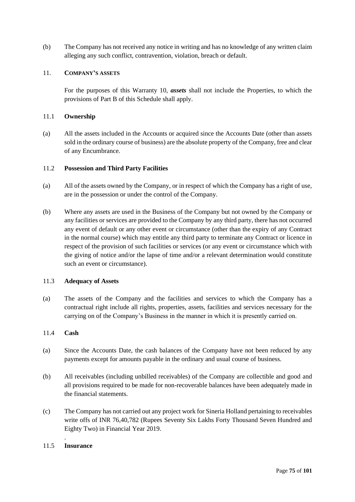(b) The Company has not received any notice in writing and has no knowledge of any written claim alleging any such conflict, contravention, violation, breach or default.

### 11. **COMPANY'S ASSETS**

For the purposes of this Warranty 10, *assets* shall not include the Properties, to which the provisions of Part B of this Schedule shall apply.

#### 11.1 **Ownership**

(a) All the assets included in the Accounts or acquired since the Accounts Date (other than assets sold in the ordinary course of business) are the absolute property of the Company, free and clear of any Encumbrance.

### 11.2 **Possession and Third Party Facilities**

- (a) All of the assets owned by the Company, or in respect of which the Company has a right of use, are in the possession or under the control of the Company.
- (b) Where any assets are used in the Business of the Company but not owned by the Company or any facilities or services are provided to the Company by any third party, there has not occurred any event of default or any other event or circumstance (other than the expiry of any Contract in the normal course) which may entitle any third party to terminate any Contract or licence in respect of the provision of such facilities or services (or any event or circumstance which with the giving of notice and/or the lapse of time and/or a relevant determination would constitute such an event or circumstance).

## 11.3 **Adequacy of Assets**

(a) The assets of the Company and the facilities and services to which the Company has a contractual right include all rights, properties, assets, facilities and services necessary for the carrying on of the Company's Business in the manner in which it is presently carried on.

## 11.4 **Cash**

- (a) Since the Accounts Date, the cash balances of the Company have not been reduced by any payments except for amounts payable in the ordinary and usual course of business.
- (b) All receivables (including unbilled receivables) of the Company are collectible and good and all provisions required to be made for non-recoverable balances have been adequately made in the financial statements.
- (c) The Company has not carried out any project work for Sineria Holland pertaining to receivables write offs of INR 76,40,782 (Rupees Seventy Six Lakhs Forty Thousand Seven Hundred and Eighty Two) in Financial Year 2019.

## . 11.5 **Insurance**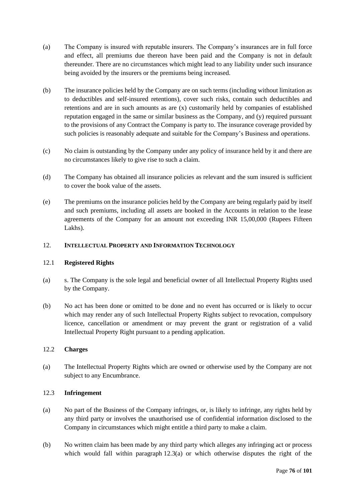- (a) The Company is insured with reputable insurers. The Company's insurances are in full force and effect, all premiums due thereon have been paid and the Company is not in default thereunder. There are no circumstances which might lead to any liability under such insurance being avoided by the insurers or the premiums being increased.
- (b) The insurance policies held by the Company are on such terms (including without limitation as to deductibles and self-insured retentions), cover such risks, contain such deductibles and retentions and are in such amounts as are (x) customarily held by companies of established reputation engaged in the same or similar business as the Company, and (y) required pursuant to the provisions of any Contract the Company is party to. The insurance coverage provided by such policies is reasonably adequate and suitable for the Company's Business and operations.
- (c) No claim is outstanding by the Company under any policy of insurance held by it and there are no circumstances likely to give rise to such a claim.
- (d) The Company has obtained all insurance policies as relevant and the sum insured is sufficient to cover the book value of the assets.
- (e) The premiums on the insurance policies held by the Company are being regularly paid by itself and such premiums, including all assets are booked in the Accounts in relation to the lease agreements of the Company for an amount not exceeding INR 15,00,000 (Rupees Fifteen Lakhs).

# 12. **INTELLECTUAL PROPERTY AND INFORMATION TECHNOLOGY**

## 12.1 **Registered Rights**

- (a) s. The Company is the sole legal and beneficial owner of all Intellectual Property Rights used by the Company.
- (b) No act has been done or omitted to be done and no event has occurred or is likely to occur which may render any of such Intellectual Property Rights subject to revocation, compulsory licence, cancellation or amendment or may prevent the grant or registration of a valid Intellectual Property Right pursuant to a pending application.

## 12.2 **Charges**

(a) The Intellectual Property Rights which are owned or otherwise used by the Company are not subject to any Encumbrance.

## 12.3 **Infringement**

- (a) No part of the Business of the Company infringes, or, is likely to infringe, any rights held by any third party or involves the unauthorised use of confidential information disclosed to the Company in circumstances which might entitle a third party to make a claim.
- (b) No written claim has been made by any third party which alleges any infringing act or process which would fall within paragraph  $12.3(a)$  or which otherwise disputes the right of the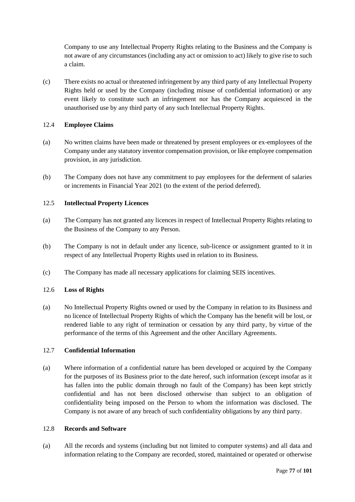Company to use any Intellectual Property Rights relating to the Business and the Company is not aware of any circumstances (including any act or omission to act) likely to give rise to such a claim.

(c) There exists no actual or threatened infringement by any third party of any Intellectual Property Rights held or used by the Company (including misuse of confidential information) or any event likely to constitute such an infringement nor has the Company acquiesced in the unauthorised use by any third party of any such Intellectual Property Rights.

## 12.4 **Employee Claims**

- (a) No written claims have been made or threatened by present employees or ex-employees of the Company under any statutory inventor compensation provision, or like employee compensation provision, in any jurisdiction.
- (b) The Company does not have any commitment to pay employees for the deferment of salaries or increments in Financial Year 2021 (to the extent of the period deferred).

## 12.5 **Intellectual Property Licences**

- (a) The Company has not granted any licences in respect of Intellectual Property Rights relating to the Business of the Company to any Person.
- (b) The Company is not in default under any licence, sub-licence or assignment granted to it in respect of any Intellectual Property Rights used in relation to its Business.
- (c) The Company has made all necessary applications for claiming SEIS incentives.

## 12.6 **Loss of Rights**

(a) No Intellectual Property Rights owned or used by the Company in relation to its Business and no licence of Intellectual Property Rights of which the Company has the benefit will be lost, or rendered liable to any right of termination or cessation by any third party, by virtue of the performance of the terms of this Agreement and the other Ancillary Agreements.

# 12.7 **Confidential Information**

(a) Where information of a confidential nature has been developed or acquired by the Company for the purposes of its Business prior to the date hereof, such information (except insofar as it has fallen into the public domain through no fault of the Company) has been kept strictly confidential and has not been disclosed otherwise than subject to an obligation of confidentiality being imposed on the Person to whom the information was disclosed. The Company is not aware of any breach of such confidentiality obligations by any third party.

## 12.8 **Records and Software**

(a) All the records and systems (including but not limited to computer systems) and all data and information relating to the Company are recorded, stored, maintained or operated or otherwise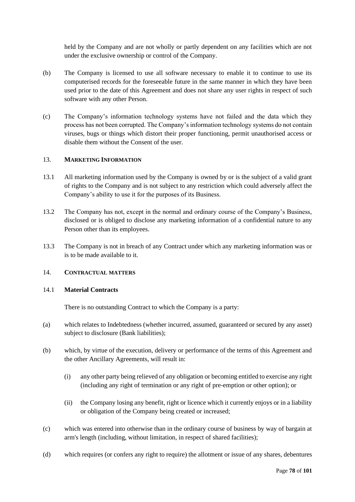held by the Company and are not wholly or partly dependent on any facilities which are not under the exclusive ownership or control of the Company.

- (b) The Company is licensed to use all software necessary to enable it to continue to use its computerised records for the foreseeable future in the same manner in which they have been used prior to the date of this Agreement and does not share any user rights in respect of such software with any other Person.
- (c) The Company's information technology systems have not failed and the data which they process has not been corrupted. The Company's information technology systems do not contain viruses, bugs or things which distort their proper functioning, permit unauthorised access or disable them without the Consent of the user.

## 13. **MARKETING INFORMATION**

- 13.1 All marketing information used by the Company is owned by or is the subject of a valid grant of rights to the Company and is not subject to any restriction which could adversely affect the Company's ability to use it for the purposes of its Business.
- 13.2 The Company has not, except in the normal and ordinary course of the Company's Business, disclosed or is obliged to disclose any marketing information of a confidential nature to any Person other than its employees.
- 13.3 The Company is not in breach of any Contract under which any marketing information was or is to be made available to it.

# 14. **CONTRACTUAL MATTERS**

#### 14.1 **Material Contracts**

There is no outstanding Contract to which the Company is a party:

- (a) which relates to Indebtedness (whether incurred, assumed, guaranteed or secured by any asset) subject to disclosure (Bank liabilities);
- (b) which, by virtue of the execution, delivery or performance of the terms of this Agreement and the other Ancillary Agreements, will result in:
	- (i) any other party being relieved of any obligation or becoming entitled to exercise any right (including any right of termination or any right of pre-emption or other option); or
	- (ii) the Company losing any benefit, right or licence which it currently enjoys or in a liability or obligation of the Company being created or increased;
- (c) which was entered into otherwise than in the ordinary course of business by way of bargain at arm's length (including, without limitation, in respect of shared facilities);
- (d) which requires (or confers any right to require) the allotment or issue of any shares, debentures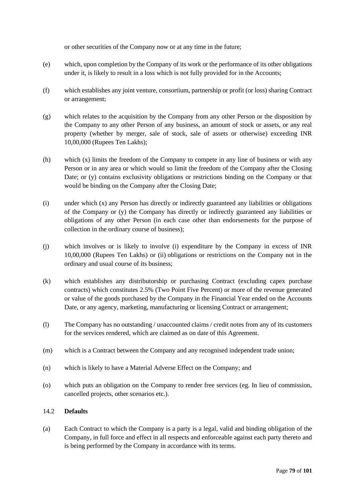or other securities of the Company now or at any time in the future;

- (e) which, upon completion by the Company of its work or the performance of its other obligations under it, is likely to result in a loss which is not fully provided for in the Accounts;
- (f) which establishes any joint venture, consortium, partnership or profit (or loss) sharing Contract or arrangement;
- (g) which relates to the acquisition by the Company from any other Person or the disposition by the Company to any other Person of any business, an amount of stock or assets, or any real property (whether by merger, sale of stock, sale of assets or otherwise) exceeding INR 10,00,000 (Rupees Ten Lakhs);
- (h) which (x) limits the freedom of the Company to compete in any line of business or with any Person or in any area or which would so limit the freedom of the Company after the Closing Date; or (y) contains exclusivity obligations or restrictions binding on the Company or that would be binding on the Company after the Closing Date;
- (i) under which (x) any Person has directly or indirectly guaranteed any liabilities or obligations of the Company or (y) the Company has directly or indirectly guaranteed any liabilities or obligations of any other Person (in each case other than endorsements for the purpose of collection in the ordinary course of business);
- (j) which involves or is likely to involve (i) expenditure by the Company in excess of INR 10,00,000 (Rupees Ten Lakhs) or (ii) obligations or restrictions on the Company not in the ordinary and usual course of its business;
- (k) which establishes any distributorship or purchasing Contract (excluding capex purchase contracts) which constitutes 2.5% (Two Point Five Percent) or more of the revenue generated or value of the goods purchased by the Company in the Financial Year ended on the Accounts Date, or any agency, marketing, manufacturing or licensing Contract or arrangement;
- (l) The Company has no outstanding / unaccounted claims / credit notes from any of its customers for the services rendered, which are claimed as on date of this Agreement.
- (m) which is a Contract between the Company and any recognised independent trade union;
- (n) which is likely to have a Material Adverse Effect on the Company; and
- (o) which puts an obligation on the Company to render free services (eg. In lieu of commission, cancelled projects, other scenarios etc.).

## 14.2 **Defaults**

(a) Each Contract to which the Company is a party is a legal, valid and binding obligation of the Company, in full force and effect in all respects and enforceable against each party thereto and is being performed by the Company in accordance with its terms.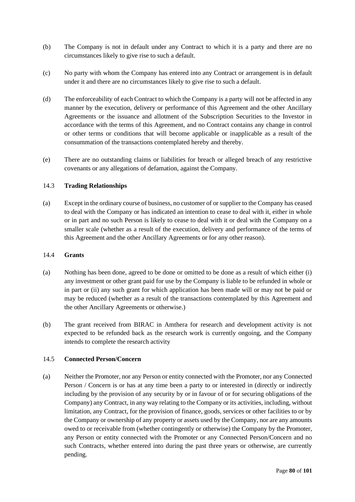- (b) The Company is not in default under any Contract to which it is a party and there are no circumstances likely to give rise to such a default.
- (c) No party with whom the Company has entered into any Contract or arrangement is in default under it and there are no circumstances likely to give rise to such a default.
- (d) The enforceability of each Contract to which the Company is a party will not be affected in any manner by the execution, delivery or performance of this Agreement and the other Ancillary Agreements or the issuance and allotment of the Subscription Securities to the Investor in accordance with the terms of this Agreement, and no Contract contains any change in control or other terms or conditions that will become applicable or inapplicable as a result of the consummation of the transactions contemplated hereby and thereby.
- (e) There are no outstanding claims or liabilities for breach or alleged breach of any restrictive covenants or any allegations of defamation, against the Company.

## 14.3 **Trading Relationships**

(a) Except in the ordinary course of business, no customer of or supplier to the Company has ceased to deal with the Company or has indicated an intention to cease to deal with it, either in whole or in part and no such Person is likely to cease to deal with it or deal with the Company on a smaller scale (whether as a result of the execution, delivery and performance of the terms of this Agreement and the other Ancillary Agreements or for any other reason).

## 14.4 **Grants**

- (a) Nothing has been done, agreed to be done or omitted to be done as a result of which either (i) any investment or other grant paid for use by the Company is liable to be refunded in whole or in part or (ii) any such grant for which application has been made will or may not be paid or may be reduced (whether as a result of the transactions contemplated by this Agreement and the other Ancillary Agreements or otherwise.)
- (b) The grant received from BIRAC in Amthera for research and development activity is not expected to be refunded back as the research work is currently ongoing, and the Company intends to complete the research activity

## 14.5 **Connected Person/Concern**

(a) Neither the Promoter, nor any Person or entity connected with the Promoter, nor any Connected Person / Concern is or has at any time been a party to or interested in (directly or indirectly including by the provision of any security by or in favour of or for securing obligations of the Company) any Contract, in any way relating to the Company or its activities, including, without limitation, any Contract, for the provision of finance, goods, services or other facilities to or by the Company or ownership of any property or assets used by the Company, nor are any amounts owed to or receivable from (whether contingently or otherwise) the Company by the Promoter, any Person or entity connected with the Promoter or any Connected Person/Concern and no such Contracts, whether entered into during the past three years or otherwise, are currently pending.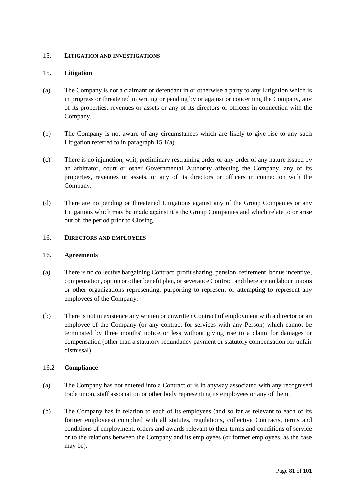## 15. **LITIGATION AND INVESTIGATIONS**

## 15.1 **Litigation**

- (a) The Company is not a claimant or defendant in or otherwise a party to any Litigation which is in progress or threatened in writing or pending by or against or concerning the Company, any of its properties, revenues or assets or any of its directors or officers in connection with the Company.
- (b) The Company is not aware of any circumstances which are likely to give rise to any such Litigation referred to in paragraph 15.1(a).
- (c) There is no injunction, writ, preliminary restraining order or any order of any nature issued by an arbitrator, court or other Governmental Authority affecting the Company, any of its properties, revenues or assets, or any of its directors or officers in connection with the Company.
- (d) There are no pending or threatened Litigations against any of the Group Companies or any Litigations which may be made against it's the Group Companies and which relate to or arise out of, the period prior to Closing.

## 16. **DIRECTORS AND EMPLOYEES**

## 16.1 **Agreements**

- (a) There is no collective bargaining Contract, profit sharing, pension, retirement, bonus incentive, compensation, option or other benefit plan, or severance Contract and there are no labour unions or other organizations representing, purporting to represent or attempting to represent any employees of the Company.
- (b) There is not in existence any written or unwritten Contract of employment with a director or an employee of the Company (or any contract for services with any Person) which cannot be terminated by three months' notice or less without giving rise to a claim for damages or compensation (other than a statutory redundancy payment or statutory compensation for unfair dismissal).

## 16.2 **Compliance**

- (a) The Company has not entered into a Contract or is in anyway associated with any recognised trade union, staff association or other body representing its employees or any of them.
- (b) The Company has in relation to each of its employees (and so far as relevant to each of its former employees) complied with all statutes, regulations, collective Contracts, terms and conditions of employment, orders and awards relevant to their terms and conditions of service or to the relations between the Company and its employees (or former employees, as the case may be).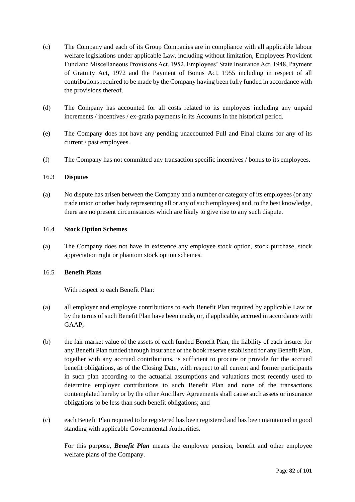- (c) The Company and each of its Group Companies are in compliance with all applicable labour welfare legislations under applicable Law, including without limitation, Employees Provident Fund and Miscellaneous Provisions Act, 1952, Employees' State Insurance Act, 1948, Payment of Gratuity Act, 1972 and the Payment of Bonus Act, 1955 including in respect of all contributions required to be made by the Company having been fully funded in accordance with the provisions thereof.
- (d) The Company has accounted for all costs related to its employees including any unpaid increments / incentives / ex-gratia payments in its Accounts in the historical period.
- (e) The Company does not have any pending unaccounted Full and Final claims for any of its current / past employees.
- (f) The Company has not committed any transaction specific incentives / bonus to its employees.

## 16.3 **Disputes**

(a) No dispute has arisen between the Company and a number or category of its employees (or any trade union or other body representing all or any of such employees) and, to the best knowledge, there are no present circumstances which are likely to give rise to any such dispute.

#### 16.4 **Stock Option Schemes**

(a) The Company does not have in existence any employee stock option, stock purchase, stock appreciation right or phantom stock option schemes.

## 16.5 **Benefit Plans**

With respect to each Benefit Plan:

- (a) all employer and employee contributions to each Benefit Plan required by applicable Law or by the terms of such Benefit Plan have been made, or, if applicable, accrued in accordance with GAAP;
- (b) the fair market value of the assets of each funded Benefit Plan, the liability of each insurer for any Benefit Plan funded through insurance or the book reserve established for any Benefit Plan, together with any accrued contributions, is sufficient to procure or provide for the accrued benefit obligations, as of the Closing Date, with respect to all current and former participants in such plan according to the actuarial assumptions and valuations most recently used to determine employer contributions to such Benefit Plan and none of the transactions contemplated hereby or by the other Ancillary Agreements shall cause such assets or insurance obligations to be less than such benefit obligations; and
- (c) each Benefit Plan required to be registered has been registered and has been maintained in good standing with applicable Governmental Authorities.

For this purpose, *Benefit Plan* means the employee pension, benefit and other employee welfare plans of the Company.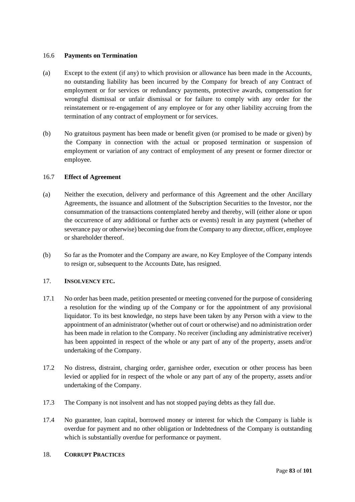## 16.6 **Payments on Termination**

- (a) Except to the extent (if any) to which provision or allowance has been made in the Accounts, no outstanding liability has been incurred by the Company for breach of any Contract of employment or for services or redundancy payments, protective awards, compensation for wrongful dismissal or unfair dismissal or for failure to comply with any order for the reinstatement or re-engagement of any employee or for any other liability accruing from the termination of any contract of employment or for services.
- (b) No gratuitous payment has been made or benefit given (or promised to be made or given) by the Company in connection with the actual or proposed termination or suspension of employment or variation of any contract of employment of any present or former director or employee.

## 16.7 **Effect of Agreement**

- (a) Neither the execution, delivery and performance of this Agreement and the other Ancillary Agreements, the issuance and allotment of the Subscription Securities to the Investor, nor the consummation of the transactions contemplated hereby and thereby, will (either alone or upon the occurrence of any additional or further acts or events) result in any payment (whether of severance pay or otherwise) becoming due from the Company to any director, officer, employee or shareholder thereof.
- (b) So far as the Promoter and the Company are aware, no Key Employee of the Company intends to resign or, subsequent to the Accounts Date, has resigned.

## 17. **INSOLVENCY ETC.**

- 17.1 No order has been made, petition presented or meeting convened for the purpose of considering a resolution for the winding up of the Company or for the appointment of any provisional liquidator. To its best knowledge, no steps have been taken by any Person with a view to the appointment of an administrator (whether out of court or otherwise) and no administration order has been made in relation to the Company. No receiver (including any administrative receiver) has been appointed in respect of the whole or any part of any of the property, assets and/or undertaking of the Company.
- 17.2 No distress, distraint, charging order, garnishee order, execution or other process has been levied or applied for in respect of the whole or any part of any of the property, assets and/or undertaking of the Company.
- 17.3 The Company is not insolvent and has not stopped paying debts as they fall due.
- 17.4 No guarantee, loan capital, borrowed money or interest for which the Company is liable is overdue for payment and no other obligation or Indebtedness of the Company is outstanding which is substantially overdue for performance or payment.

## 18. **CORRUPT PRACTICES**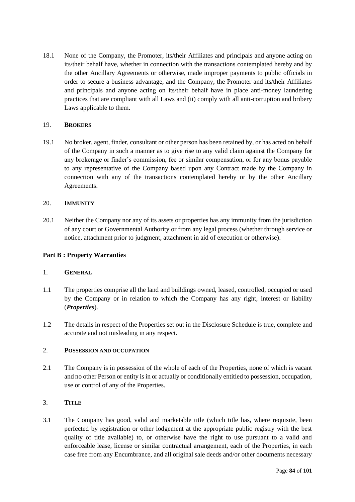18.1 None of the Company, the Promoter, its/their Affiliates and principals and anyone acting on its/their behalf have, whether in connection with the transactions contemplated hereby and by the other Ancillary Agreements or otherwise, made improper payments to public officials in order to secure a business advantage, and the Company, the Promoter and its/their Affiliates and principals and anyone acting on its/their behalf have in place anti-money laundering practices that are compliant with all Laws and (ii) comply with all anti-corruption and bribery Laws applicable to them.

## 19. **BROKERS**

19.1 No broker, agent, finder, consultant or other person has been retained by, or has acted on behalf of the Company in such a manner as to give rise to any valid claim against the Company for any brokerage or finder's commission, fee or similar compensation, or for any bonus payable to any representative of the Company based upon any Contract made by the Company in connection with any of the transactions contemplated hereby or by the other Ancillary Agreements.

## 20. **IMMUNITY**

20.1 Neither the Company nor any of its assets or properties has any immunity from the jurisdiction of any court or Governmental Authority or from any legal process (whether through service or notice, attachment prior to judgment, attachment in aid of execution or otherwise).

## **Part B : Property Warranties**

## 1. **GENERAL**

- 1.1 The properties comprise all the land and buildings owned, leased, controlled, occupied or used by the Company or in relation to which the Company has any right, interest or liability (*Properties*).
- 1.2 The details in respect of the Properties set out in the Disclosure Schedule is true, complete and accurate and not misleading in any respect.

# 2. **POSSESSION AND OCCUPATION**

2.1 The Company is in possession of the whole of each of the Properties, none of which is vacant and no other Person or entity is in or actually or conditionally entitled to possession, occupation, use or control of any of the Properties.

# 3. **TITLE**

3.1 The Company has good, valid and marketable title (which title has, where requisite, been perfected by registration or other lodgement at the appropriate public registry with the best quality of title available) to, or otherwise have the right to use pursuant to a valid and enforceable lease, license or similar contractual arrangement, each of the Properties, in each case free from any Encumbrance, and all original sale deeds and/or other documents necessary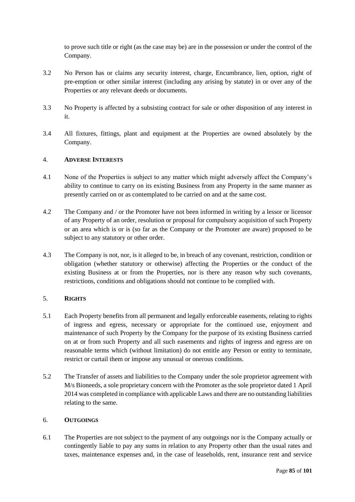to prove such title or right (as the case may be) are in the possession or under the control of the Company.

- 3.2 No Person has or claims any security interest, charge, Encumbrance, lien, option, right of pre-emption or other similar interest (including any arising by statute) in or over any of the Properties or any relevant deeds or documents.
- 3.3 No Property is affected by a subsisting contract for sale or other disposition of any interest in it.
- 3.4 All fixtures, fittings, plant and equipment at the Properties are owned absolutely by the Company.

## 4. **ADVERSE INTERESTS**

- 4.1 None of the Properties is subject to any matter which might adversely affect the Company's ability to continue to carry on its existing Business from any Property in the same manner as presently carried on or as contemplated to be carried on and at the same cost.
- 4.2 The Company and / or the Promoter have not been informed in writing by a lessor or licensor of any Property of an order, resolution or proposal for compulsory acquisition of such Property or an area which is or is (so far as the Company or the Promoter are aware) proposed to be subject to any statutory or other order.
- 4.3 The Company is not, nor, is it alleged to be, in breach of any covenant, restriction, condition or obligation (whether statutory or otherwise) affecting the Properties or the conduct of the existing Business at or from the Properties, nor is there any reason why such covenants, restrictions, conditions and obligations should not continue to be complied with.

# 5. **RIGHTS**

- 5.1 Each Property benefits from all permanent and legally enforceable easements, relating to rights of ingress and egress, necessary or appropriate for the continued use, enjoyment and maintenance of such Property by the Company for the purpose of its existing Business carried on at or from such Property and all such easements and rights of ingress and egress are on reasonable terms which (without limitation) do not entitle any Person or entity to terminate, restrict or curtail them or impose any unusual or onerous conditions.
- 5.2 The Transfer of assets and liabilities to the Company under the sole proprietor agreement with M/s Bioneeds, a sole proprietary concern with the Promoter as the sole proprietor dated 1 April 2014 was completed in compliance with applicable Laws and there are no outstanding liabilities relating to the same.

## 6. **OUTGOINGS**

6.1 The Properties are not subject to the payment of any outgoings nor is the Company actually or contingently liable to pay any sums in relation to any Property other than the usual rates and taxes, maintenance expenses and, in the case of leaseholds, rent, insurance rent and service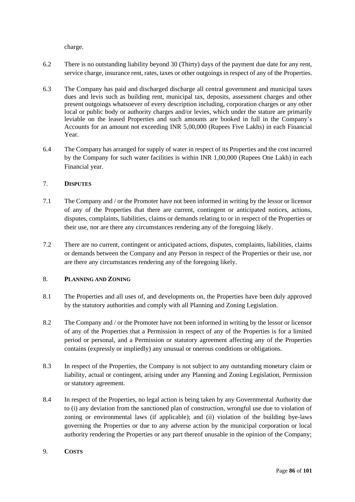charge.

- 6.2 There is no outstanding liability beyond 30 (Thirty) days of the payment due date for any rent, service charge, insurance rent, rates, taxes or other outgoings in respect of any of the Properties.
- 6.3 The Company has paid and discharged discharge all central government and municipal taxes dues and levis such as building rent, municipal tax, deposits, assessment charges and other present outgoings whatsoever of every description including, corporation charges or any other local or public body or authority charges and/or levies, which under the stature are primarily leviable on the leased Properties and such amounts are booked in full in the Company's Accounts for an amount not exceeding INR 5,00,000 (Rupees Five Lakhs) in each Financial Year.
- 6.4 The Company has arranged for supply of water in respect of its Properties and the cost incurred by the Company for such water facilities is within INR 1,00,000 (Rupees One Lakh) in each Financial year.

## 7. **DISPUTES**

- 7.1 The Company and / or the Promoter have not been informed in writing by the lessor or licensor of any of the Properties that there are current, contingent or anticipated notices, actions, disputes, complaints, liabilities, claims or demands relating to or in respect of the Properties or their use, nor are there any circumstances rendering any of the foregoing likely.
- 7.2 There are no current, contingent or anticipated actions, disputes, complaints, liabilities, claims or demands between the Company and any Person in respect of the Properties or their use, nor are there any circumstances rendering any of the foregoing likely.

# 8. **PLANNING AND ZONING**

- 8.1 The Properties and all uses of, and developments on, the Properties have been duly approved by the statutory authorities and comply with all Planning and Zoning Legislation.
- 8.2 The Company and / or the Promoter have not been informed in writing by the lessor or licensor of any of the Properties that a Permission in respect of any of the Properties is for a limited period or personal, and a Permission or statutory agreement affecting any of the Properties contains (expressly or impliedly) any unusual or onerous conditions or obligations.
- 8.3 In respect of the Properties, the Company is not subject to any outstanding monetary claim or liability, actual or contingent, arising under any Planning and Zoning Legislation, Permission or statutory agreement.
- 8.4 In respect of the Properties, no legal action is being taken by any Governmental Authority due to (i) any deviation from the sanctioned plan of construction, wrongful use due to violation of zoning or environmental laws (if applicable); and (ii) violation of the building bye-laws governing the Properties or due to any adverse action by the municipal corporation or local authority rendering the Properties or any part thereof unusable in the opinion of the Company;

## 9. **COSTS**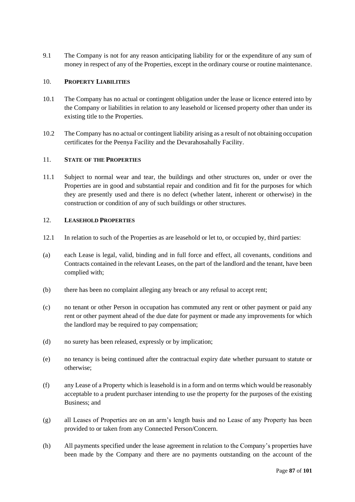9.1 The Company is not for any reason anticipating liability for or the expenditure of any sum of money in respect of any of the Properties, except in the ordinary course or routine maintenance.

## 10. **PROPERTY LIABILITIES**

- 10.1 The Company has no actual or contingent obligation under the lease or licence entered into by the Company or liabilities in relation to any leasehold or licensed property other than under its existing title to the Properties.
- 10.2 The Company has no actual or contingent liability arising as a result of not obtaining occupation certificates for the Peenya Facility and the Devarahosahally Facility.

## 11. **STATE OF THE PROPERTIES**

11.1 Subject to normal wear and tear, the buildings and other structures on, under or over the Properties are in good and substantial repair and condition and fit for the purposes for which they are presently used and there is no defect (whether latent, inherent or otherwise) in the construction or condition of any of such buildings or other structures.

# 12. **LEASEHOLD PROPERTIES**

- 12.1 In relation to such of the Properties as are leasehold or let to, or occupied by, third parties:
- (a) each Lease is legal, valid, binding and in full force and effect, all covenants, conditions and Contracts contained in the relevant Leases, on the part of the landlord and the tenant, have been complied with;
- (b) there has been no complaint alleging any breach or any refusal to accept rent;
- (c) no tenant or other Person in occupation has commuted any rent or other payment or paid any rent or other payment ahead of the due date for payment or made any improvements for which the landlord may be required to pay compensation;
- (d) no surety has been released, expressly or by implication;
- (e) no tenancy is being continued after the contractual expiry date whether pursuant to statute or otherwise;
- (f) any Lease of a Property which is leasehold is in a form and on terms which would be reasonably acceptable to a prudent purchaser intending to use the property for the purposes of the existing Business; and
- (g) all Leases of Properties are on an arm's length basis and no Lease of any Property has been provided to or taken from any Connected Person/Concern.
- (h) All payments specified under the lease agreement in relation to the Company's properties have been made by the Company and there are no payments outstanding on the account of the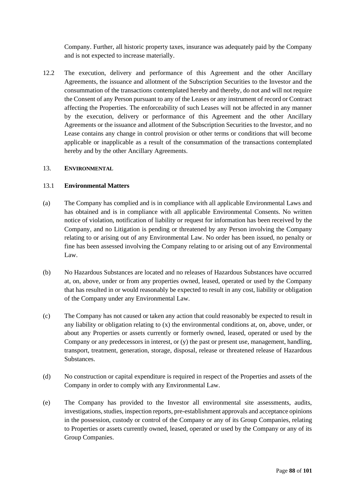Company. Further, all historic property taxes, insurance was adequately paid by the Company and is not expected to increase materially.

12.2 The execution, delivery and performance of this Agreement and the other Ancillary Agreements, the issuance and allotment of the Subscription Securities to the Investor and the consummation of the transactions contemplated hereby and thereby, do not and will not require the Consent of any Person pursuant to any of the Leases or any instrument of record or Contract affecting the Properties. The enforceability of such Leases will not be affected in any manner by the execution, delivery or performance of this Agreement and the other Ancillary Agreements or the issuance and allotment of the Subscription Securities to the Investor, and no Lease contains any change in control provision or other terms or conditions that will become applicable or inapplicable as a result of the consummation of the transactions contemplated hereby and by the other Ancillary Agreements.

### 13. **ENVIRONMENTAL**

### 13.1 **Environmental Matters**

- (a) The Company has complied and is in compliance with all applicable Environmental Laws and has obtained and is in compliance with all applicable Environmental Consents. No written notice of violation, notification of liability or request for information has been received by the Company, and no Litigation is pending or threatened by any Person involving the Company relating to or arising out of any Environmental Law. No order has been issued, no penalty or fine has been assessed involving the Company relating to or arising out of any Environmental Law.
- (b) No Hazardous Substances are located and no releases of Hazardous Substances have occurred at, on, above, under or from any properties owned, leased, operated or used by the Company that has resulted in or would reasonably be expected to result in any cost, liability or obligation of the Company under any Environmental Law.
- (c) The Company has not caused or taken any action that could reasonably be expected to result in any liability or obligation relating to (x) the environmental conditions at, on, above, under, or about any Properties or assets currently or formerly owned, leased, operated or used by the Company or any predecessors in interest, or (y) the past or present use, management, handling, transport, treatment, generation, storage, disposal, release or threatened release of Hazardous Substances.
- (d) No construction or capital expenditure is required in respect of the Properties and assets of the Company in order to comply with any Environmental Law.
- (e) The Company has provided to the Investor all environmental site assessments, audits, investigations, studies, inspection reports, pre-establishment approvals and acceptance opinions in the possession, custody or control of the Company or any of its Group Companies, relating to Properties or assets currently owned, leased, operated or used by the Company or any of its Group Companies.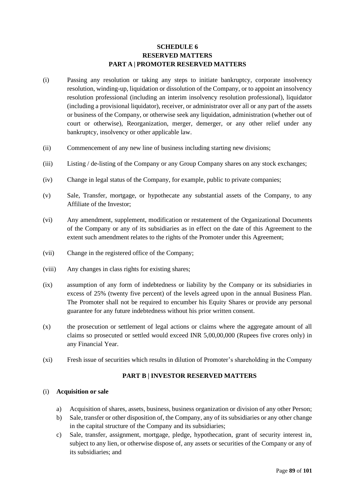# **SCHEDULE 6 RESERVED MATTERS PART A | PROMOTER RESERVED MATTERS**

- (i) Passing any resolution or taking any steps to initiate bankruptcy, corporate insolvency resolution, winding-up, liquidation or dissolution of the Company, or to appoint an insolvency resolution professional (including an interim insolvency resolution professional), liquidator (including a provisional liquidator), receiver, or administrator over all or any part of the assets or business of the Company, or otherwise seek any liquidation, administration (whether out of court or otherwise), Reorganization, merger, demerger, or any other relief under any bankruptcy, insolvency or other applicable law.
- (ii) Commencement of any new line of business including starting new divisions;
- (iii) Listing / de-listing of the Company or any Group Company shares on any stock exchanges;
- (iv) Change in legal status of the Company, for example, public to private companies;
- (v) Sale, Transfer, mortgage, or hypothecate any substantial assets of the Company, to any Affiliate of the Investor;
- (vi) Any amendment, supplement, modification or restatement of the Organizational Documents of the Company or any of its subsidiaries as in effect on the date of this Agreement to the extent such amendment relates to the rights of the Promoter under this Agreement;
- (vii) Change in the registered office of the Company;
- (viii) Any changes in class rights for existing shares;
- (ix) assumption of any form of indebtedness or liability by the Company or its subsidiaries in excess of 25% (twenty five percent) of the levels agreed upon in the annual Business Plan. The Promoter shall not be required to encumber his Equity Shares or provide any personal guarantee for any future indebtedness without his prior written consent.
- (x) the prosecution or settlement of legal actions or claims where the aggregate amount of all claims so prosecuted or settled would exceed INR 5,00,00,000 (Rupees five crores only) in any Financial Year.
- (xi) Fresh issue of securities which results in dilution of Promoter's shareholding in the Company

## **PART B | INVESTOR RESERVED MATTERS**

#### (i) **Acquisition or sale**

- a) Acquisition of shares, assets, business, business organization or division of any other Person;
- b) Sale, transfer or other disposition of, the Company, any of its subsidiaries or any other change in the capital structure of the Company and its subsidiaries;
- c) Sale, transfer, assignment, mortgage, pledge, hypothecation, grant of security interest in, subject to any lien, or otherwise dispose of, any assets or securities of the Company or any of its subsidiaries; and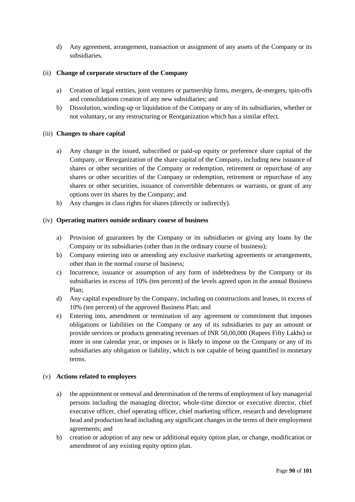d) Any agreement, arrangement, transaction or assignment of any assets of the Company or its subsidiaries.

## (ii) **Change of corporate structure of the Company**

- a) Creation of legal entities, joint ventures or partnership firms, mergers, de-mergers, spin-offs and consolidations creation of any new subsidiaries; and
- b) Dissolution, winding-up or liquidation of the Company or any of its subsidiaries, whether or not voluntary, or any restructuring or Reorganization which has a similar effect.

## (iii) **Changes to share capital**

- a) Any change in the issued, subscribed or paid-up equity or preference share capital of the Company, or Reorganization of the share capital of the Company, including new issuance of shares or other securities of the Company or redemption, retirement or repurchase of any shares or other securities of the Company or redemption, retirement or repurchase of any shares or other securities, issuance of convertible debentures or warrants, or grant of any options over its shares by the Company; and
- b) Any changes in class rights for shares (directly or indirectly).

## (iv) **Operating matters outside ordinary course of business**

- a) Provision of guarantees by the Company or its subsidiaries or giving any loans by the Company or its subsidiaries (other than in the ordinary course of business);
- b) Company entering into or amending any exclusive marketing agreements or arrangements, other than in the normal course of business;
- c) Incurrence, issuance or assumption of any form of indebtedness by the Company or its subsidiaries in excess of 10% (ten percent) of the levels agreed upon in the annual Business Plan;
- d) Any capital expenditure by the Company, including on constructions and leases, in excess of 10% (ten percent) of the approved Business Plan; and
- e) Entering into, amendment or termination of any agreement or commitment that imposes obligations or liabilities on the Company or any of its subsidiaries to pay an amount or provide services or products generating revenues of INR 50,00,000 (Rupees Fifty Lakhs) or more in one calendar year, or imposes or is likely to impose on the Company or any of its subsidiaries any obligation or liability, which is not capable of being quantified in monetary terms.

## (v) **Actions related to employees**

- a) the appointment or removal and determination of the terms of employment of key managerial persons including the managing director, whole-time director or executive director, chief executive officer, chief operating officer, chief marketing officer, research and development head and production head including any significant changes in the terms of their employment agreements; and
- b) creation or adoption of any new or additional equity option plan, or change, modification or amendment of any existing equity option plan.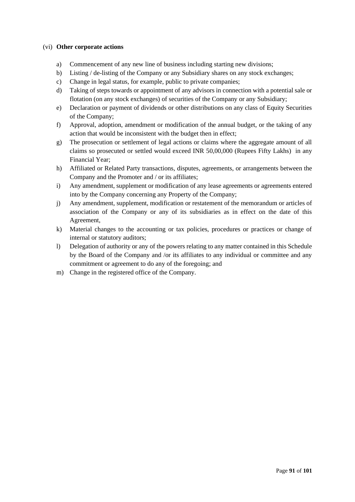### (vi) **Other corporate actions**

- a) Commencement of any new line of business including starting new divisions;
- b) Listing / de-listing of the Company or any Subsidiary shares on any stock exchanges;
- c) Change in legal status, for example, public to private companies;
- d) Taking of steps towards or appointment of any advisors in connection with a potential sale or flotation (on any stock exchanges) of securities of the Company or any Subsidiary;
- e) Declaration or payment of dividends or other distributions on any class of Equity Securities of the Company;
- f) Approval, adoption, amendment or modification of the annual budget, or the taking of any action that would be inconsistent with the budget then in effect;
- g) The prosecution or settlement of legal actions or claims where the aggregate amount of all claims so prosecuted or settled would exceed INR 50,00,000 (Rupees Fifty Lakhs) in any Financial Year;
- h) Affiliated or Related Party transactions, disputes, agreements, or arrangements between the Company and the Promoter and / or its affiliates;
- i) Any amendment, supplement or modification of any lease agreements or agreements entered into by the Company concerning any Property of the Company;
- j) Any amendment, supplement, modification or restatement of the memorandum or articles of association of the Company or any of its subsidiaries as in effect on the date of this Agreement,
- k) Material changes to the accounting or tax policies, procedures or practices or change of internal or statutory auditors;
- l) Delegation of authority or any of the powers relating to any matter contained in this Schedule by the Board of the Company and /or its affiliates to any individual or committee and any commitment or agreement to do any of the foregoing; and
- m) Change in the registered office of the Company.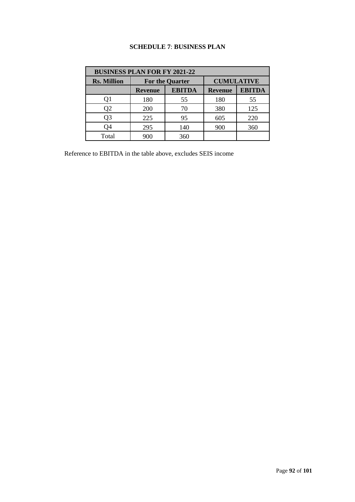# **SCHEDULE 7**: **BUSINESS PLAN**

| <b>BUSINESS PLAN FOR FY 2021-22</b> |                        |               |                   |               |
|-------------------------------------|------------------------|---------------|-------------------|---------------|
| <b>Rs. Million</b>                  | <b>For the Quarter</b> |               | <b>CUMULATIVE</b> |               |
|                                     | <b>Revenue</b>         | <b>EBITDA</b> | <b>Revenue</b>    | <b>EBITDA</b> |
|                                     | 180                    | 55            | 180               | 55            |
| Q2                                  | <b>200</b>             | 70            | 380               | 125           |
| Q3                                  | 225                    | 95            | 605               | 220           |
| Q4                                  | 295                    | 140           | 900               | 360           |
| Total                               | 900                    | 360           |                   |               |

Reference to EBITDA in the table above, excludes SEIS income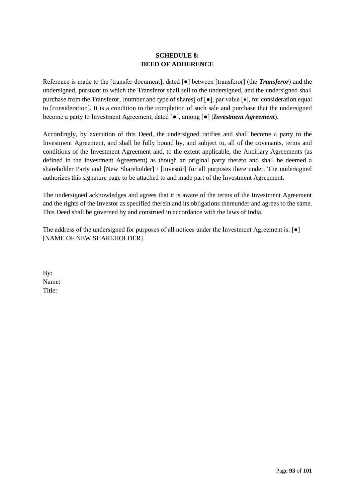# **SCHEDULE 8: DEED OF ADHERENCE**

Reference is made to the [transfer document], dated [●] between [transferor] (the *Transferor*) and the undersigned, pursuant to which the Transferor shall sell to the undersigned, and the undersigned shall purchase from the Transferor, [number and type of shares] of  $\lceil \bullet \rceil$ , par value  $\lceil \bullet \rceil$ , for consideration equal to [consideration]. It is a condition to the completion of such sale and purchase that the undersigned become a party to Investment Agreement, dated [●], among [●] (*Investment Agreement*).

Accordingly, by execution of this Deed, the undersigned ratifies and shall become a party to the Investment Agreement, and shall be fully bound by, and subject to, all of the covenants, terms and conditions of the Investment Agreement and, to the extent applicable, the Ancillary Agreements (as defined in the Investment Agreement) as though an original party thereto and shall be deemed a shareholder Party and [New Shareholder] / [Investor] for all purposes there under. The undersigned authorizes this signature page to be attached to and made part of the Investment Agreement.

The undersigned acknowledges and agrees that it is aware of the terms of the Investment Agreement and the rights of the Investor as specified therein and its obligations thereunder and agrees to the same. This Deed shall be governed by and construed in accordance with the laws of India.

The address of the undersigned for purposes of all notices under the Investment Agreement is: [●] [NAME OF NEW SHAREHOLDER]

By: Name: Title: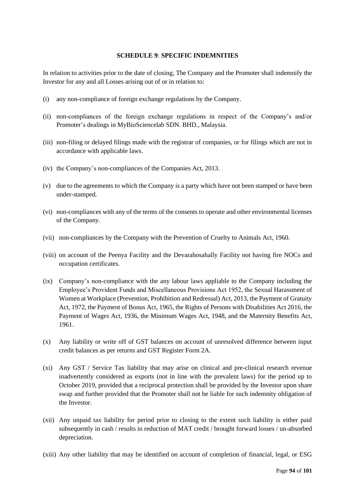## **SCHEDULE 9**: **SPECIFIC INDEMNITIES**

In relation to activities prior to the date of closing, The Company and the Promoter shall indemnify the Investor for any and all Losses arising out of or in relation to:

- (i) any non-compliance of foreign exchange regulations by the Company.
- (ii) non-compliances of the foreign exchange regulations in respect of the Company's and/or Promoter's dealings in MyBioSciencelab SDN. BHD., Malaysia.
- (iii) non-filing or delayed filings made with the registrar of companies, or for filings which are not in accordance with applicable laws.
- (iv) the Company's non-compliances of the Companies Act, 2013.
- (v) due to the agreements to which the Company is a party which have not been stamped or have been under-stamped.
- (vi) non-compliances with any of the terms of the consents to operate and other environmental licenses of the Company.
- (vii) non-compliances by the Company with the Prevention of Cruelty to Animals Act, 1960.
- (viii) on account of the Peenya Facility and the Devarahosahally Facility not having fire NOCs and occupation certificates.
- (ix) Company's non-compliance with the any labour laws appliable to the Company including the Employee's Provident Funds and Miscellaneous Provisions Act 1952, the Sexual Harassment of Women at Workplace (Prevention, Prohibition and Redressal) Act, 2013, the Payment of Gratuity Act, 1972, the Payment of Bonus Act, 1965, the Rights of Persons with Disabilities Act 2016, the Payment of Wages Act, 1936, the Minimum Wages Act, 1948, and the Maternity Benefits Act, 1961.
- (x) Any liability or write off of GST balances on account of unresolved difference between input credit balances as per returns and GST Register Form 2A.
- (xi) Any GST / Service Tax liability that may arise on clinical and pre-clinical research revenue inadvertently considered as exports (not in line with the prevalent laws) for the period up to October 2019, provided that a reciprocal protection shall be provided by the Investor upon share swap and further provided that the Promoter shall not be liable for such indemnity obligation of the Investor.
- (xii) Any unpaid tax liability for period prior to closing to the extent such liability is either paid subsequently in cash / results in reduction of MAT credit / brought forward losses / un-absorbed depreciation.
- (xiii) Any other liability that may be identified on account of completion of financial, legal, or ESG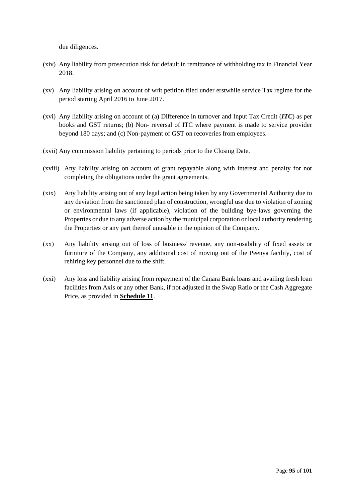due diligences.

- (xiv) Any liability from prosecution risk for default in remittance of withholding tax in Financial Year 2018.
- (xv) Any liability arising on account of writ petition filed under erstwhile service Tax regime for the period starting April 2016 to June 2017.
- (xvi) Any liability arising on account of (a) Difference in turnover and Input Tax Credit (*ITC*) as per books and GST returns; (b) Non- reversal of ITC where payment is made to service provider beyond 180 days; and (c) Non-payment of GST on recoveries from employees.
- (xvii) Any commission liability pertaining to periods prior to the Closing Date.
- (xviii) Any liability arising on account of grant repayable along with interest and penalty for not completing the obligations under the grant agreements.
- (xix) Any liability arising out of any legal action being taken by any Governmental Authority due to any deviation from the sanctioned plan of construction, wrongful use due to violation of zoning or environmental laws (if applicable), violation of the building bye-laws governing the Properties or due to any adverse action by the municipal corporation or local authority rendering the Properties or any part thereof unusable in the opinion of the Company.
- (xx) Any liability arising out of loss of business/ revenue, any non-usability of fixed assets or furniture of the Company, any additional cost of moving out of the Peenya facility, cost of rehiring key personnel due to the shift.
- (xxi) Any loss and liability arising from repayment of the Canara Bank loans and availing fresh loan facilities from Axis or any other Bank, if not adjusted in the Swap Ratio or the Cash Aggregate Price, as provided in **Schedule 11**.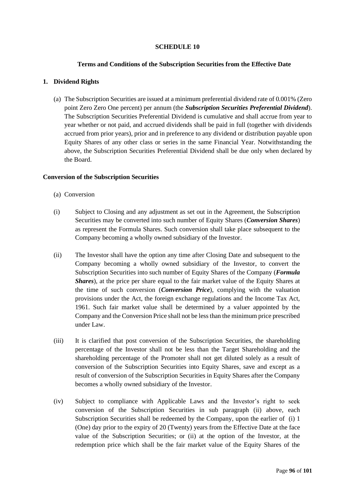## **SCHEDULE 10**

### **Terms and Conditions of the Subscription Securities from the Effective Date**

### **1. Dividend Rights**

(a) The Subscription Securities are issued at a minimum preferential dividend rate of 0.001% (Zero point Zero Zero One percent) per annum (the *Subscription Securities Preferential Dividend*). The Subscription Securities Preferential Dividend is cumulative and shall accrue from year to year whether or not paid, and accrued dividends shall be paid in full (together with dividends accrued from prior years), prior and in preference to any dividend or distribution payable upon Equity Shares of any other class or series in the same Financial Year. Notwithstanding the above, the Subscription Securities Preferential Dividend shall be due only when declared by the Board.

#### **Conversion of the Subscription Securities**

- (a) Conversion
- (i) Subject to Closing and any adjustment as set out in the Agreement, the Subscription Securities may be converted into such number of Equity Shares (*Conversion Shares*) as represent the Formula Shares. Such conversion shall take place subsequent to the Company becoming a wholly owned subsidiary of the Investor.
- (ii) The Investor shall have the option any time after Closing Date and subsequent to the Company becoming a wholly owned subsidiary of the Investor, to convert the Subscription Securities into such number of Equity Shares of the Company (*Formula Shares*), at the price per share equal to the fair market value of the Equity Shares at the time of such conversion (*Conversion Price*), complying with the valuation provisions under the Act, the foreign exchange regulations and the Income Tax Act, 1961. Such fair market value shall be determined by a valuer appointed by the Company and the Conversion Price shall not be less than the minimum price prescribed under Law.
- (iii) It is clarified that post conversion of the Subscription Securities, the shareholding percentage of the Investor shall not be less than the Target Shareholding and the shareholding percentage of the Promoter shall not get diluted solely as a result of conversion of the Subscription Securities into Equity Shares, save and except as a result of conversion of the Subscription Securities in Equity Shares after the Company becomes a wholly owned subsidiary of the Investor.
- (iv) Subject to compliance with Applicable Laws and the Investor's right to seek conversion of the Subscription Securities in sub paragraph (ii) above, each Subscription Securities shall be redeemed by the Company, upon the earlier of (i) 1 (One) day prior to the expiry of 20 (Twenty) years from the Effective Date at the face value of the Subscription Securities; or (ii) at the option of the Investor, at the redemption price which shall be the fair market value of the Equity Shares of the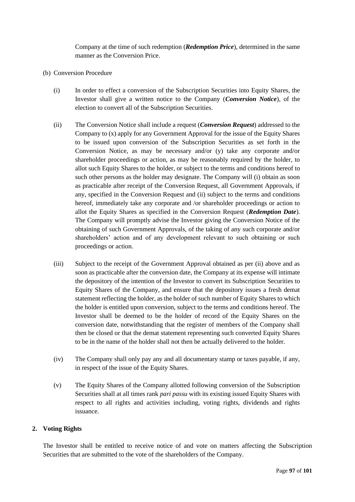Company at the time of such redemption (*Redemption Price*), determined in the same manner as the Conversion Price.

- (b) Conversion Procedure
	- (i) In order to effect a conversion of the Subscription Securities into Equity Shares, the Investor shall give a written notice to the Company (*Conversion Notice*), of the election to convert all of the Subscription Securities.
	- (ii) The Conversion Notice shall include a request (*Conversion Request*) addressed to the Company to (x) apply for any Government Approval for the issue of the Equity Shares to be issued upon conversion of the Subscription Securities as set forth in the Conversion Notice, as may be necessary and/or (y) take any corporate and/or shareholder proceedings or action, as may be reasonably required by the holder, to allot such Equity Shares to the holder, or subject to the terms and conditions hereof to such other persons as the holder may designate. The Company will (i) obtain as soon as practicable after receipt of the Conversion Request, all Government Approvals, if any, specified in the Conversion Request and (ii) subject to the terms and conditions hereof, immediately take any corporate and /or shareholder proceedings or action to allot the Equity Shares as specified in the Conversion Request (*Redemption Date*). The Company will promptly advise the Investor giving the Conversion Notice of the obtaining of such Government Approvals, of the taking of any such corporate and/or shareholders' action and of any development relevant to such obtaining or such proceedings or action.
	- (iii) Subject to the receipt of the Government Approval obtained as per (ii) above and as soon as practicable after the conversion date, the Company at its expense will intimate the depository of the intention of the Investor to convert its Subscription Securities to Equity Shares of the Company, and ensure that the depository issues a fresh demat statement reflecting the holder, as the holder of such number of Equity Shares to which the holder is entitled upon conversion, subject to the terms and conditions hereof. The Investor shall be deemed to be the holder of record of the Equity Shares on the conversion date, notwithstanding that the register of members of the Company shall then be closed or that the demat statement representing such converted Equity Shares to be in the name of the holder shall not then be actually delivered to the holder.
	- (iv) The Company shall only pay any and all documentary stamp or taxes payable, if any, in respect of the issue of the Equity Shares.
	- (v) The Equity Shares of the Company allotted following conversion of the Subscription Securities shall at all times rank *pari passu* with its existing issued Equity Shares with respect to all rights and activities including, voting rights, dividends and rights issuance.

## **2. Voting Rights**

The Investor shall be entitled to receive notice of and vote on matters affecting the Subscription Securities that are submitted to the vote of the shareholders of the Company.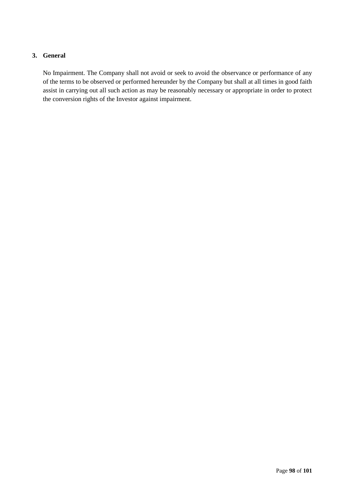# **3. General**

No Impairment. The Company shall not avoid or seek to avoid the observance or performance of any of the terms to be observed or performed hereunder by the Company but shall at all times in good faith assist in carrying out all such action as may be reasonably necessary or appropriate in order to protect the conversion rights of the Investor against impairment.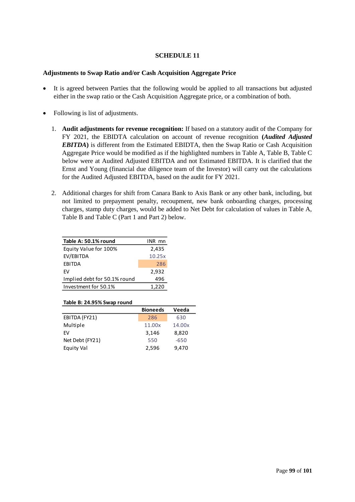## **SCHEDULE 11**

## **Adjustments to Swap Ratio and/or Cash Acquisition Aggregate Price**

- It is agreed between Parties that the following would be applied to all transactions but adjusted either in the swap ratio or the Cash Acquisition Aggregate price, or a combination of both.
- Following is list of adjustments.
	- 1. **Audit adjustments for revenue recognition:** If based on a statutory audit of the Company for FY 2021, the EBIDTA calculation on account of revenue recognition **(***Audited Adjusted EBITDA***)** is different from the Estimated EBIDTA, then the Swap Ratio or Cash Acquisition Aggregate Price would be modified as if the highlighted numbers in Table A, Table B, Table C below were at Audited Adjusted EBITDA and not Estimated EBITDA. It is clarified that the Ernst and Young (financial due diligence team of the Investor) will carry out the calculations for the Audited Adjusted EBITDA, based on the audit for FY 2021.
	- 2. Additional charges for shift from Canara Bank to Axis Bank or any other bank, including, but not limited to prepayment penalty, recoupment, new bank onboarding charges, processing charges, stamp duty charges, would be added to Net Debt for calculation of values in Table A, Table B and Table C (Part 1 and Part 2) below.

| Table A: 50.1% round         | INR mn |
|------------------------------|--------|
| Equity Value for 100%        | 2,435  |
| EV/EBITDA                    | 10.25x |
| <b>FRITDA</b>                | 286    |
| FV                           | 2,932  |
| Implied debt for 50.1% round | 496    |
| Investment for 50.1%         | 1,220  |

#### **Table B: 24.95% Swap round**

|                 | <b>Bioneeds</b> | Veeda  |
|-----------------|-----------------|--------|
| EBITDA (FY21)   | 286             | 630    |
| Multiple        | 11.00x          | 14.00x |
| FV              | 3,146           | 8,820  |
| Net Debt (FY21) | 550             | $-650$ |
| Equity Val      | 2,596           | 9,470  |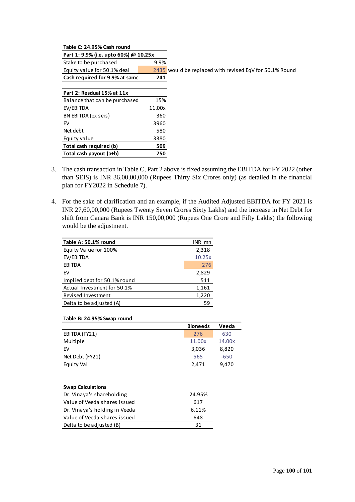#### **Table C: 24.95% Cash round**

**Part 1: 9.9% (i.e. upto 60%) @ 10.25x**

Stake to be purchased 9.9% **Cash required for 9.9% at same 241** 

Equity value for 50.1% deal 2435 would be replaced with revised EqV for 50.1% Round

÷

| Part 2: Resdual 15% at 11x    |        |
|-------------------------------|--------|
| Balance that can be purchased | 15%    |
| EV/EBITDA                     | 11.00x |
| BN EBITDA (ex seis)           | 360    |
| EV                            | 3960   |
| Net debt                      | 580    |
| Equity value                  | 3380   |
| Total cash required (b)       | 509    |
| Total cash payout (a+b)       | 750    |

- 3. The cash transaction in Table C, Part 2 above is fixed assuming the EBITDA for FY 2022 (other than SEIS) is INR 36,00,00,000 (Rupees Thirty Six Crores only) (as detailed in the financial plan for FY2022 in Schedule 7).
- 4. For the sake of clarification and an example, if the Audited Adjusted EBITDA for FY 2021 is INR 27,60,00,000 (Rupees Twenty Seven Crores Sixty Lakhs) and the increase in Net Debt for shift from Canara Bank is INR 150,00,000 (Rupees One Crore and Fifty Lakhs) the following would be the adjustment.

| Table A: 50.1% round         | INR mn |
|------------------------------|--------|
| Equity Value for 100%        | 2,318  |
| EV/EBITDA                    | 10.25x |
| EBITDA                       | 276    |
| EV                           | 2,829  |
| Implied debt for 50.1% round | 511    |
| Actual Investment for 50.1%  | 1,161  |
| Revised Investment           | 1,220  |
| Delta to be adjusted (A)     | 59     |

#### **Table B: 24.95% Swap round**

| <b>Bioneeds</b>                        | Veeda  |
|----------------------------------------|--------|
| 276                                    | 630    |
| 11.00x                                 | 14.00x |
| 3,036                                  | 8,820  |
| 565                                    | $-650$ |
| 2,471                                  | 9,470  |
|                                        |        |
|                                        |        |
| Dr. Vinaya's shareholding<br>24.95%    |        |
| Value of Veeda shares issued<br>617    |        |
| Dr. Vinaya's holding in Veeda<br>6.11% |        |
| 648                                    |        |
| 31                                     |        |
|                                        |        |